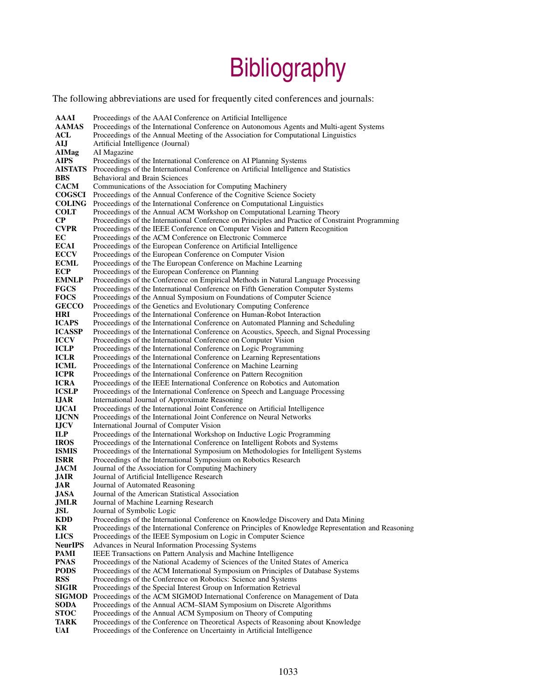## **Bibliography**

The following abbreviations are used for frequently cited conferences and journals:

**AAAI** Proceedings of the AAAI Conference on Artificial Intelligence<br>**AAMAS** Proceedings of the International Conference on Autonomous A AAMAS Proceedings of the International Conference on Autonomous Agents and Multi-agent Systems<br>ACL Proceedings of the Annual Meeting of the Association for Computational Linguistics Proceedings of the Annual Meeting of the Association for Computational Linguistics AIJ Artificial Intelligence (Journal)<br>AIMag AI Magazine AIMag AI Magazine<br>AIPS Proceedings Proceedings of the International Conference on AI Planning Systems AISTATS Proceedings of the International Conference on Artificial Intelligence and Statistics **BBS** Behavioral and Brain Sciences<br>**CACM** Communications of the Associ Communications of the Association for Computing Machinery **COGSCI** Proceedings of the Annual Conference of the Cognitive Science Society **COLING** Proceedings of the International Conference on Computational Linguistic **COLING** Proceedings of the International Conference on Computational Linguistics<br> **COLT** Proceedings of the Annual ACM Workshop on Computational Learning Theory **COLT** Proceedings of the Annual ACM Workshop on Computational Learning Theory<br> **CP** Proceedings of the International Conference on Principles and Practice of Const CP Proceedings of the International Conference on Principles and Practice of Constraint Programming<br>
CVPR Proceedings of the IEEE Conference on Computer Vision and Pattern Recognition Proceedings of the IEEE Conference on Computer Vision and Pattern Recognition EC Proceedings of the ACM Conference on Electronic Commerce<br> **ECAI** Proceedings of the Euronean Conference on Artificial Intellige **ECAI** Proceedings of the European Conference on Artificial Intelligence<br> **ECCV** Proceedings of the European Conference on Computer Vision **ECCV** Proceedings of the European Conference on Computer Vision<br>**ECML** Proceedings of the The European Conference on Machine Lea **ECML** Proceedings of the The European Conference on Machine Learning<br> **ECP** Proceedings of the European Conference on Planning ECP Proceedings of the European Conference on Planning<br> **EMNLP** Proceedings of the Conference on Empirical Methods **EMNLP** Proceedings of the Conference on Empirical Methods in Natural Language Processing **FGCS** Proceedings of the International Conference on Fifth Generation Computer Systems Proceedings of the International Conference on Fifth Generation Computer Systems FOCS Proceedings of the Annual Symposium on Foundations of Computer Science<br>GECCO Proceedings of the Genetics and Evolutionary Computing Conference GECCO Proceedings of the Genetics and Evolutionary Computing Conference<br> **HRI** Proceedings of the International Conference on Human-Robot Interact Proceedings of the International Conference on Human-Robot Interaction ICAPS Proceedings of the International Conference on Automated Planning and Scheduling<br>ICASSP Proceedings of the International Conference on Acoustics. Speech. and Signal Proce **ICASSP** Proceedings of the International Conference on Acoustics, Speech, and Signal Processing **ICCV** Proceedings of the International Conference on Computer Vision **ICCV** Proceedings of the International Conference on Computer Vision<br> **ICLP** Proceedings of the International Conference on Logic Programmi ICLP Proceedings of the International Conference on Logic Programming<br>
ICLR Proceedings of the International Conference on Learning Representa ICLR Proceedings of the International Conference on Learning Representations<br>
ICML Proceedings of the International Conference on Machine Learning ICML Proceedings of the International Conference on Machine Learning<br>
ICPR Proceedings of the International Conference on Pattern Recognition **ICPR** Proceedings of the International Conference on Pattern Recognition **ICRA** Proceedings of the IEEE International Conference on Robotics and **ICRA** Proceedings of the IEEE International Conference on Robotics and Automation **ICSLP** Proceedings of the International Conference on Speech and Language Processin ICSLP Proceedings of the International Conference on Speech and Language Processing<br>IJAR International Journal of Approximate Reasoning **IJAR** International Journal of Approximate Reasoning<br>**IJCAI** Proceedings of the International Joint Conference IJCAI Proceedings of the International Joint Conference on Artificial Intelligence Proceedings of the International Joint Conference on Neural Networks **IJCV** International Journal of Computer Vision<br> **ILP** Proceedings of the International Worksho **ILP** Proceedings of the International Workshop on Inductive Logic Programming<br>**IROS** Proceedings of the International Conference on Intelligent Robots and System **IROS** Proceedings of the International Conference on Intelligent Robots and Systems <br>**ISMIS** Proceedings of the International Symposium on Methodologies for Intelligent S **ISMIS** Proceedings of the International Symposium on Methodologies for Intelligent Systems<br> **ISRR** Proceedings of the International Symposium on Robotics Research **ISRR** Proceedings of the International Symposium on Robotics Research **JACM** Journal of the Association for Computing Machinery **JACM** Journal of the Association for Computing Machinery<br>**JAIR** Journal of Artificial Intelligence Research **JAIR** Journal of Artificial Intelligence Research<br>**JAR** Journal of Automated Reasoning Journal of Automated Reasoning JASA Journal of the American Statistical Association **JMLR** Journal of Machine Learning Research<br>**JSL** Journal of Symbolic Logic **JSL** Journal of Symbolic Logic<br> **KDD** Proceedings of the Internat Proceedings of the International Conference on Knowledge Discovery and Data Mining KR Proceedings of the International Conference on Principles of Knowledge Representation and Reasoning LICS Proceedings of the IEEE Symposium on Logic in Computer Science<br>
NeurlPS Advances in Neural Information Processing Systems Advances in Neural Information Processing Systems **PAMI** IEEE Transactions on Pattern Analysis and Machine Intelligence<br>**PNAS** Proceedings of the National Academy of Sciences of the United S **PNAS** Proceedings of the National Academy of Sciences of the United States of America<br>**PODS** Proceedings of the ACM International Symposium on Principles of Database Syste Proceedings of the ACM International Symposium on Principles of Database Systems **RSS** Proceedings of the Conference on Robotics: Science and Systems **SIGIR** Proceedings of the Special Interest Group on Information Retrieva Proceedings of the Special Interest Group on Information Retrieval SIGMOD Proceedings of the ACM SIGMOD International Conference on Management of Data<br>SODA Proceedings of the Annual ACM-SIAM Symposium on Discrete Algorithms **SODA** Proceedings of the Annual ACM–SIAM Symposium on Discrete Algorithms **STOC** Proceedings of the Annual ACM Symposium on Theory of Computing **STOC** Proceedings of the Annual ACM Symposium on Theory of Computing TARK Proceedings of the Conference on Theoretical Aspects of Reasoning ab Proceedings of the Conference on Theoretical Aspects of Reasoning about Knowledge UAI Proceedings of the Conference on Uncertainty in Artificial Intelligence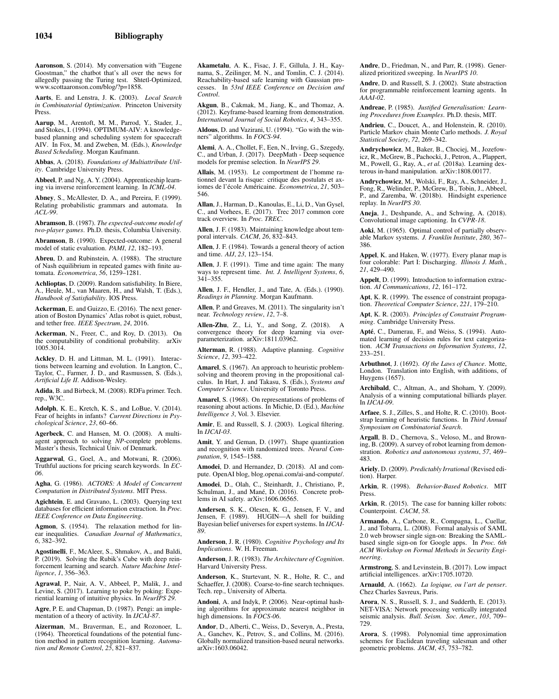Aaronson, S. (2014). My conversation with "Eugene Goostman," the chatbot that's all over the news for allegedly passing the Turing test. Shtetl-Optimized, www.scottaaronson.com/blog/?p=1858.

Aarts, E. and Lenstra, J. K. (2003). *Local Search in Combinatorial Optimization*. Princeton University Press.

Aarup, M., Arentoft, M. M., Parrod, Y., Stader, J., and Stokes, I. (1994). OPTIMUM-AIV: A knowledgebased planning and scheduling system for spacecraft AIV. In Fox, M. and Zweben, M. (Eds.), *Knowledge Based Scheduling*. Morgan Kaufmann.

Abbas, A. (2018). *Foundations of Multiattribute Utility*. Cambridge University Press.

Abbeel, P. and Ng, A. Y. (2004). Apprenticeship learning via inverse reinforcement learning. In *ICML-04*.

Abney, S., McAllester, D. A., and Pereira, F. (1999). Relating probabilistic grammars and automata. In *ACL-99*.

Abramson, B. (1987). *The expected-outcome model of two-player games*. Ph.D. thesis, Columbia University.

Abramson, B. (1990). Expected-outcome: A general model of static evaluation. *PAMI*, *12*, 182–193.

Abreu, D. and Rubinstein, A. (1988). The structure of Nash equilibrium in repeated games with finite automata. *Econometrica*, *56*, 1259–1281.

Achlioptas, D. (2009). Random satisfiability. In Biere, A., Heule, M., van Maaren, H., and Walsh, T. (Eds.), *Handbook of Satisfiability*. IOS Press.

Ackerman, E. and Guizzo, E. (2016). The next generation of Boston Dynamics' Atlas robot is quiet, robust, and tether free. *IEEE Spectrum*, *24*, 2016.

Ackerman, N., Freer, C., and Roy, D. (2013). On the computability of conditional probability. arXiv 1005.3014.

Ackley, D. H. and Littman, M. L. (1991). Interactions between learning and evolution. In Langton, C., Taylor, C., Farmer, J. D., and Rasmussen, S. (Eds.), *Artificial Life II*. Addison-Wesley.

Adida, B. and Birbeck, M. (2008). RDFa primer. Tech. rep., W3C.

Adolph, K. E., Kretch, K. S., and LoBue, V. (2014). Fear of heights in infants? *Current Directions in Psychological Science*, *23*, 60–66.

Agerbeck, C. and Hansen, M. O. (2008). A multiagent approach to solving *NP*-complete problems. Master's thesis, Technical Univ. of Denmark.

Aggarwal, G., Goel, A., and Motwani, R. (2006). Truthful auctions for pricing search keywords. In *EC-06*.

Agha, G. (1986). *ACTORS: A Model of Concurrent Computation in Distributed Systems*. MIT Press.

Agichtein, E. and Gravano, L. (2003). Querying text databases for efficient information extraction. In *Proc. IEEE Conference on Data Engineering*.

Agmon, S. (1954). The relaxation method for linear inequalities. *Canadian Journal of Mathematics*, *6*, 382–392.

Agostinelli, F., McAleer, S., Shmakov, A., and Baldi, P. (2019). Solving the Rubik's Cube with deep reinforcement learning and search. *Nature Machine Intelligence*, *1*, 356–363.

Agrawal, P., Nair, A. V., Abbeel, P., Malik, J., and Levine, S. (2017). Learning to poke by poking: Experiential learning of intuitive physics. In *NeurIPS 29*.

Agre, P. E. and Chapman, D. (1987). Pengi: an implementation of a theory of activity. In *IJCAI-87*.

Aizerman, M., Braverman, E., and Rozonoer, L. (1964). Theoretical foundations of the potential function method in pattern recognition learning. *Automa-tion and Remote Control*, *25*, 821–837. Akametalu, A. K., Fisac, J. F., Gillula, J. H., Kaynama, S., Zeilinger, M. N., and Tomlin, C. J. (2014). Reachability-based safe learning with Gaussian processes. In *53rd IEEE Conference on Decision and Control*.

Akgun, B., Cakmak, M., Jiang, K., and Thomaz, A. (2012). Keyframe-based learning from demonstration. *International Journal of Social Robotics*, *4*, 343–355.

Aldous, D. and Vazirani, U. (1994). "Go with the winners" algorithms. In *FOCS-94*.

Alemi, A. A., Chollet, F., Een, N., Irving, G., Szegedy, C., and Urban, J. (2017). DeepMath - Deep sequence models for premise selection. In *NeurIPS 29*.

Allais, M. (1953). Le comportment de l'homme rationnel devant la risque: critique des postulats et axiomes de l'école Américaine. Econometrica, 21, 503-546.

Allan, J., Harman, D., Kanoulas, E., Li, D., Van Gysel, C., and Vorhees, E. (2017). Trec 2017 common core track overview. In *Proc. TREC*.

Allen, J. F. (1983). Maintaining knowledge about temporal intervals. *CACM*, *26*, 832–843.

Allen, J. F. (1984). Towards a general theory of action and time. *AIJ*, *23*, 123–154.

Allen, J. F. (1991). Time and time again: The many ways to represent time. *Int. J. Intelligent Systems*, *6*, 341–355.

Allen, J. F., Hendler, J., and Tate, A. (Eds.). (1990). *Readings in Planning*. Morgan Kaufmann.

Allen, P. and Greaves, M. (2011). The singularity isn't near. *Technology review*, *12*, 7–8.

Allen-Zhu, Z., Li, Y., and Song, Z. (2018). A convergence theory for deep learning via overparameterization. arXiv:1811.03962.

Alterman, R. (1988). Adaptive planning. *Cognitive Science*, *12*, 393–422.

Amarel, S. (1967). An approach to heuristic problemsolving and theorem proving in the propositional calculus. In Hart, J. and Takasu, S. (Eds.), *Systems and Computer Science*. University of Toronto Press.

Amarel, S. (1968). On representations of problems of reasoning about actions. In Michie, D. (Ed.), *Machine Intelligence 3*, Vol. 3. Elsevier.

Amir, E. and Russell, S. J. (2003). Logical filtering. In *IJCAI-03*.

Amit, Y. and Geman, D. (1997). Shape quantization and recognition with randomized trees. *Neural Computation*, *9*, 1545–1588.

Amodei, D. and Hernandez, D. (2018). AI and compute. OpenAI blog, blog.openai.com/ai-and-compute/.

Amodei, D., Olah, C., Steinhardt, J., Christiano, P., Schulman, J., and Mané, D. (2016). Concrete problems in AI safety. arXiv:1606.06565.

Andersen, S. K., Olesen, K. G., Jensen, F. V., and Jensen, F. (1989). HUGIN—A shell for building Bayesian belief universes for expert systems. In *IJCAI-89*.

Anderson, J. R. (1980). *Cognitive Psychology and Its Implications*. W. H. Freeman.

Anderson, J. R. (1983). *The Architecture of Cognition*. Harvard University Press.

Anderson, K., Sturtevant, N. R., Holte, R. C., and Schaeffer, J. (2008). Coarse-to-fine search techniques. Tech. rep., University of Alberta.

Andoni, A. and Indyk, P. (2006). Near-optimal hashing algorithms for approximate nearest neighbor in high dimensions. In *FOCS-06*.

Andor, D., Alberti, C., Weiss, D., Severyn, A., Presta, A., Ganchev, K., Petrov, S., and Collins, M. (2016). Globally normalized transition-based neural networks. arXiv:1603.06042.

Andre, D., Friedman, N., and Parr, R. (1998). Generalized prioritized sweeping. In *NeurIPS 10*.

Andre, D. and Russell, S. J. (2002). State abstraction for programmable reinforcement learning agents. In *AAAI-02*.

Andreae, P. (1985). *Justified Generalisation: Learning Procedures from Examples*. Ph.D. thesis, MIT.

Andrieu, C., Doucet, A., and Holenstein, R. (2010). Particle Markov chain Monte Carlo methods. *J. Royal Statistical Society*, *72*, 269–342.

Andrychowicz, M., Baker, B., Chociej, M., Jozefowicz, R., McGrew, B., Pachocki, J., Petron, A., Plappert, M., Powell, G., Ray, A., *et al.* (2018a). Learning dexterous in-hand manipulation. arXiv:1808.00177.

Andrychowicz, M., Wolski, F., Ray, A., Schneider, J., Fong, R., Welinder, P., McGrew, B., Tobin, J., Abbeel, P., and Zaremba, W. (2018b). Hindsight experience replay. In *NeurIPS 30*.

Aneja, J., Deshpande, A., and Schwing, A. (2018). Convolutional image captioning. In *CVPR-18*.

Aoki, M. (1965). Optimal control of partially observable Markov systems. *J. Franklin Institute*, *280*, 367– 386.

Appel, K. and Haken, W. (1977). Every planar map is four colorable: Part I: Discharging. *Illinois J. Math.*, *21*, 429–490.

Appelt, D. (1999). Introduction to information extraction. *AI Communications*, *12*, 161–172.

Apt, K. R. (1999). The essence of constraint propagation. *Theoretical Computer Science*, *221*, 179–210.

Apt, K. R. (2003). *Principles of Constraint Programming*. Cambridge University Press.

Apté, C., Damerau, F., and Weiss, S. (1994). Automated learning of decision rules for text categorization. *ACM Transactions on Information Systems*, *12*, 233–251.

Arbuthnot, J. (1692). *Of the Laws of Chance*. Motte, London. Translation into English, with additions, of Huygens (1657).

Archibald, C., Altman, A., and Shoham, Y. (2009). Analysis of a winning computational billiards player. In *IJCAI-09*.

Arfaee, S. J., Zilles, S., and Holte, R. C. (2010). Bootstrap learning of heuristic functions. In *Third Annual Symposium on Combinatorial Search*.

Argall, B. D., Chernova, S., Veloso, M., and Browning, B. (2009). A survey of robot learning from demonstration. *Robotics and autonomous systems*, *57*, 469– 483.

Ariely, D. (2009). *Predictably Irrational* (Revised edition). Harper.

Arkin, R. (1998). *Behavior-Based Robotics*. MIT Press.

Arkin, R. (2015). The case for banning killer robots: Counterpoint. *CACM*, *58*.

Armando, A., Carbone, R., Compagna, L., Cuellar, J., and Tobarra, L. (2008). Formal analysis of SAML 2.0 web browser single sign-on: Breaking the SAMLbased single sign-on for Google apps. In *Proc. 6th ACM Workshop on Formal Methods in Security Engineering*.

Armstrong, S. and Levinstein, B. (2017). Low impact artificial intelligences. arXiv:1705.10720.

Arnauld, A. (1662). *La logique, ou l'art de penser*. Chez Charles Savreux, Paris.

Arora, N. S., Russell, S. J., and Sudderth, E. (2013). NET-VISA: Network processing vertically integrated seismic analysis. *Bull. Seism. Soc. Amer.*, *103*, 709– 729.

Arora, S. (1998). Polynomial time approximation schemes for Euclidean traveling salesman and other geometric problems. *JACM*, *45*, 753–782.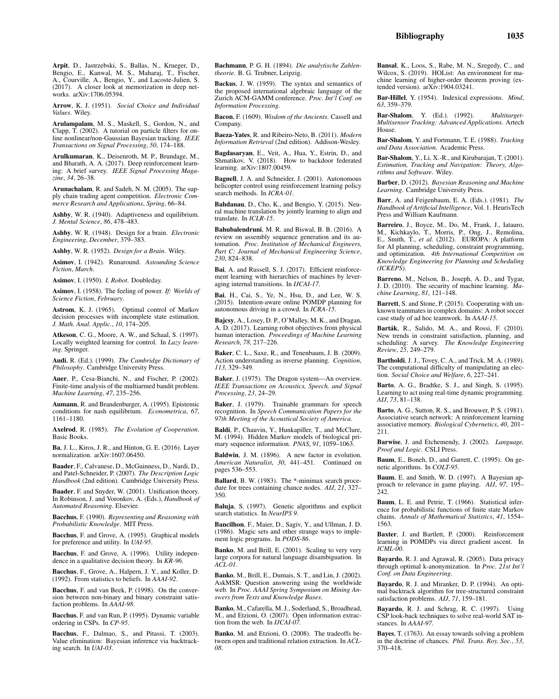Arpit, D., Jastrzebski, S., Ballas, N., Krueger, D., Bengio, E., Kanwal, M. S., Maharaj, T., Fischer, A., Courville, A., Bengio, Y., and Lacoste-Julien, S. (2017). A closer look at memorization in deep networks. arXiv:1706.05394.

Arrow, K. J. (1951). *Social Choice and Individual Values*. Wiley.

Arulampalam, M. S., Maskell, S., Gordon, N., and Clapp, T. (2002). A tutorial on particle filters for online nonlinear/non-Gaussian Bayesian tracking. *IEEE Transactions on Signal Processing*, *50*, 174–188.

Arulkumaran, K., Deisenroth, M. P., Brundage, M., and Bharath, A. A. (2017). Deep reinforcement learning: A brief survey. *IEEE Signal Processing Magazine*, *34*, 26–38.

Arunachalam, R. and Sadeh, N. M. (2005). The supply chain trading agent competition. *Electronic Commerce Research and Applications*, *Spring*, 66–84.

Ashby, W. R. (1940). Adaptiveness and equilibrium. *J. Mental Science*, *86*, 478–483.

Ashby, W. R. (1948). Design for a brain. *Electronic Engineering*, *December*, 379–383.

Ashby, W. R. (1952). *Design for a Brain*. Wiley.

Asimov, I. (1942). Runaround. *Astounding Science Fiction*, *March*.

Asimov, I. (1950). *I, Robot*. Doubleday.

Asimov, I. (1958). The feeling of power. *If: Worlds of Science Fiction*, *February*.

Astrom, K. J. (1965). Optimal control of Markov decision processes with incomplete state estimation. *J. Math. Anal. Applic.*, *10*, 174–205.

Atkeson, C. G., Moore, A. W., and Schaal, S. (1997). Locally weighted learning for control. In *Lazy learning*. Springer.

Audi, R. (Ed.). (1999). *The Cambridge Dictionary of Philosophy*. Cambridge University Press.

Auer, P., Cesa-Bianchi, N., and Fischer, P. (2002). Finite-time analysis of the multiarmed bandit problem. *Machine Learning*, *47*, 235–256.

Aumann, R. and Brandenburger, A. (1995). Epistemic conditions for nash equilibrium. *Econometrica*, *67*, 1161–1180.

Axelrod, R. (1985). *The Evolution of Cooperation*. Basic Books.

Ba, J. L., Kiros, J. R., and Hinton, G. E. (2016). Layer normalization. arXiv:1607.06450.

Baader, F., Calvanese, D., McGuinness, D., Nardi, D., and Patel-Schneider, P. (2007). *The Description Logic Handbook* (2nd edition). Cambridge University Press.

Baader, F. and Snyder, W. (2001). Unification theory. In Robinson, J. and Voronkov, A. (Eds.), *Handbook of Automated Reasoning*. Elsevier.

Bacchus, F. (1990). *Representing and Reasoning with Probabilistic Knowledge*. MIT Press.

Bacchus, F. and Grove, A. (1995). Graphical models for preference and utility. In *UAI-95*.

Bacchus, F. and Grove, A. (1996). Utility independence in a qualitative decision theory. In *KR-96*.

Bacchus, F., Grove, A., Halpern, J. Y., and Koller, D. (1992). From statistics to beliefs. In *AAAI-92*.

Bacchus, F. and van Beek, P. (1998). On the conversion between non-binary and binary constraint satisfaction problems. In *AAAI-98*.

Bacchus, F. and van Run, P. (1995). Dynamic variable ordering in CSPs. In *CP-95*.

Bacchus, F., Dalmao, S., and Pitassi, T. (2003). Value elimination: Bayesian inference via backtracking search. In *UAI-03*.

Bachmann, P. G. H. (1894). *Die analytische Zahlentheorie*. B. G. Teubner, Leipzig.

Backus, J. W. (1959). The syntax and semantics of the proposed international algebraic language of the Zurich ACM-GAMM conference. *Proc. Int'l Conf. on Information Processing*.

Bacon, F. (1609). *Wisdom of the Ancients*. Cassell and Company.

Baeza-Yates, R. and Ribeiro-Neto, B. (2011). *Modern Information Retrieval* (2nd edition). Addison-Wesley.

Bagdasaryan, E., Veit, A., Hua, Y., Estrin, D., and Shmatikov, V. (2018). How to backdoor federated learning. arXiv:1807.00459.

Bagnell, J. A. and Schneider, J. (2001). Autonomous helicopter control using reinforcement learning policy search methods. In *ICRA-01*.

Bahdanau, D., Cho, K., and Bengio, Y. (2015). Neural machine translation by jointly learning to align and translate. In *ICLR-15*.

Bahubalendruni, M. R. and Biswal, B. B. (2016). A review on assembly sequence generation and its automation. *Proc. Institution of Mechanical Engineers, Part C: Journal of Mechanical Engineering Science*, *230*, 824–838.

Bai, A. and Russell, S. J. (2017). Efficient reinforcement learning with hierarchies of machines by leveraging internal transitions. In *IJCAI-17*.

Bai, H., Cai, S., Ye, N., Hsu, D., and Lee, W. S. (2015). Intention-aware online POMDP planning for autonomous driving in a crowd. In *ICRA-15*.

Bajcsy, A., Losey, D. P., O'Malley, M. K., and Dragan, A. D. (2017). Learning robot objectives from physical human interaction. *Proceedings of Machine Learning Research*, *78*, 217–226.

Baker, C. L., Saxe, R., and Tenenbaum, J. B. (2009). Action understanding as inverse planning. *Cognition*, *113*, 329–349.

Baker, J. (1975). The Dragon system—An overview. *IEEE Transactions on Acoustics, Speech, and Signal Processing*, *23*, 24–29.

Baker, J. (1979). Trainable grammars for speech recognition. In *Speech Communication Papers for the 97th Meeting of the Acoustical Society of America*.

Baldi, P., Chauvin, Y., Hunkapiller, T., and McClure, M. (1994). Hidden Markov models of biological primary sequence information. *PNAS*, *91*, 1059–1063.

Baldwin, J. M. (1896). A new factor in evolution. *American Naturalist*, *30*, 441–451. Continued on pages 536–553.

Ballard, B. W. (1983). The \*-minimax search procedure for trees containing chance nodes. *AIJ*, *21*, 327– 350.

Baluja, S. (1997). Genetic algorithms and explicit search statistics. In *NeurIPS 9*.

Bancilhon, F., Maier, D., Sagiv, Y., and Ullman, J. D. (1986). Magic sets and other strange ways to implement logic programs. In *PODS-86*.

Banko, M. and Brill, E. (2001). Scaling to very very large corpora for natural language disambiguation. In *ACL-01*.

Banko, M., Brill, E., Dumais, S. T., and Lin, J. (2002). AskMSR: Question answering using the worldwide web. In *Proc. AAAI Spring Symposium on Mining Answers from Texts and Knowledge Bases*.

Banko, M., Cafarella, M. J., Soderland, S., Broadhead, M., and Etzioni, O. (2007). Open information extraction from the web. In *IJCAI-07*.

Banko, M. and Etzioni, O. (2008). The tradeoffs between open and traditional relation extraction. In *ACL-08*.

Bansal, K., Loos, S., Rabe, M. N., Szegedy, C., and Wilcox, S. (2019). HOList: An environment for machine learning of higher-order theorem proving (extended version). arXiv:1904.03241.

Bar-Hillel, Y. (1954). Indexical expressions. *Mind*, *63*, 359–379.

Bar-Shalom, Y. (Ed.). (1992). *Multitarget-Multisensor Tracking: Advanced Applications*. Artech House.

Bar-Shalom, Y. and Fortmann, T. E. (1988). *Tracking and Data Association*. Academic Press.

Bar-Shalom, Y., Li, X.-R., and Kirubarajan, T. (2001). *Estimation, Tracking and Navigation: Theory, Algorithms and Software*. Wiley.

Barber, D. (2012). *Bayesian Reasoning and Machine Learning*. Cambridge University Press.

Barr, A. and Feigenbaum, E. A. (Eds.). (1981). *The Handbook of Artificial Intelligence*, Vol. 1. HeurisTech Press and William Kaufmann.

Barreiro, J., Boyce, M., Do, M., Frank, J., Iatauro, M., Kichkaylo, T., Morris, P., Ong, J., Remolina, E., Smith, T., *et al.* (2012). EUROPA: A platform for AI planning, scheduling, constraint programming, and optimization. *4th International Competition on Knowledge Engineering for Planning and Scheduling (ICKEPS)*.

Barreno, M., Nelson, B., Joseph, A. D., and Tygar, J. D. (2010). The security of machine learning. *Machine Learning*, *81*, 121–148.

Barrett, S. and Stone, P. (2015). Cooperating with unknown teammates in complex domains: A robot soccer case study of ad hoc teamwork. In *AAAI-15*.

Barták, R., Salido, M. A., and Rossi, F. (2010). New trends in constraint satisfaction, planning, and scheduling: A survey. *The Knowledge Engineering Review*, *25*, 249–279.

Bartholdi, J. J., Tovey, C. A., and Trick, M. A. (1989). The computational difficulty of manipulating an election. *Social Choice and Welfare*, *6*, 227–241.

Barto, A. G., Bradtke, S. J., and Singh, S. (1995). Learning to act using real-time dynamic programming. *AIJ*, *73*, 81–138.

Barto, A. G., Sutton, R. S., and Brouwer, P. S. (1981). Associative search network: A reinforcement learning associative memory. *Biological Cybernetics*, *40*, 201– 211.

Barwise, J. and Etchemendy, J. (2002). *Language, Proof and Logic*. CSLI Press.

Baum, E., Boneh, D., and Garrett, C. (1995). On genetic algorithms. In *COLT-95*.

Baum, E. and Smith, W. D. (1997). A Bayesian approach to relevance in game playing. *AIJ*, *97*, 195– 242.

Baum, L. E. and Petrie, T. (1966). Statistical inference for probabilistic functions of finite state Markov chains. *Annals of Mathematical Statistics*, *41*, 1554– 1563.

Baxter, J. and Bartlett, P. (2000). Reinforcement learning in POMDPs via direct gradient ascent. In *ICML-00*.

Bayardo, R. J. and Agrawal, R. (2005). Data privacy through optimal k-anonymization. In *Proc. 21st Int'l Conf. on Data Engineering*.

Bayardo, R. J. and Miranker, D. P. (1994). An optimal backtrack algorithm for tree-structured constraint satisfaction problems. *AIJ*, *71*, 159–181.

Bayardo, R. J. and Schrag, R. C. (1997). Using CSP look-back techniques to solve real-world SAT instances. In *AAAI-97*.

Bayes, T. (1763). An essay towards solving a problem in the doctrine of chances. *Phil. Trans. Roy. Soc.*, *53*, 370–418.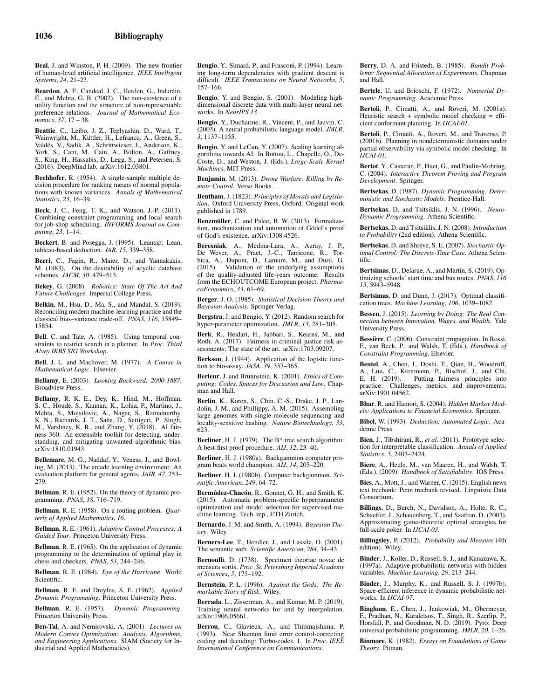Beal, J. and Winston, P. H. (2009). The new frontier of human-level artificial intelligence. *IEEE Intelligent Systems*, *24*, 21–23.

Beardon, A. F., Candeal, J. C., Herden, G., Induráin, E., and Mehta, G. B. (2002). The non-existence of a utility function and the structure of non-representable preference relations. *Journal of Mathematical Economics*, *37*, 17 – 38.

Beattie, C., Leibo, J. Z., Teplyashin, D., Ward, T., Wainwright, M., Küttler, H., Lefrancq, A., Green, S., Valdés, V., Sadik, A., Schrittwieser, J., Anderson, K., York, S., Cant, M., Cain, A., Bolton, A., Gaffney, S., King, H., Hassabis, D., Legg, S., and Petersen, S. (2016). DeepMind lab. arXiv:1612.03801.

Bechhofer, R. (1954). A single-sample multiple decision procedure for ranking means of normal populations with known variances. *Annals of Mathematical Statistics*, *25*, 16–39.

Beck, J. C., Feng, T. K., and Watson, J.-P. (2011). Combining constraint programming and local search for job-shop scheduling. *INFORMS Journal on Computing*, *23*, 1–14.

Beckert, B. and Posegga, J. (1995). Leantap: Lean, tableau-based deduction. *JAR*, *15*, 339–358.

Beeri, C., Fagin, R., Maier, D., and Yannakakis, M. (1983). On the desirability of acyclic database schemes. *JACM*, *30*, 479–513.

Bekey, G. (2008). *Robotics: State Of The Art And Future Challenges*. Imperial College Press.

Belkin, M., Hsu, D., Ma, S., and Mandal, S. (2019). Reconciling modern machine-learning practice and the classical bias–variance trade-off. *PNAS*, *116*, 15849– 15854.

Bell, C. and Tate, A. (1985). Using temporal constraints to restrict search in a planner. In *Proc. Third Alvey IKBS SIG Workshop*.

Bell, J. L. and Machover, M. (1977). *A Course in Mathematical Logic*. Elsevier.

Bellamy, E. (2003). *Looking Backward: 2000-1887*. Broadview Press.

Bellamy, R. K. E., Dey, K., Hind, M., Hoffman, S. C., Houde, S., Kannan, K., Lohia, P., Martino, J., Mehta, S., Mojsilovic, A., Nagar, S., Ramamurthy, K. N., Richards, J. T., Saha, D., Sattigeri, P., Singh, M., Varshney, K. R., and Zhang, Y. (2018). AI fairness 360: An extensible toolkit for detecting, understanding, and mitigating unwanted algorithmic bias. arXiv:1810.01943.

Bellemare, M. G., Naddaf, Y., Veness, J., and Bowling, M. (2013). The arcade learning environment: An evaluation platform for general agents. *JAIR*, *47*, 253– 279.

Bellman, R. E. (1952). On the theory of dynamic programming. *PNAS*, *38*, 716–719.

Bellman, R. E. (1958). On a routing problem. *Quarterly of Applied Mathematics*, *16*.

Bellman, R. E. (1961). *Adaptive Control Processes: A Guided Tour*. Princeton University Press.

Bellman, R. E. (1965). On the application of dynamic programming to the determination of optimal play in chess and checkers. *PNAS*, *53*, 244–246.

Bellman, R. E. (1984). *Eye of the Hurricane*. World Scientific.

Bellman, R. E. and Dreyfus, S. E. (1962). *Applied Dynamic Programming*. Princeton University Press.

Bellman, R. E. (1957). *Dynamic Programming*. Princeton University Press.

Ben-Tal, A. and Nemirovski, A. (2001). *Lectures on Modern Convex Optimization: Analysis, Algorithms, and Engineering Applications*. SIAM (Society for In-dustrial and Applied Mathematics).

Bengio, Y., Simard, P., and Frasconi, P. (1994). Learning long-term dependencies with gradient descent is difficult. *IEEE Transactions on Neural Networks*, *5*, 157–166.

Bengio, Y. and Bengio, S. (2001). Modeling highdimensional discrete data with multi-layer neural networks. In *NeurIPS 13*.

Bengio, Y., Ducharme, R., Vincent, P., and Jauvin, C. (2003). A neural probabilistic language model. *JMLR*, *3*, 1137–1155.

Bengio, Y. and LeCun, Y. (2007). Scaling learning algorithms towards AI. In Bottou, L., Chapelle, O., De-Coste, D., and Weston, J. (Eds.), *Large-Scale Kernel Machines*. MIT Press.

Benjamin, M. (2013). *Drone Warfare: Killing by Remote Control*. Verso Books.

Bentham, J. (1823). *Principles of Morals and Legislation*. Oxford University Press, Oxford. Original work published in 1789.

Benzmüller, C. and Paleo, B. W. (2013). Formalization, mechanization and automation of Gödel's proof of God's existence. arXiv:1308.4526.

Beresniak, A., Medina-Lara, A., Auray, J. P., De Wever, A., Praet, J.-C., Tarricone, R., Tor-bica, A., Dupont, D., Lamure, M., and Duru, G. (2015). Validation of the underlying assumptions of the quality-adjusted life-years outcome: Results from the ECHOUTCOME European project. *PharmacoEconomics*, *33*, 61–69.

Berger, J. O. (1985). *Statistical Decision Theory and Bayesian Analysis*. Springer Verlag.

Bergstra, J. and Bengio, Y. (2012). Random search for hyper-parameter optimization. *JMLR*, *13*, 281–305.

Berk, R., Heidari, H., Jabbari, S., Kearns, M., and Roth, A. (2017). Fairness in criminal justice risk assessments: The state of the art. arXiv:1703.09207.

Berkson, J. (1944). Application of the logistic function to bio-assay. *JASA*, *39*, 357–365.

Berleur, J. and Brunnstein, K. (2001). *Ethics of Computing: Codes, Spaces for Discussion and Law*. Chapman and Hall.

Berlin, K., Koren, S., Chin, C.-S., Drake, J. P., Landolin, J. M., and Phillippy, A. M. (2015). Assembling large genomes with single-molecule sequencing and locality-sensitive hashing. *Nature Biotechnology*, *33*, 623.

Berliner, H. J. (1979). The B<sup>\*</sup> tree search algorithm: A best-first proof procedure. *AIJ*, *12*, 23–40.

Berliner, H. J. (1980a). Backgammon computer program beats world champion. *AIJ*, *14*, 205–220.

Berliner, H. J. (1980b). Computer backgammon. *Scientific American*, *249*, 64–72.

Bermúdez-Chacón, R., Gonnet, G. H., and Smith, K. (2015). Automatic problem-specific hyperparameter optimization and model selection for supervised machine learning. Tech. rep., ETH Zurich.

Bernardo, J. M. and Smith, A. (1994). *Bayesian Theory*. Wiley.

Berners-Lee, T., Hendler, J., and Lassila, O. (2001). The semantic web. *Scientific American*, *284*, 34–43.

Bernoulli, D. (1738). Specimen theoriae novae de mensura sortis. *Proc. St. Petersburg Imperial Academy of Sciences*, *5*, 175–192.

Bernstein, P. L. (1996). *Against the Gods: The Remarkable Story of Risk*. Wiley.

Berrada, L., Zisserman, A., and Kumar, M. P. (2019). Training neural networks for and by interpolation. arXiv:1906.05661.

Berrou, C., Glavieux, A., and Thitimajshima, P. (1993). Near Shannon limit error control-correcting coding and decoding: Turbo-codes. 1. In *Proc. IEEE International Conference on Communications*.

Berry, D. A. and Fristedt, B. (1985). *Bandit Problems: Sequential Allocation of Experiments*. Chapman and Hall.

Bertele, U. and Brioschi, F. (1972). *Nonserial Dynamic Programming*. Academic Press.

Bertoli, P., Cimatti, A., and Roveri, M. (2001a). Heuristic search + symbolic model checking = efficient conformant planning. In *IJCAI-01*.

Bertoli, P., Cimatti, A., Roveri, M., and Traverso, P. (2001b). Planning in nondeterministic domains under partial observability via symbolic model checking. In *IJCAI-01*.

Bertot, Y., Casteran, P., Huet, G., and Paulin-Mohring, C. (2004). *Interactive Theorem Proving and Program Development*. Springer.

Bertsekas, D. (1987). *Dynamic Programming: Deterministic and Stochastic Models*. Prentice-Hall.

Bertsekas, D. and Tsitsiklis, J. N. (1996). *Neuro-Dynamic Programming*. Athena Scientific.

Bertsekas, D. and Tsitsiklis, J. N. (2008). *Introduction to Probability* (2nd edition). Athena Scientific.

Bertsekas, D. and Shreve, S. E. (2007). *Stochastic Optimal Control: The Discrete-Time Case*. Athena Scientific.

Bertsimas, D., Delarue, A., and Martin, S. (2019). Optimizing schools' start time and bus routes. *PNAS*, *116 13*, 5943–5948.

Bertsimas, D. and Dunn, J. (2017). Optimal classification trees. *Machine Learning*, *106*, 1039–1082.

Bessen, J. (2015). *Learning by Doing: The Real Connection between Innovation, Wages, and Wealth*. Yale University Press.

Bessière, C. (2006). Constraint propagation. In Rossi, F., van Beek, P., and Walsh, T. (Eds.), *Handbook of Constraint Programming*. Elsevier.

Beutel, A., Chen, J., Doshi, T., Qian, H., Woodruff, A., Luu, C., Kreitmann, P., Bischof, J., and Chi, E. H. (2019). Putting fairness principles into Putting fairness principles into practice: Challenges, metrics, and improvements. arXiv:1901.04562.

Bhar, R. and Hamori, S. (2004). *Hidden Markov Models: Applications to Financial Economics*. Springer.

Bibel, W. (1993). *Deduction: Automated Logic*. Academic Press.

Bien, J., Tibshirani, R., *et al.* (2011). Prototype selection for interpretable classification. *Annals of Applied Statistics*, *5*, 2403–2424.

Biere, A., Heule, M., van Maaren, H., and Walsh, T. (Eds.). (2009). *Handbook of Satisfiability*. IOS Press.

Bies, A., Mott, J., and Warner, C. (2015). English news text treebank: Penn treebank revised. Linguistic Data Consortium.

Billings, D., Burch, N., Davidson, A., Holte, R. C., Schaeffer, J., Schauenberg, T., and Szafron, D. (2003). Approximating game-theoretic optimal strategies for full-scale poker. In *IJCAI-03*.

Billingsley, P. (2012). *Probability and Measure* (4th edition). Wiley.

Binder, J., Koller, D., Russell, S. J., and Kanazawa, K. (1997a). Adaptive probabilistic networks with hidden variables. *Machine Learning*, *29*, 213–244.

Binder, J., Murphy, K., and Russell, S. J. (1997b). Space-efficient inference in dynamic probabilistic networks. In *IJCAI-97*.

Bingham, E., Chen, J., Jankowiak, M., Obermeyer, F., Pradhan, N., Karaletsos, T., Singh, R., Szerlip, P., Horsfall, P., and Goodman, N. D. (2019). Pyro: Deep universal probabilistic programming. *JMLR*, *20*, 1–26.

Binmore, K. (1982). *Essays on Foundations of Game Theory*. Pitman.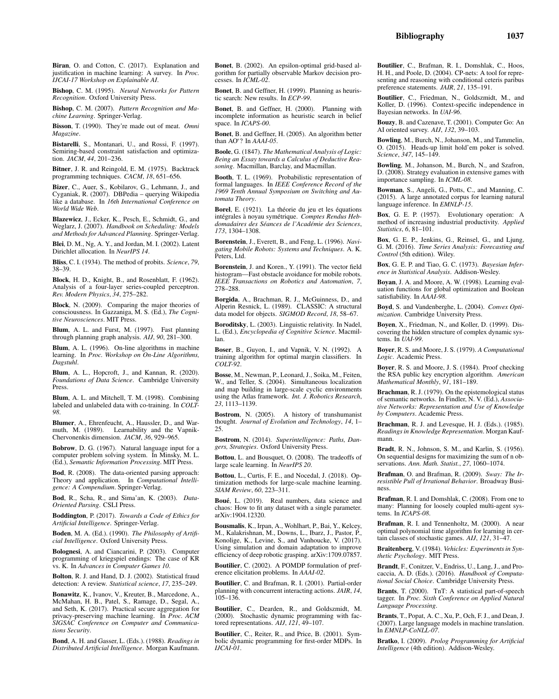Biran, O. and Cotton, C. (2017). Explanation and justification in machine learning: A survey. In *Proc. IJCAI-17 Workshop on Explainable AI*.

Bishop, C. M. (1995). *Neural Networks for Pattern Recognition*. Oxford University Press.

Bishop, C. M. (2007). *Pattern Recognition and Machine Learning*. Springer-Verlag.

Bisson, T. (1990). They're made out of meat. *Omni Magazine*.

Bistarelli, S., Montanari, U., and Rossi, F. (1997). Semiring-based constraint satisfaction and optimization. *JACM*, *44*, 201–236.

Bitner, J. R. and Reingold, E. M. (1975). Backtrack programming techniques. *CACM*, *18*, 651–656.

Bizer, C., Auer, S., Kobilarov, G., Lehmann, J., and Cyganiak, R. (2007). DBPedia – querying Wikipedia like a database. In *16th International Conference on World Wide Web*.

Blazewicz, J., Ecker, K., Pesch, E., Schmidt, G., and Weglarz, J. (2007). *Handbook on Scheduling: Models and Methods for Advanced Planning*. Springer-Verlag.

Blei, D. M., Ng, A. Y., and Jordan, M. I. (2002). Latent Dirichlet allocation. In *NeurIPS 14*.

Bliss, C. I. (1934). The method of probits. *Science*, *79*, 38–39.

Block, H. D., Knight, B., and Rosenblatt, F. (1962). Analysis of a four-layer series-coupled perceptron. *Rev. Modern Physics*, *34*, 275–282.

Block, N. (2009). Comparing the major theories of consciousness. In Gazzaniga, M. S. (Ed.), *The Cognitive Neurosciences*. MIT Press.

Blum, A. L. and Furst, M. (1997). Fast planning through planning graph analysis. *AIJ*, *90*, 281–300.

Blum, A. L. (1996). On-line algorithms in machine learning. In *Proc. Workshop on On-Line Algorithms, Dagstuhl*.

Blum, A. L., Hopcroft, J., and Kannan, R. (2020). *Foundations of Data Science*. Cambridge University Press.

Blum, A. L. and Mitchell, T. M. (1998). Combining labeled and unlabeled data with co-training. In *COLT-98*.

Blumer, A., Ehrenfeucht, A., Haussler, D., and Warmuth, M. (1989). Learnability and the Vapnik-Chervonenkis dimension. *JACM*, *36*, 929–965.

Bobrow, D. G. (1967). Natural language input for a computer problem solving system. In Minsky, M. L. (Ed.), *Semantic Information Processing*. MIT Press.

Bod, R. (2008). The data-oriented parsing approach: Theory and application. In *Computational Intelligence: A Compendium*. Springer-Verlag.

Bod, R., Scha, R., and Sima'an, K. (2003). *Data-Oriented Parsing*. CSLI Press.

Boddington, P. (2017). *Towards a Code of Ethics for Artificial Intelligence*. Springer-Verlag.

Boden, M. A. (Ed.). (1990). *The Philosophy of Artificial Intelligence*. Oxford University Press.

Bolognesi, A. and Ciancarini, P. (2003). Computer programming of kriegspiel endings: The case of KR vs. K. In *Advances in Computer Games 10*.

Bolton, R. J. and Hand, D. J. (2002). Statistical fraud detection: A review. *Statistical science*, *17*, 235–249.

Bonawitz, K., Ivanov, V., Kreuter, B., Marcedone, A., McMahan, H. B., Patel, S., Ramage, D., Segal, A., and Seth, K. (2017). Practical secure aggregation for privacy-preserving machine learning. In *Proc. ACM SIGSAC Conference on Computer and Communications Security*.

Bond, A. H. and Gasser, L. (Eds.). (1988). *Readings in Distributed Artificial Intelligence*. Morgan Kaufmann.

Bonet, B. (2002). An epsilon-optimal grid-based algorithm for partially observable Markov decision processes. In *ICML-02*.

Bonet, B. and Geffner, H. (1999). Planning as heuristic search: New results. In *ECP-99*.

Bonet, B. and Geffner, H. (2000). Planning with incomplete information as heuristic search in belief space. In *ICAPS-00*.

Bonet, B. and Geffner, H. (2005). An algorithm better than AO<sup>∗</sup> ? In *AAAI-05*.

Boole, G. (1847). *The Mathematical Analysis of Logic: Being an Essay towards a Calculus of Deductive Reasoning*. Macmillan, Barclay, and Macmillan.

Booth, T. L. (1969). Probabilistic representation of formal languages. In *IEEE Conference Record of the 1969 Tenth Annual Symposium on Switching and Automata Theory*.

Borel, E. (1921). La théorie du jeu et les équations intégrales à noyau symétrique. Comptes Rendus Heb*domadaires des S´eances de l'Acad´emie des Sciences*, *173*, 1304–1308.

Borenstein, J., Everett, B., and Feng, L. (1996). *Navigating Mobile Robots: Systems and Techniques*. A. K. Peters, Ltd.

Borenstein, J. and Koren., Y. (1991). The vector field histogram—Fast obstacle avoidance for mobile robots. *IEEE Transactions on Robotics and Automation*, *7*, 278–288.

Borgida, A., Brachman, R. J., McGuinness, D., and Alperin Resnick, L. (1989). CLASSIC: A structural data model for objects. *SIGMOD Record*, *18*, 58–67.

Boroditsky, L. (2003). Linguistic relativity. In Nadel, L. (Ed.), *Encyclopedia of Cognitive Science*. Macmillan.

Boser, B., Guyon, I., and Vapnik, V. N. (1992). A training algorithm for optimal margin classifiers. In *COLT-92*.

Bosse, M., Newman, P., Leonard, J., Soika, M., Feiten, W., and Teller, S. (2004). Simultaneous localization and map building in large-scale cyclic environments using the Atlas framework. *Int. J. Robotics Research*, *23*, 1113–1139.

Bostrom, N. (2005). A history of transhumanist thought. *Journal of Evolution and Technology*, *14*, 1– 25.

Bostrom, N. (2014). *Superintelligence: Paths, Dangers, Strategies*. Oxford University Press.

Bottou, L. and Bousquet, O. (2008). The tradeoffs of large scale learning. In *NeurIPS 20*.

Bottou, L., Curtis, F. E., and Nocedal, J. (2018). Optimization methods for large-scale machine learning. *SIAM Review*, *60*, 223–311.

Boué, L. (2019). Real numbers, data science and chaos: How to fit any dataset with a single parameter. arXiv:1904.12320.

Bousmalis, K., Irpan, A., Wohlhart, P., Bai, Y., Kelcey, M., Kalakrishnan, M., Downs, L., Ibarz, J., Pastor, P., Konolige, K., Levine, S., and Vanhoucke, V. (2017). Using simulation and domain adaptation to improve efficiency of deep robotic grasping. arXiv:1709.07857.

Boutilier, C. (2002). A POMDP formulation of preference elicitation problems. In *AAAI-02*.

Boutilier, C. and Brafman, R. I. (2001). Partial-order planning with concurrent interacting actions. *JAIR*, *14*, 105–136.

Boutilier, C., Dearden, R., and Goldszmidt, M. (2000). Stochastic dynamic programming with factored representations. *AIJ*, *121*, 49–107.

Boutilier, C., Reiter, R., and Price, B. (2001). Symbolic dynamic programming for first-order MDPs. In *IJCAI-01*.

Boutilier, C., Brafman, R. I., Domshlak, C., Hoos, H. H., and Poole, D. (2004). CP-nets: A tool for representing and reasoning with conditional ceteris paribus preference statements. *JAIR*, *21*, 135–191.

Boutilier, C., Friedman, N., Goldszmidt, M., and Koller, D. (1996). Context-specific independence in Bayesian networks. In *UAI-96*.

Bouzy, B. and Cazenave, T. (2001). Computer Go: An AI oriented survey. *AIJ*, *132*, 39–103.

Bowling, M., Burch, N., Johanson, M., and Tammelin, O. (2015). Heads-up limit hold'em poker is solved. *Science*, *347*, 145–149.

Bowling, M., Johanson, M., Burch, N., and Szafron, D. (2008). Strategy evaluation in extensive games with importance sampling. In *ICML-08*.

Bowman, S., Angeli, G., Potts, C., and Manning, C. (2015). A large annotated corpus for learning natural language inference. In *EMNLP-15*.

Box, G. E. P. (1957). Evolutionary operation: A method of increasing industrial productivity. *Applied Statistics*, *6*, 81–101.

Box, G. E. P., Jenkins, G., Reinsel, G., and Ljung, G. M. (2016). *Time Series Analysis: Forecasting and Control* (5th edition). Wiley.

Box, G. E. P. and Tiao, G. C. (1973). *Bayesian Inference in Statistical Analysis*. Addison-Wesley.

Boyan, J. A. and Moore, A. W. (1998). Learning evaluation functions for global optimization and Boolean satisfiability. In *AAAI-98*.

Boyd, S. and Vandenberghe, L. (2004). *Convex Optimization*. Cambridge University Press.

Boyen, X., Friedman, N., and Koller, D. (1999). Discovering the hidden structure of complex dynamic systems. In *UAI-99*.

Boyer, R. S. and Moore, J. S. (1979). *A Computational Logic*. Academic Press.

Boyer, R. S. and Moore, J. S. (1984). Proof checking the RSA public key encryption algorithm. *American Mathematical Monthly*, *91*, 181–189.

Brachman, R. J. (1979). On the epistemological status of semantic networks. In Findler, N. V. (Ed.), *Associative Networks: Representation and Use of Knowledge by Computers*. Academic Press.

Brachman, R. J. and Levesque, H. J. (Eds.). (1985). *Readings in Knowledge Representation*. Morgan Kaufmann.

Bradt, R. N., Johnson, S. M., and Karlin, S. (1956). On sequential designs for maximizing the sum of n observations. *Ann. Math. Statist.*, *27*, 1060–1074.

Brafman, O. and Brafman, R. (2009). *Sway: The Irresistible Pull of Irrational Behavior*. Broadway Business.

Brafman, R. I. and Domshlak, C. (2008). From one to many: Planning for loosely coupled multi-agent systems. In *ICAPS-08*.

Brafman, R. I. and Tennenholtz, M. (2000). A near optimal polynomial time algorithm for learning in certain classes of stochastic games. *AIJ*, *121*, 31–47.

Braitenberg, V. (1984). *Vehicles: Experiments in Synthetic Psychology*. MIT Press.

Brandt, F., Conitzer, V., Endriss, U., Lang, J., and Procaccia, A. D. (Eds.). (2016). *Handbook of Computational Social Choice*. Cambridge University Press.

Brants, T. (2000). TnT: A statistical part-of-speech tagger. In *Proc. Sixth Conference on Applied Natural Language Processing*.

Brants, T., Popat, A. C., Xu, P., Och, F. J., and Dean, J. (2007). Large language models in machine translation. In *EMNLP-CoNLL-07*.

Bratko, I. (2009). *Prolog Programming for Artificial Intelligence* (4th edition). Addison-Wesley.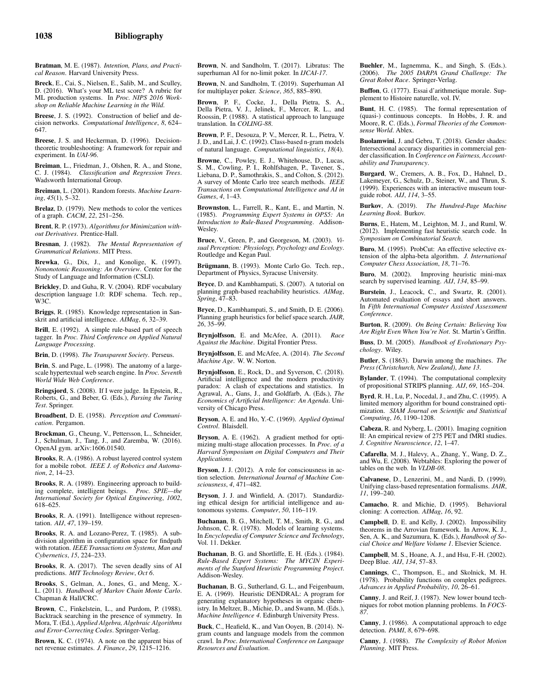Bratman, M. E. (1987). *Intention, Plans, and Practical Reason*. Harvard University Press.

Breck, E., Cai, S., Nielsen, E., Salib, M., and Sculley, D. (2016). What's your ML test score? A rubric for ML production systems. In *Proc. NIPS 2016 Workshop on Reliable Machine Learning in the Wild*.

Breese, J. S. (1992). Construction of belief and decision networks. *Computational Intelligence*, *8*, 624– 647.

Breese, J. S. and Heckerman, D. (1996). Decisiontheoretic troubleshooting: A framework for repair and experiment. In *UAI-96*.

Breiman, L., Friedman, J., Olshen, R. A., and Stone, C. J. (1984). *Classification and Regression Trees*. Wadsworth International Group.

Breiman, L. (2001). Random forests. *Machine Learning*, *45*(1), 5–32.

Brelaz, D. (1979). New methods to color the vertices of a graph. *CACM*, *22*, 251–256.

Brent, R. P. (1973). *Algorithms for Minimization without Derivatives*. Prentice-Hall.

Bresnan, J. (1982). *The Mental Representation of Grammatical Relations*. MIT Press.

Brewka, G., Dix, J., and Konolige, K. (1997). *Nononotonic Reasoning: An Overview*. Center for the Study of Language and Information (CSLI).

Brickley, D. and Guha, R. V. (2004). RDF vocabulary description language 1.0: RDF schema. Tech. rep., W3C.

Briggs, R. (1985). Knowledge representation in Sanskrit and artificial intelligence. *AIMag*, *6*, 32–39.

Brill, E. (1992). A simple rule-based part of speech tagger. In *Proc. Third Conference on Applied Natural Language Processing*.

Brin, D. (1998). *The Transparent Society*. Perseus.

Brin, S. and Page, L. (1998). The anatomy of a largescale hypertextual web search engine. In *Proc. Seventh World Wide Web Conference*.

Bringsjord, S. (2008). If I were judge. In Epstein, R., Roberts, G., and Beber, G. (Eds.), *Parsing the Turing Test*. Springer.

Broadbent, D. E. (1958). *Perception and Communication*. Pergamon.

Brockman, G., Cheung, V., Pettersson, L., Schneider, J., Schulman, J., Tang, J., and Zaremba, W. (2016). OpenAI gym. arXiv:1606.01540.

Brooks, R. A. (1986). A robust layered control system for a mobile robot. *IEEE J. of Robotics and Automation*, *2*, 14–23.

Brooks, R. A. (1989). Engineering approach to building complete, intelligent beings. *Proc. SPIE—the International Society for Optical Engineering*, *1002*, 618–625.

Brooks, R. A. (1991). Intelligence without represen-tation. *AIJ*, *47*, 139–159.

Brooks, R. A. and Lozano-Perez, T. (1985). A subdivision algorithm in configuration space for findpath with rotation. *IEEE Transactions on Systems, Man and Cybernetics*, *15*, 224–233.

Brooks, R. A. (2017). The seven deadly sins of AI predictions. *MIT Technology Review*, *Oct 6*.

Brooks, S., Gelman, A., Jones, G., and Meng, X.- L. (2011). *Handbook of Markov Chain Monte Carlo*. Chapman & Hall/CRC.

Brown, C., Finkelstein, L., and Purdom, P. (1988). Backtrack searching in the presence of symmetry. In Mora, T. (Ed.), *Applied Algebra, Algebraic Algorithms and Error-Correcting Codes*. Springer-Verlag.

Brown, K. C. (1974). A note on the apparent bias of net revenue estimates. *J. Finance*, *29*, 1215–1216.

Brown, N. and Sandholm, T. (2017). Libratus: The superhuman AI for no-limit poker. In *IJCAI-17*.

Brown, N. and Sandholm, T. (2019). Superhuman AI for multiplayer poker. *Science*, *365*, 885–890.

Brown, P. F., Cocke, J., Della Pietra, S. A., Della Pietra, V. J., Jelinek, F., Mercer, R. L., and Roossin, P. (1988). A statistical approach to language translation. In *COLING-88*.

Brown, P. F., Desouza, P. V., Mercer, R. L., Pietra, V. J. D., and Lai, J. C. (1992). Class-based n-gram models of natural language. *Computational linguistics*, *18*(4).

Browne, C., Powley, E. J., Whitehouse, D., Lucas, S. M., Cowling, P. I., Rohlfshagen, P., Tavener, S., Liebana, D. P., Samothrakis, S., and Colton, S. (2012). A survey of Monte Carlo tree search methods. *IEEE Transactions on Computational Intelligence and AI in Games*, *4*, 1–43.

Brownston, L., Farrell, R., Kant, E., and Martin, N. (1985). *Programming Expert Systems in OPS5: An Introduction to Rule-Based Programming*. Addison-Wesley.

Bruce, V., Green, P., and Georgeson, M. (2003). *Visual Perception: Physiology, Psychology and Ecology*. Routledge and Kegan Paul.

Brügmann, B. (1993). Monte Carlo Go. Tech. rep., Department of Physics, Syracuse University.

Bryce, D. and Kambhampati, S. (2007). A tutorial on planning graph-based reachability heuristics. *AIMag*, *Spring*, 47–83.

Bryce, D., Kambhampati, S., and Smith, D. E. (2006). Planning graph heuristics for belief space search. *JAIR*, *26*, 35–99.

Brynjolfsson, E. and McAfee, A. (2011). *Race Against the Machine*. Digital Frontier Press.

Brynjolfsson, E. and McAfee, A. (2014). *The Second Machine Age*. W. W. Norton.

Brynjolfsson, E., Rock, D., and Syverson, C. (2018). Artificial intelligence and the modern productivity paradox: A clash of expectations and statistics. In Agrawal, A., Gans, J., and Goldfarb, A. (Eds.), *The Economics of Artificial Intelligence: An Agenda*. University of Chicago Press.

Bryson, A. E. and Ho, Y.-C. (1969). *Applied Optimal Control*. Blaisdell.

Bryson, A. E. (1962). A gradient method for optimizing multi-stage allocation processes. In *Proc. of a Harvard Symposium on Digital Computers and Their Applications*.

Bryson, J. J. (2012). A role for consciousness in action selection. *International Journal of Machine Consciousness*, *4*, 471–482.

Bryson, J. J. and Winfield, A. (2017). Standardizing ethical design for artificial intelligence and autonomous systems. *Computer*, *50*, 116–119.

Buchanan, B. G., Mitchell, T. M., Smith, R. G., and Johnson, C. R. (1978). Models of learning systems. In *Encyclopedia of Computer Science and Technology*, Vol. 11. Dekker.

Buchanan, B. G. and Shortliffe, E. H. (Eds.). (1984). *Rule-Based Expert Systems: The MYCIN Experiments of the Stanford Heuristic Programming Project*. Addison-Wesley.

Buchanan, B. G., Sutherland, G. L., and Feigenbaum, E. A. (1969). Heuristic DENDRAL: A program for generating explanatory hypotheses in organic chemistry. In Meltzer, B., Michie, D., and Swann, M. (Eds.), *Machine Intelligence 4*. Edinburgh University Press.

Buck, C., Heafield, K., and Van Ooyen, B. (2014). Ngram counts and language models from the common crawl. In *Proc. International Conference on Language Resources and Evaluation*.

Buehler, M., Iagnemma, K., and Singh, S. (Eds.). (2006). *The 2005 DARPA Grand Challenge: The Great Robot Race*. Springer-Verlag.

Buffon, G. (1777). Essai d'arithmetique morale. Supplement to Histoire naturelle, vol. IV.

Bunt, H. C. (1985). The formal representation of (quasi-) continuous concepts. In Hobbs, J. R. and Moore, R. C. (Eds.), *Formal Theories of the Commonsense World*. Ablex.

Buolamwini, J. and Gebru, T. (2018). Gender shades: Intersectional accuracy disparities in commercial gender classification. In *Conference on Fairness, Accountability and Transparency*.

Burgard, W., Cremers, A. B., Fox, D., Hahnel, D., Lakemeyer, G., Schulz, D., Steiner, W., and Thrun, S. (1999). Experiences with an interactive museum tourguide robot. *AIJ*, *114*, 3–55.

Burkov, A. (2019). *The Hundred-Page Machine Learning Book*. Burkov.

Burns, E., Hatem, M., Leighton, M. J., and Ruml, W. (2012). Implementing fast heuristic search code. In *Symposium on Combinatorial Search*.

Buro, M. (1995). ProbCut: An effective selective extension of the alpha-beta algorithm. *J. International Computer Chess Association*, *18*, 71–76.

Buro, M. (2002). Improving heuristic mini-max search by supervised learning. *AIJ*, *134*, 85–99.

Burstein, J., Leacock, C., and Swartz, R. (2001). Automated evaluation of essays and short answers. In *Fifth International Computer Assisted Assessment Conference*.

Burton, R. (2009). *On Being Certain: Believing You Are Right Even When You're Not*. St. Martin's Griffin.

Buss, D. M. (2005). *Handbook of Evolutionary Psychology*. Wiley.

Butler, S. (1863). Darwin among the machines. *The Press (Christchurch, New Zealand)*, *June 13*.

Bylander, T. (1994). The computational complexity of propositional STRIPS planning. *AIJ*, *69*, 165–204.

Byrd, R. H., Lu, P., Nocedal, J., and Zhu, C. (1995). A limited memory algorithm for bound constrained optimization. *SIAM Journal on Scientific and Statistical Computing*, *16*, 1190–1208.

Cabeza, R. and Nyberg, L. (2001). Imaging cognition II: An empirical review of 275 PET and fMRI studies. *J. Cognitive Neuroscience*, *12*, 1–47.

Cafarella, M. J., Halevy, A., Zhang, Y., Wang, D. Z., and Wu, E. (2008). Webtables: Exploring the power of tables on the web. In *VLDB-08*.

Calvanese, D., Lenzerini, M., and Nardi, D. (1999). Unifying class-based representation formalisms. *JAIR*, *11*, 199–240.

Camacho, R. and Michie, D. (1995). Behavioral cloning: A correction. *AIMag*, *16*, 92.

Campbell, D. E. and Kelly, J. (2002). Impossibility theorems in the Arrovian framework. In Arrow, K. J., Sen, A. K., and Suzumura, K. (Eds.), *Handbook of Social Choice and Welfare Volume 1*. Elsevier Science.

Campbell, M. S., Hoane, A. J., and Hsu, F.-H. (2002). Deep Blue. *AIJ*, *134*, 57–83.

Cannings, C., Thompson, E., and Skolnick, M. H. (1978). Probability functions on complex pedigrees. *Advances in Applied Probability*, *10*, 26–61.

Canny, J. and Reif, J. (1987). New lower bound techniques for robot motion planning problems. In *FOCS-87*.

Canny, J. (1986). A computational approach to edge detection. *PAMI*, *8*, 679–698.

Canny, J. (1988). *The Complexity of Robot Motion Planning*. MIT Press.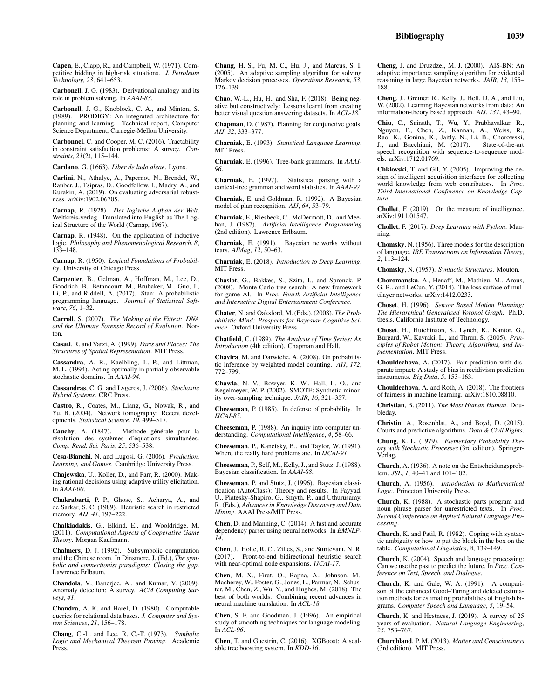Capen, E., Clapp, R., and Campbell, W. (1971). Competitive bidding in high-risk situations. *J. Petroleum Technology*, *23*, 641–653.

Carbonell, J. G. (1983). Derivational analogy and its role in problem solving. In *AAAI-83*.

Carbonell, J. G., Knoblock, C. A., and Minton, S. (1989). PRODIGY: An integrated architecture for planning and learning. Technical report, Computer Science Department, Carnegie-Mellon University.

Carbonnel, C. and Cooper, M. C. (2016). Tractability in constraint satisfaction problems: A survey. *Constraints*, *21*(2), 115–144.

Cardano, G. (1663). *Liber de ludo aleae*. Lyons.

Carlini, N., Athalye, A., Papernot, N., Brendel, W., Rauber, J., Tsipras, D., Goodfellow, I., Madry, A., and Kurakin, A. (2019). On evaluating adversarial robustness. arXiv:1902.06705.

Carnap, R. (1928). *Der logische Aufbau der Welt*. Weltkreis-verlag. Translated into English as The Logical Structure of the World (Carnap, 1967).

Carnap, R. (1948). On the application of inductive logic. *Philosophy and Phenomenological Research*, *8*, 133–148.

Carnap, R. (1950). *Logical Foundations of Probability*. University of Chicago Press.

Carpenter, B., Gelman, A., Hoffman, M., Lee, D., Goodrich, B., Betancourt, M., Brubaker, M., Guo, J., Li, P., and Riddell, A. (2017). Stan: A probabilistic programming language. *Journal of Statistical Software*, *76*, 1–32.

Carroll, S. (2007). *The Making of the Fittest: DNA and the Ultimate Forensic Record of Evolution*. Norton.

Casati, R. and Varzi, A. (1999). *Parts and Places: The Structures of Spatial Representation*. MIT Press.

Cassandra, A. R., Kaelbling, L. P., and Littman, M. L. (1994). Acting optimally in partially observable stochastic domains. In *AAAI-94*.

Cassandras, C. G. and Lygeros, J. (2006). *Stochastic Hybrid Systems*. CRC Press.

Castro, R., Coates, M., Liang, G., Nowak, R., and Yu, B. (2004). Network tomography: Recent developments. *Statistical Science*, *19*, 499–517.

Cauchy, A. (1847). Méthode générale pour la résolution des systèmes d'équations simultanées. *Comp. Rend. Sci. Paris*, *25*, 536–538.

Cesa-Bianchi, N. and Lugosi, G. (2006). *Prediction, Learning, and Games*. Cambridge University Press.

Chajewska, U., Koller, D., and Parr, R. (2000). Making rational decisions using adaptive utility elicitation. In *AAAI-00*.

Chakrabarti, P. P., Ghose, S., Acharya, A., and de Sarkar, S. C. (1989). Heuristic search in restricted memory. *AIJ*, *41*, 197–222.

Chalkiadakis, G., Elkind, E., and Wooldridge, M. (2011). *Computational Aspects of Cooperative Game Theory*. Morgan Kaufmann.

Chalmers, D. J. (1992). Subsymbolic computation and the Chinese room. In Dinsmore, J. (Ed.), *The symbolic and connectionist paradigms: Closing the gap*. Lawrence Erlbaum.

Chandola, V., Banerjee, A., and Kumar, V. (2009). Anomaly detection: A survey. *ACM Computing Surveys*, *41*.

Chandra, A. K. and Harel, D. (1980). Computable queries for relational data bases. *J. Computer and System Sciences*, *21*, 156–178.

Chang, C.-L. and Lee, R. C.-T. (1973). *Symbolic Logic and Mechanical Theorem Proving*. Academic Press.

Chang, H. S., Fu, M. C., Hu, J., and Marcus, S. I. (2005). An adaptive sampling algorithm for solving Markov decision processes. *Operations Research*, *53*, 126–139.

Chao, W.-L., Hu, H., and Sha, F. (2018). Being negative but constructively: Lessons learnt from creating better visual question answering datasets. In *ACL-18*.

Chapman, D. (1987). Planning for conjunctive goals. *AIJ*, *32*, 333–377.

Charniak, E. (1993). *Statistical Language Learning*. MIT Press.

Charniak, E. (1996). Tree-bank grammars. In *AAAI-96*.

Charniak, E. (1997). Statistical parsing with a context-free grammar and word statistics. In *AAAI-97*.

Charniak, E. and Goldman, R. (1992). A Bayesian model of plan recognition. *AIJ*, *64*, 53–79.

Charniak, E., Riesbeck, C., McDermott, D., and Meehan, J. (1987). *Artificial Intelligence Programming* (2nd edition). Lawrence Erlbaum.

Charniak, E. (1991). Bayesian networks without tears. *AIMag*, *12*, 50–63.

Charniak, E. (2018). *Introduction to Deep Learning*. MIT Press.

Chaslot, G., Bakkes, S., Szita, I., and Spronck, P. (2008). Monte-Carlo tree search: A new framework for game AI. In *Proc. Fourth Artificial Intelligence and Interactive Digital Entertainment Conference*.

Chater, N. and Oaksford, M. (Eds.). (2008). *The Probabilistic Mind: Prospects for Bayesian Cognitive Science*. Oxford University Press.

Chatfield, C. (1989). *The Analysis of Time Series: An Introduction* (4th edition). Chapman and Hall.

Chavira, M. and Darwiche, A. (2008). On probabilistic inference by weighted model counting. *AIJ*, *172*, 772–799.

Chawla, N. V., Bowyer, K. W., Hall, L. O., and Kegelmeyer, W. P. (2002). SMOTE: Synthetic minority over-sampling technique. *JAIR*, *16*, 321–357.

Cheeseman, P. (1985). In defense of probability. In *IJCAI-85*.

Cheeseman, P. (1988). An inquiry into computer understanding. *Computational Intelligence*, *4*, 58–66.

Cheeseman, P., Kanefsky, B., and Taylor, W. (1991). Where the really hard problems are. In *IJCAI-91*.

Cheeseman, P., Self, M., Kelly, J., and Stutz, J. (1988). Bayesian classification. In *AAAI-88*.

Cheeseman, P. and Stutz, J. (1996). Bayesian classification (AutoClass): Theory and results. In Fayyad, U., Piatesky-Shapiro, G., Smyth, P., and Uthurusamy, R. (Eds.), *Advances in Knowledge Discovery and Data Mining*. AAAI Press/MIT Press.

Chen, D. and Manning, C. (2014). A fast and accurate dependency parser using neural networks. In *EMNLP-14*.

Chen, J., Holte, R. C., Zilles, S., and Sturtevant, N. R. (2017). Front-to-end bidirectional heuristic search with near-optimal node expansions. *IJCAI-17*.

Chen, M. X., Firat, O., Bapna, A., Johnson, M., Macherey, W., Foster, G., Jones, L., Parmar, N., Schuster, M., Chen, Z., Wu, Y., and Hughes, M. (2018). The best of both worlds: Combining recent advances in neural machine translation. In *ACL-18*.

Chen, S. F. and Goodman, J. (1996). An empirical study of smoothing techniques for language modeling. In *ACL-96*.

Chen, T. and Guestrin, C. (2016). XGBoost: A scalable tree boosting system. In *KDD-16*.

Cheng, J. and Druzdzel, M. J. (2000). AIS-BN: An adaptive importance sampling algorithm for evidential reasoning in large Bayesian networks. *JAIR*, *13*, 155– 188.

Cheng, J., Greiner, R., Kelly, J., Bell, D. A., and Liu, W. (2002). Learning Bayesian networks from data: An information-theory based approach. *AIJ*, *137*, 43–90.

Chiu, C., Sainath, T., Wu, Y., Prabhavalkar, R., Nguyen, P., Chen, Z., Kannan, A., Weiss, R., Rao, K., Gonina, K., Jaitly, N., Li, B., Chorowski, J., and Bacchiani, M. (2017). State-of-the-art J., and Bacchiani, M.  $(2017)$ . speech recognition with sequence-to-sequence models. arXiv:1712.01769.

Chklovski, T. and Gil, Y. (2005). Improving the design of intelligent acquisition interfaces for collecting world knowledge from web contributors. In *Proc. Third International Conference on Knowledge Capture*.

Chollet, F. (2019). On the measure of intelligence. arXiv:1911.01547.

Chollet, F. (2017). *Deep Learning with Python*. Manning.

Chomsky, N. (1956). Three models for the description of language. *IRE Transactions on Information Theory*, *2*, 113–124.

Chomsky, N. (1957). *Syntactic Structures*. Mouton.

Choromanska, A., Henaff, M., Mathieu, M., Arous, G. B., and LeCun, Y. (2014). The loss surface of multilayer networks. arXiv:1412.0233.

Choset, H. (1996). *Sensor Based Motion Planning: The Hierarchical Generalized Voronoi Graph*. Ph.D. thesis, California Institute of Technology.

Choset, H., Hutchinson, S., Lynch, K., Kantor, G., Burgard, W., Kavraki, L., and Thrun, S. (2005). *Principles of Robot Motion: Theory, Algorithms, and Implementation*. MIT Press.

Chouldechova, A. (2017). Fair prediction with disparate impact: A study of bias in recidivism prediction instruments. *Big Data*, *5*, 153–163.

Chouldechova, A. and Roth, A. (2018). The frontiers of fairness in machine learning. arXiv:1810.08810.

Christian, B. (2011). *The Most Human Human*. Doubleday.

Christin, A., Rosenblat, A., and Boyd, D. (2015). Courts and predictive algorithms. *Data & Civil Rights*.

Chung, K. L. (1979). *Elementary Probability Theory with Stochastic Processes* (3rd edition). Springer-Verlag.

Church, A. (1936). A note on the Entscheidungsproblem. *JSL*, *1*, 40–41 and 101–102.

Church, A. (1956). *Introduction to Mathematical Logic*. Princeton University Press.

Church, K. (1988). A stochastic parts program and noun phrase parser for unrestricted texts. In *Proc. Second Conference on Applied Natural Language Processing*.

Church, K. and Patil, R. (1982). Coping with syntactic ambiguity or how to put the block in the box on the table. *Computational Linguistics*, *8*, 139–149.

Church, K. (2004). Speech and language processing: Can we use the past to predict the future. In *Proc. Conference on Text, Speech, and Dialogue*.

Church, K. and Gale, W. A. (1991). A comparison of the enhanced Good–Turing and deleted estimation methods for estimating probabilities of English bigrams. *Computer Speech and Language*, *5*, 19–54.

Church, K. and Hestness, J. (2019). A survey of 25 years of evaluation. *Natural Language Engineering*, *25*, 753–767.

Churchland, P. M. (2013). *Matter and Consciousness* (3rd edition). MIT Press.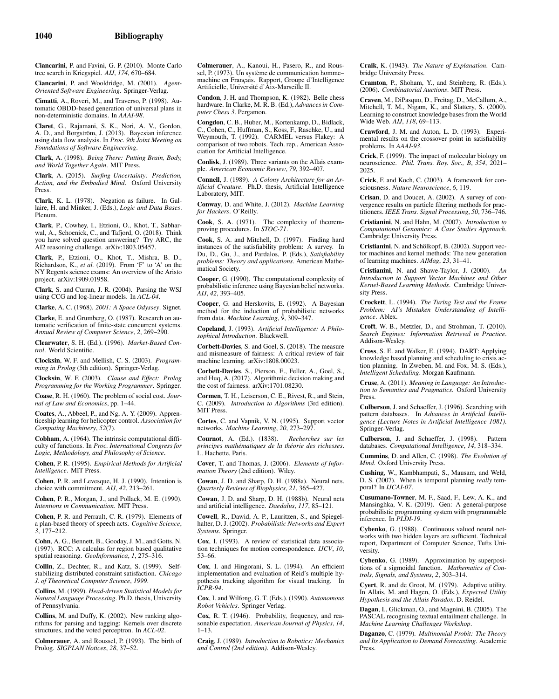Ciancarini, P. and Favini, G. P. (2010). Monte Carlo tree search in Kriegspiel. *AIJ*, *174*, 670–684.

Ciancarini, P. and Wooldridge, M. (2001). *Agent-Oriented Software Engineering*. Springer-Verlag.

Cimatti, A., Roveri, M., and Traverso, P. (1998). Automatic OBDD-based generation of universal plans in non-deterministic domains. In *AAAI-98*.

Claret, G., Rajamani, S. K., Nori, A. V., Gordon, A. D., and Borgström, J. (2013). Bayesian inference using data flow analysis. In *Proc. 9th Joint Meeting on Foundations of Software Engineering*.

Clark, A. (1998). *Being There: Putting Brain, Body, and World Together Again*. MIT Press.

Clark, A. (2015). *Surfing Uncertainty: Prediction, Action, and the Embodied Mind*. Oxford University Press.

Clark, K. L. (1978). Negation as failure. In Gallaire, H. and Minker, J. (Eds.), *Logic and Data Bases*. Plenum.

Clark, P., Cowhey, I., Etzioni, O., Khot, T., Sabharwal, A., Schoenick, C., and Tafjord, O. (2018). Think you have solved question answering? Try ARC, the AI2 reasoning challenge. arXiv:1803.05457.

Clark, P., Etzioni, O., Khot, T., Mishra, B. D., Richardson, K., *et al.* (2019). From 'F' to 'A' on the NY Regents science exams: An overview of the Aristo project. arXiv:1909.01958.

Clark, S. and Curran, J. R. (2004). Parsing the WSJ using CCG and log-linear models. In *ACL-04*.

Clarke, A. C. (1968). *2001: A Space Odyssey*. Signet.

Clarke, E. and Grumberg, O. (1987). Research on automatic verification of finite-state concurrent systems. *Annual Review of Computer Science*, *2*, 269–290.

Clearwater, S. H. (Ed.). (1996). *Market-Based Control*. World Scientific.

Clocksin, W. F. and Mellish, C. S. (2003). *Programming in Prolog* (5th edition). Springer-Verlag.

Clocksin, W. F. (2003). *Clause and Effect: Prolog Programming for the Working Programmer*. Springer.

Coase, R. H. (1960). The problem of social cost. *Journal of Law and Economics*, pp. 1–44.

Coates, A., Abbeel, P., and Ng, A. Y. (2009). Apprenticeship learning for helicopter control. *Association for Computing Machinery*, *52*(7).

Cobham, A. (1964). The intrinsic computational difficulty of functions. In *Proc. International Congress for Logic, Methodology, and Philosophy of Science*.

Cohen, P. R. (1995). *Empirical Methods for Artificial Intelligence*. MIT Press.

Cohen, P. R. and Levesque, H. J. (1990). Intention is choice with commitment. *AIJ*, *42*, 213–261.

Cohen, P. R., Morgan, J., and Pollack, M. E. (1990). *Intentions in Communication*. MIT Press.

Cohen, P. R. and Perrault, C. R. (1979). Elements of a plan-based theory of speech acts. *Cognitive Science*, *3*, 177–212.

Cohn, A. G., Bennett, B., Gooday, J. M., and Gotts, N. (1997). RCC: A calculus for region based qualitative spatial reasoning. *GeoInformatica*, *1*, 275–316.

Collin, Z., Dechter, R., and Katz, S. (1999). Selfstabilizing distributed constraint satisfaction. *Chicago J. of Theoretical Computer Science*, *1999*.

Collins, M. (1999). *Head-driven Statistical Models for Natural Language Processing*. Ph.D. thesis, University of Pennsylvania.

Collins, M. and Duffy, K. (2002). New ranking algorithms for parsing and tagging: Kernels over discrete structures, and the voted perceptron. In *ACL-02*.

Colmerauer, A. and Roussel, P. (1993). The birth of Prolog. *SIGPLAN Notices*, *28*, 37–52.

Colmerauer, A., Kanoui, H., Pasero, R., and Roussel, P. (1973). Un système de communication hommemachine en Français. Rapport, Groupe d'Intelligence Artificielle, Université d'Aix-Marseille II.

Condon, J. H. and Thompson, K. (1982). Belle chess hardware. In Clarke, M. R. B. (Ed.), *Advances in Computer Chess 3*. Pergamon.

Congdon, C. B., Huber, M., Kortenkamp, D., Bidlack, C., Cohen, C., Huffman, S., Koss, F., Raschke, U., and Weymouth, T. (1992). CARMEL versus Flakey: A comparison of two robots. Tech. rep., American Association for Artificial Intelligence.

Conlisk, J. (1989). Three variants on the Allais example. *American Economic Review*, *79*, 392–407.

Connell, J. (1989). *A Colony Architecture for an Artificial Creature*. Ph.D. thesis, Artificial Intelligence Laboratory, MIT.

Conway, D. and White, J. (2012). *Machine Learning for Hackers*. O'Reilly.

Cook, S. A. (1971). The complexity of theoremproving procedures. In *STOC-71*.

Cook, S. A. and Mitchell, D. (1997). Finding hard instances of the satisfiability problem: A survey. In Du, D., Gu, J., and Pardalos, P. (Eds.), *Satisfiability problems: Theory and applications*. American Mathematical Society.

Cooper, G. (1990). The computational complexity of probabilistic inference using Bayesian belief networks. *AIJ*, *42*, 393–405.

Cooper, G. and Herskovits, E. (1992). A Bayesian method for the induction of probabilistic networks from data. *Machine Learning*, *9*, 309–347.

Copeland, J. (1993). *Artificial Intelligence: A Philosophical Introduction*. Blackwell.

Corbett-Davies, S. and Goel, S. (2018). The measure and mismeasure of fairness: A critical review of fair machine learning. arXiv:1808.00023.

Corbett-Davies, S., Pierson, E., Feller, A., Goel, S., and Huq, A. (2017). Algorithmic decision making and the cost of fairness. arXiv:1701.08230.

Cormen, T. H., Leiserson, C. E., Rivest, R., and Stein, C. (2009). *Introduction to Algorithms* (3rd edition). MIT Press.

Cortes, C. and Vapnik, V. N. (1995). Support vector networks. *Machine Learning*, *20*, 273–297.

Cournot, A. (Ed.). (1838). *Recherches sur les principes math´ematiques de la th´eorie des richesses*. L. Hachette, Paris.

Cover, T. and Thomas, J. (2006). *Elements of Information Theory* (2nd edition). Wiley.

Cowan, J. D. and Sharp, D. H. (1988a). Neural nets. *Quarterly Reviews of Biophysics*, *21*, 365–427.

Cowan, J. D. and Sharp, D. H. (1988b). Neural nets and artificial intelligence. *Daedalus*, *117*, 85–121.

Cowell, R., Dawid, A. P., Lauritzen, S., and Spiegelhalter, D. J. (2002). *Probabilistic Networks and Expert Systems*. Springer.

Cox, I. (1993). A review of statistical data association techniques for motion correspondence. *IJCV*, *10*, 53–66.

Cox, I. and Hingorani, S. L. (1994). An efficient implementation and evaluation of Reid's multiple hypothesis tracking algorithm for visual tracking. In *ICPR-94*.

Cox, I. and Wilfong, G. T. (Eds.). (1990). *Autonomous Robot Vehicles*. Springer Verlag.

Cox, R. T. (1946). Probability, frequency, and reasonable expectation. *American Journal of Physics*, *14*, 1–13.

Craig, J. (1989). *Introduction to Robotics: Mechanics and Control (2nd edition)*. Addison-Wesley.

Craik, K. (1943). *The Nature of Explanation*. Cambridge University Press.

Cramton, P., Shoham, Y., and Steinberg, R. (Eds.). (2006). *Combinatorial Auctions*. MIT Press.

Craven, M., DiPasquo, D., Freitag, D., McCallum, A., Mitchell, T. M., Nigam, K., and Slattery, S. (2000). Learning to construct knowledge bases from the World Wide Web. *AIJ*, *118*, 69–113.

Crawford, J. M. and Auton, L. D. (1993). Experimental results on the crossover point in satisfiability problems. In *AAAI-93*.

Crick, F. (1999). The impact of molecular biology on neuroscience. *Phil. Trans. Roy. Soc., B*, *354*, 2021– 2025.

Crick, F. and Koch, C. (2003). A framework for consciousness. *Nature Neuroscience*, *6*, 119.

Crisan, D. and Doucet, A. (2002). A survey of convergence results on particle filtering methods for practitioners. *IEEE Trans. Signal Processing*, *50*, 736–746.

Cristianini, N. and Hahn, M. (2007). *Introduction to Computational Genomics: A Case Studies Approach*. Cambridge University Press.

Cristianini, N. and Schölkopf, B. (2002). Support vector machines and kernel methods: The new generation of learning machines. *AIMag*, *23*, 31–41.

Cristianini, N. and Shawe-Taylor, J. (2000). *An Introduction to Support Vector Machines and Other Kernel-Based Learning Methods*. Cambridge University Press.

Crockett, L. (1994). *The Turing Test and the Frame Problem: AI's Mistaken Understanding of Intelligence*. Ablex.

Croft, W. B., Metzler, D., and Strohman, T. (2010). *Search Engines: Information Retrieval in Practice*. Addison-Wesley.

Cross, S. E. and Walker, E. (1994). DART: Applying knowledge based planning and scheduling to crisis action planning. In Zweben, M. and Fox, M. S. (Eds.), *Intelligent Scheduling*. Morgan Kaufmann.

Cruse, A. (2011). *Meaning in Language: An Introduction to Semantics and Pragmatics*. Oxford University Press.

Culberson, J. and Schaeffer, J. (1996). Searching with pattern databases. In *Advances in Artificial Intelligence (Lecture Notes in Artificial Intelligence 1081)*. Springer-Verlag.

Culberson, J. and Schaeffer, J. (1998). Pattern databases. *Computational Intelligence*, *14*, 318–334.

Cummins, D. and Allen, C. (1998). *The Evolution of Mind*. Oxford University Press.

Cushing, W., Kambhampati, S., Mausam, and Weld, D. S. (2007). When is temporal planning *really* temporal? In *IJCAI-07*.

Cusumano-Towner, M. F., Saad, F., Lew, A. K., and Mansinghka, V. K. (2019). Gen: A general-purpose probabilistic programming system with programmable inference. In *PLDI-19*.

Cybenko, G. (1988). Continuous valued neural networks with two hidden layers are sufficient. Technical report, Department of Computer Science, Tufts University.

Cybenko, G. (1989). Approximation by superpositions of a sigmoidal function. *Mathematics of Controls, Signals, and Systems*, *2*, 303–314.

Cyert, R. and de Groot, M. (1979). Adaptive utility. In Allais, M. and Hagen, O. (Eds.), *Expected Utility Hypothesis and the Allais Paradox*. D. Reidel.

Dagan, I., Glickman, O., and Magnini, B. (2005). The PASCAL recognising textual entailment challenge. In *Machine Learning Challenges Workshop*.

Daganzo, C. (1979). *Multinomial Probit: The Theory and Its Application to Demand Forecasting*. Academic Press.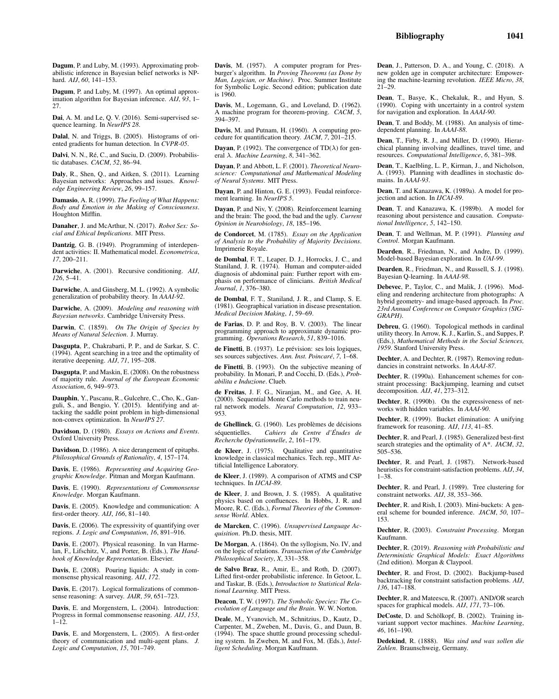Dagum, P. and Luby, M. (1997). An optimal approximation algorithm for Bayesian inference. *AIJ*, *93*, 1– 27.

Dai, A. M. and Le, Q. V. (2016). Semi-supervised sequence learning. In *NeurIPS 28*.

Dalal, N. and Triggs, B. (2005). Histograms of oriented gradients for human detection. In *CVPR-05*.

Dalvi, N. N., Ré, C., and Suciu, D. (2009). Probabilistic databases. *CACM*, *52*, 86–94.

Daly, R., Shen, Q., and Aitken, S. (2011). Learning Bayesian networks: Approaches and issues. *Knowledge Engineering Review*, *26*, 99–157.

Damasio, A. R. (1999). *The Feeling of What Happens: Body and Emotion in the Making of Consciousness*. Houghton Mifflin.

Danaher, J. and McArthur, N. (2017). *Robot Sex: Social and Ethical Implications*. MIT Press.

Dantzig, G. B. (1949). Programming of interdependent activities: II. Mathematical model. *Econometrica*, *17*, 200–211.

Darwiche, A. (2001). Recursive conditioning. *AIJ*, *126*, 5–41.

Darwiche, A. and Ginsberg, M. L. (1992). A symbolic generalization of probability theory. In *AAAI-92*.

Darwiche, A. (2009). *Modeling and reasoning with Bayesian networks*. Cambridge University Press.

Darwin, C. (1859). *On The Origin of Species by Means of Natural Selection*. J. Murray.

Dasgupta, P., Chakrabarti, P. P., and de Sarkar, S. C. (1994). Agent searching in a tree and the optimality of iterative deepening. *AIJ*, *71*, 195–208.

Dasgupta, P. and Maskin, E. (2008). On the robustness of majority rule. *Journal of the European Economic Association*, *6*, 949–973.

Dauphin, Y., Pascanu, R., Gulcehre, C., Cho, K., Ganguli, S., and Bengio, Y. (2015). Identifying and attacking the saddle point problem in high-dimensional non-convex optimization. In *NeurIPS 27*.

Davidson, D. (1980). *Essays on Actions and Events*. Oxford University Press.

Davidson, D. (1986). A nice derangement of epitaphs. *Philosophical Grounds of Rationality*, *4*, 157–174.

Davis, E. (1986). *Representing and Acquiring Geographic Knowledge*. Pitman and Morgan Kaufmann.

Davis, E. (1990). *Representations of Commonsense Knowledge*. Morgan Kaufmann.

Davis, E. (2005). Knowledge and communication: A first-order theory. *AIJ*, *166*, 81–140.

Davis, E. (2006). The expressivity of quantifying over regions. *J. Logic and Computation*, *16*, 891–916.

Davis, E. (2007). Physical reasoning. In van Harme-lan, F., Lifschitz, V., and Porter, B. (Eds.), *The Handbook of Knowledge Representation*. Elsevier.

Davis, E. (2008). Pouring liquids: A study in commonsense physical reasoning. *AIJ*, *172*.

Davis, E. (2017). Logical formalizations of commonsense reasoning: A survey. *JAIR*, *59*, 651–723.

Davis, E. and Morgenstern, L. (2004). Introduction: Progress in formal commonsense reasoning. *AIJ*, *153*,  $1 - 12$ .

Davis, E. and Morgenstern, L. (2005). A first-order theory of communication and multi-agent plans. *J. Logic and Computation*, *15*, 701–749.

Davis, M. (1957). A computer program for Presburger's algorithm. In *Proving Theorems (as Done by Man, Logician, or Machine)*. Proc. Summer Institute for Symbolic Logic. Second edition; publication date is 1960.

Davis, M., Logemann, G., and Loveland, D. (1962). A machine program for theorem-proving. *CACM*, *5*, 394–397.

Davis, M. and Putnam, H. (1960). A computing procedure for quantification theory. *JACM*, *7*, 201–215.

**Dayan**, P. (1992). The convergence of  $TD(\lambda)$  for general λ. *Machine Learning*, *8*, 341–362.

Dayan, P. and Abbott, L. F. (2001). *Theoretical Neuroscience: Computational and Mathematical Modeling of Neural Systems*. MIT Press.

Dayan, P. and Hinton, G. E. (1993). Feudal reinforcement learning. In *NeurIPS 5*.

Dayan, P. and Niv, Y. (2008). Reinforcement learning and the brain: The good, the bad and the ugly. *Current Opinion in Neurobiology*, *18*, 185–196.

de Condorcet, M. (1785). *Essay on the Application of Analysis to the Probability of Majority Decisions*. Imprimerie Royale.

de Dombal, F. T., Leaper, D. J., Horrocks, J. C., and Staniland, J. R. (1974). Human and computer-aided diagnosis of abdominal pain: Further report with emphasis on performance of clinicians. *British Medical Journal*, *1*, 376–380.

de Dombal, F. T., Staniland, J. R., and Clamp, S. E. (1981). Geographical variation in disease presentation. *Medical Decision Making*, *1*, 59–69.

de Farias, D. P. and Roy, B. V. (2003). The linear programming approach to approximate dynamic programming. *Operations Research*, *51*, 839–1016.

de Finetti, B. (1937). Le prévision: ses lois logiques, ses sources subjectives. *Ann. Inst. Poincaré*, 7, 1–68.

de Finetti, B. (1993). On the subjective meaning of probability. In Monari, P. and Cocchi, D. (Eds.), *Probabilita e Induzione*. Clueb.

de Freitas, J. F. G., Niranjan, M., and Gee, A. H. (2000). Sequential Monte Carlo methods to train neural network models. *Neural Computation*, *12*, 933– 953.

de Ghellinck, G. (1960). Les problèmes de décisions séquentielles. Cahiers du Centre d'Études de *Recherche Op´erationnelle*, *2*, 161–179.

de Kleer, J. (1975). Qualitative and quantitative knowledge in classical mechanics. Tech. rep., MIT Artificial Intelligence Laboratory.

de Kleer, J. (1989). A comparison of ATMS and CSP techniques. In *IJCAI-89*.

de Kleer, J. and Brown, J. S. (1985). A qualitative physics based on confluences. In Hobbs, J. R. and Moore, R. C. (Eds.), *Formal Theories of the Commonsense World*. Ablex.

de Marcken, C. (1996). *Unsupervised Language Acquisition*. Ph.D. thesis, MIT.

De Morgan, A. (1864). On the syllogism, No. IV, and on the logic of relations. *Transaction of the Cambridge Philosophical Society*, *X*, 331–358.

de Salvo Braz, R., Amir, E., and Roth, D. (2007). Lifted first-order probabilistic inference. In Getoor, L. and Taskar, B. (Eds.), *Introduction to Statistical Relational Learning*. MIT Press.

Deacon, T. W. (1997). *The Symbolic Species: The Coevolution of Language and the Brain*. W. W. Norton.

Deale, M., Yvanovich, M., Schnitzius, D., Kautz, D., Carpenter, M., Zweben, M., Davis, G., and Daun, B. (1994). The space shuttle ground processing scheduling system. In Zweben, M. and Fox, M. (Eds.), *Intelligent Scheduling*. Morgan Kaufmann.

Dean, J., Patterson, D. A., and Young, C. (2018). A new golden age in computer architecture: Empowering the machine-learning revolution. *IEEE Micro*, *38*, 21–29.

Dean, T., Basye, K., Chekaluk, R., and Hyun, S. (1990). Coping with uncertainty in a control system for navigation and exploration. In *AAAI-90*.

Dean, T. and Boddy, M. (1988). An analysis of timedependent planning. In *AAAI-88*.

Dean, T., Firby, R. J., and Miller, D. (1990). Hierarchical planning involving deadlines, travel time, and resources. *Computational Intelligence*, *6*, 381–398.

Dean, T., Kaelbling, L. P., Kirman, J., and Nicholson, A. (1993). Planning with deadlines in stochastic domains. In *AAAI-93*.

Dean, T. and Kanazawa, K. (1989a). A model for projection and action. In *IJCAI-89*.

Dean, T. and Kanazawa, K. (1989b). A model for reasoning about persistence and causation. *Computational Intelligence*, *5*, 142–150.

Dean, T. and Wellman, M. P. (1991). *Planning and Control*. Morgan Kaufmann.

Dearden, R., Friedman, N., and Andre, D. (1999). Model-based Bayesian exploration. In *UAI-99*.

Dearden, R., Friedman, N., and Russell, S. J. (1998). Bayesian Q-learning. In *AAAI-98*.

Debevec, P., Taylor, C., and Malik, J. (1996). Modeling and rendering architecture from photographs: A hybrid geometry- and image-based approach. In *Proc. 23rd Annual Conference on Computer Graphics (SIG-GRAPH)*.

Debreu, G. (1960). Topological methods in cardinal utility theory. In Arrow, K. J., Karlin, S., and Suppes, P. (Eds.), *Mathematical Methods in the Social Sciences, 1959*. Stanford University Press.

Dechter, A. and Dechter, R. (1987). Removing redundancies in constraint networks. In *AAAI-87*.

Dechter, R. (1990a). Enhancement schemes for constraint processing: Backjumping, learning and cutset decomposition. *AIJ*, *41*, 273–312.

Dechter, R. (1990b). On the expressiveness of networks with hidden variables. In *AAAI-90*.

Dechter, R. (1999). Bucket elimination: A unifying framework for reasoning. *AIJ*, *113*, 41–85.

Dechter, R. and Pearl, J. (1985). Generalized best-first search strategies and the optimality of A\*. *JACM*, *32*, 505–536.

Dechter, R. and Pearl, J. (1987). Network-based heuristics for constraint-satisfaction problems. *AIJ*, *34*, 1–38.

Dechter, R. and Pearl, J. (1989). Tree clustering for constraint networks. *AIJ*, *38*, 353–366.

Dechter, R. and Rish, I. (2003). Mini-buckets: A general scheme for bounded inference. *JACM*, *50*, 107– 153.

Dechter, R. (2003). *Constraint Processing*. Morgan Kaufmann.

Dechter, R. (2019). *Reasoning with Probabilistic and Deterministic Graphical Models: Exact Algorithms* (2nd edition). Morgan & Claypool.

Dechter, R. and Frost, D. (2002). Backjump-based backtracking for constraint satisfaction problems. *AIJ*, *136*, 147–188.

Dechter, R. and Mateescu, R. (2007). AND/OR search spaces for graphical models. *AIJ*, *171*, 73–106.

DeCoste, D. and Schölkopf, B. (2002). Training invariant support vector machines. *Machine Learning*, *46*, 161–190.

Dedekind, R. (1888). *Was sind und was sollen die Zahlen*. Braunschweig, Germany.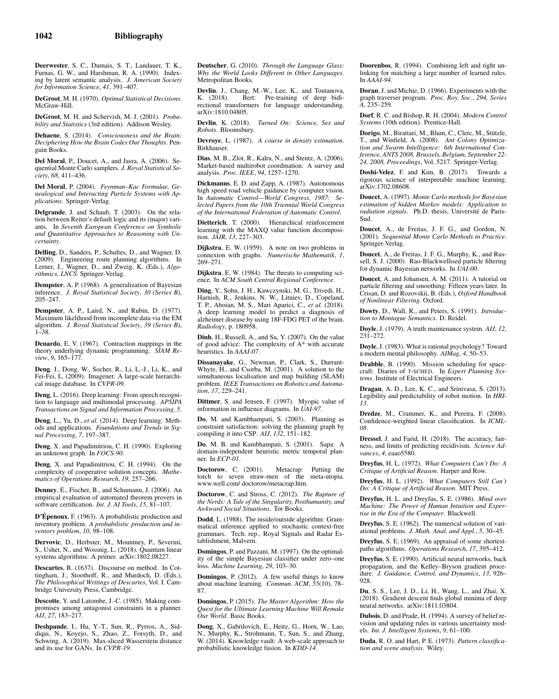Deerwester, S. C., Dumais, S. T., Landauer, T. K., Furnas, G. W., and Harshman, R. A. (1990). Indexing by latent semantic analysis. *J. American Society for Information Science*, *41*, 391–407.

DeGroot, M. H. (1970). *Optimal Statistical Decisions*. McGraw-Hill.

DeGroot, M. H. and Schervish, M. J. (2001). *Probability and Statistics* (3rd edition). Addison Wesley.

Dehaene, S. (2014). *Consciousness and the Brain: Deciphering How the Brain Codes Our Thoughts*. Penguin Books.

Del Moral, P., Doucet, A., and Jasra, A. (2006). Sequential Monte Carlo samplers. *J. Royal Statistical Society*, *68*, 411–436.

Del Moral, P. (2004). *Feynman–Kac Formulae, Genealogical and Interacting Particle Systems with Applications*. Springer-Verlag.

Delgrande, J. and Schaub, T. (2003). On the relation between Reiter's default logic and its (major) variants. In *Seventh European Conference on Symbolic and Quantitative Approaches to Reasoning with Uncertainty*.

Delling, D., Sanders, P., Schultes, D., and Wagner, D. (2009). Engineering route planning algorithms. In Lerner, J., Wagner, D., and Zweig, K. (Eds.), *Algorithmics, LNCS*. Springer-Verlag.

Dempster, A. P. (1968). A generalization of Bayesian inference. *J. Royal Statistical Society*, *30 (Series B)*, 205–247.

Dempster, A. P., Laird, N., and Rubin, D. (1977). Maximum likelihood from incomplete data via the EM algorithm. *J. Royal Statistical Society*, *39 (Series B)*, 1–38.

Denardo, E. V. (1967). Contraction mappings in the theory underlying dynamic programming. *SIAM Review*, *9*, 165–177.

Deng, J., Dong, W., Socher, R., Li, L.-J., Li, K., and Fei-Fei, L. (2009). Imagenet: A large-scale hierarchical image database. In *CVPR-09*.

Deng, L. (2016). Deep learning: From speech recognition to language and multimodal processing. *APSIPA Transactions on Signal and Information Processing*, *5*.

Deng, L., Yu, D., *et al.* (2014). Deep learning: Methods and applications. *Foundations and Trends in Signal Processing*, *7*, 197–387.

Deng, X. and Papadimitriou, C. H. (1990). Exploring an unknown graph. In *FOCS-90*.

Deng, X. and Papadimitriou, C. H. (1994). On the complexity of cooperative solution concepts. *Mathematics of Operations Research*, *19*, 257–266.

Denney, E., Fischer, B., and Schumann, J. (2006). An empirical evaluation of automated theorem provers in software certification. *Int. J. AI Tools*, *15*, 81–107.

D'Épenoux, F. (1963). A probabilistic production and inventory problem. *A probabilistic production and inventory problem*, *10*, 98–108.

Dervovic, D., Herbster, M., Mountney, P., Severini, S., Usher, N., and Wossnig, L. (2018). Quantum linear systems algorithms: A primer. arXiv:1802.08227.

Descartes, R. (1637). Discourse on method. In Cottingham, J., Stoothoff, R., and Murdoch, D. (Eds.), *The Philosophical Writings of Descartes*, Vol. I. Cambridge University Press, Cambridge.

Descotte, Y. and Latombe, J.-C. (1985). Making compromises among antagonist constraints in a planner. *AIJ*, *27*, 183–217.

Deshpande, I., Hu, Y.-T., Sun, R., Pyrros, A., Siddiqui, N., Koyejo, S., Zhao, Z., Forsyth, D., and Schwing, A. (2019). Max-sliced Wasserstein distance and its use for GANs. In *CVPR-19*.

Deutscher, G. (2010). *Through the Language Glass: Why the World Looks Different in Other Languages*. Metropolitan Books.

Devlin, J., Chang, M.-W., Lee, K., and Toutanova, K. (2018). Bert: Pre-training of deep bidi-Bert: Pre-training of deep bidirectional transformers for language understanding. arXiv:1810.04805.

Devlin, K. (2018). *Turned On: Science, Sex and Robots*. Bloomsbury.

Devroye, L. (1987). *A course in density estimation*. **Birkhauser** 

Dias, M. B., Zlot, R., Kalra, N., and Stentz, A. (2006). Market-based multirobot coordination: A survey and analysis. *Proc. IEEE*, *94*, 1257–1270.

Dickmanns, E. D. and Zapp, A. (1987). Autonomous high speed road vehicle guidance by computer vision. In *Automatic Control—World Congress, 1987: Selected Papers from the 10th Triennial World Congress of the International Federation of Automatic Control*.

Dietterich, T. (2000). Hierarchical reinforcement learning with the MAXQ value function decomposition. *JAIR*, *13*, 227–303.

Dijkstra, E. W. (1959). A note on two problems in connexion with graphs. *Numerische Mathematik*, *1*, 269–271.

Dijkstra, E. W. (1984). The threats to computing science. In *ACM South Central Regional Conference*.

Ding, Y., Sohn, J. H., Kawczynski, M. G., Trivedi, H., Harnish, R., Jenkins, N. W., Lituiev, D., Copeland, T. P., Aboian, M. S., Mari Aparici, C., *et al.* (2018). A deep learning model to predict a diagnosis of alzheimer disease by using 18F-FDG PET of the brain. *Radiology*, p. 180958.

Dinh, H., Russell, A., and Su, Y. (2007). On the value of good advice: The complexity of A\* with accurate heuristics. In *AAAI-07*.

Dissanayake, G., Newman, P., Clark, S., Durrant-Whyte, H., and Csorba, M. (2001). A solution to the simultaneous localisation and map building (SLAM) problem. *IEEE Transactions on Robotics and Automation*, *17*, 229–241.

Dittmer, S. and Jensen, F. (1997). Myopic value of information in influence diagrams. In *UAI-97*.

Do, M. and Kambhampati, S. (2003). Planning as constraint satisfaction: solving the planning graph by compiling it into CSP. *AIJ*, *132*, 151–182.

Do, M. B. and Kambhampati, S. (2001). Sapa: A domain-independent heuristic metric temporal planner. In *ECP-01*.

Doctorow, C. (2001). Metacrap: Putting the torch to seven straw-men of the meta-utopia. www.well.com/ doctorow/metacrap.htm.

Doctorow, C. and Stross, C. (2012). *The Rapture of the Nerds: A Tale of the Singularity, Posthumanity, and Awkward Social Situations*. Tor Books.

Dodd, L. (1988). The inside/outside algorithm: Grammatical inference applied to stochastic context-free grammars. Tech. rep., Royal Signals and Radar Establishment, Malvern.

Domingos, P. and Pazzani, M. (1997). On the optimality of the simple Bayesian classifier under zero–one loss. *Machine Learning*, *29*, 103–30.

Domingos, P. (2012). A few useful things to know about machine learning. *Commun. ACM*, *55*(10), 78– 87.

Domingos, P. (2015). *The Master Algorithm: How the Quest for the Ultimate Learning Machine Will Remake Our World*. Basic Books.

Dong, X., Gabrilovich, E., Heitz, G., Horn, W., Lao, N., Murphy, K., Strohmann, T., Sun, S., and Zhang, W. (2014). Knowledge vault: A web-scale approach to probabilistic knowledge fusion. In *KDD-14*.

Doorenbos, R. (1994). Combining left and right unlinking for matching a large number of learned rules. In *AAAI-94*.

Doran, J. and Michie, D. (1966). Experiments with the graph traverser program. *Proc. Roy. Soc.*, *294, Series A*, 235–259.

Dorf, R. C. and Bishop, R. H. (2004). *Modern Control Systems* (10th edition). Prentice-Hall.

Dorigo, M., Birattari, M., Blum, C., Clerc, M., Stützle, T., and Winfield, A. (2008). *Ant Colony Optimiza-tion and Swarm Intelligence: 6th International Conference, ANTS 2008, Brussels, Belgium, September 22- 24, 2008, Proceedings*, Vol. 5217. Springer-Verlag.

Doshi-Velez, F. and Kim, B. (2017). Towards a rigorous science of interpretable machine learning. arXiv:1702.08608.

Doucet, A. (1997). *Monte Carlo methods for Bayesian estimation of hidden Markov models: Application to* radiation signals. Ph.D. thesis, Université de Paris-Sud.

Doucet, A., de Freitas, J. F. G., and Gordon, N. (2001). *Sequential Monte Carlo Methods in Practice*. Springer-Verlag.

Doucet, A., de Freitas, J. F. G., Murphy, K., and Russell, S. J. (2000). Rao-Blackwellised particle filtering for dynamic Bayesian networks. In *UAI-00*.

Doucet, A. and Johansen, A. M. (2011). A tutorial on particle filtering and smoothing: Fifteen years later. In Crisan, D. and Rozovskii, B. (Eds.), *Oxford Handbook of Nonlinear Filtering*. Oxford.

Dowty, D., Wall, R., and Peters, S. (1991). *Introduction to Montague Semantics*. D. Reidel.

Doyle, J. (1979). A truth maintenance system. *AIJ*, *12*, 231–272.

Doyle, J. (1983). What is rational psychology? Toward a modern mental philosophy. *AIMag*, *4*, 50–53.

Drabble, B. (1990). Mission scheduling for spacecraft: Diaries of T-SCHED. In *Expert Planning Systems*. Institute of Electrical Engineers.

Dragan, A. D., Lee, K. C., and Srinivasa, S. (2013). Legibility and predictability of robot motion. In *HRI-13*.

Dredze, M., Crammer, K., and Pereira, F. (2008). Confidence-weighted linear classification. In *ICML-08*.

Dressel, J. and Farid, H. (2018). The accuracy, fairness, and limits of predicting recidivism. *Science Advances*, *4*, eaao5580.

Dreyfus, H. L. (1972). *What Computers Can't Do: A Critique of Artificial Reason*. Harper and Row.

Dreyfus, H. L. (1992). *What Computers Still Can't Do: A Critique of Artificial Reason*. MIT Press.

Dreyfus, H. L. and Dreyfus, S. E. (1986). *Mind over Machine: The Power of Human Intuition and Expertise in the Era of the Computer*. Blackwell.

Dreyfus, S. E. (1962). The numerical solution of variational problems. *J. Math. Anal. and Appl.*, *5*, 30–45.

Dreyfus, S. E. (1969). An appraisal of some shortestpaths algorithms. *Operations Research*, *17*, 395–412.

Dreyfus, S. E. (1990). Artificial neural networks, back propagation, and the Kelley–Bryson gradient procedure. *J. Guidance, Control, and Dynamics*, *13*, 926– 928.

Du, S. S., Lee, J. D., Li, H., Wang, L., and Zhai, X. (2018). Gradient descent finds global minima of deep neural networks. arXiv:1811.03804.

Dubois, D. and Prade, H. (1994). A survey of belief revision and updating rules in various uncertainty models. *Int. J. Intelligent Systems*, *9*, 61–100.

Duda, R. O. and Hart, P. E. (1973). *Pattern classification and scene analysis*. Wiley.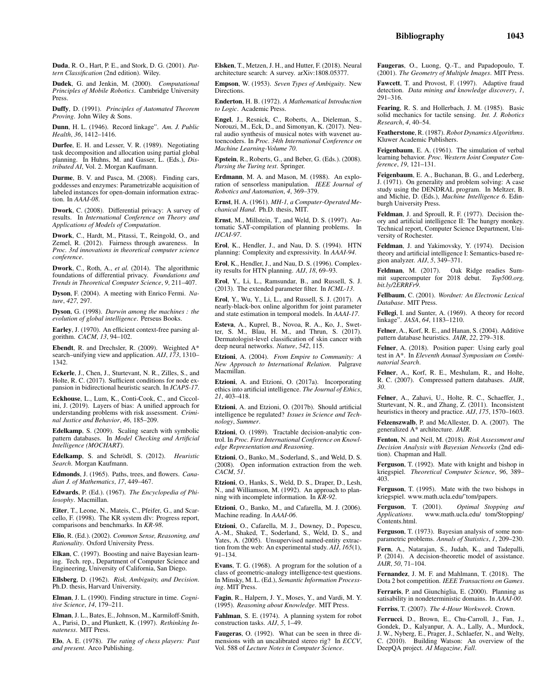Duda, R. O., Hart, P. E., and Stork, D. G. (2001). *Pattern Classification* (2nd edition). Wiley.

Dudek, G. and Jenkin, M. (2000). *Computational Principles of Mobile Robotics*. Cambridge University Press.

Duffy, D. (1991). *Principles of Automated Theorem Proving*. John Wiley & Sons.

Dunn, H. L. (1946). Record linkage". *Am. J. Public Health*, *36*, 1412–1416.

Durfee, E. H. and Lesser, V. R. (1989). Negotiating task decomposition and allocation using partial global planning. In Huhns, M. and Gasser, L. (Eds.), *Distributed AI*, Vol. 2. Morgan Kaufmann.

Durme, B. V. and Pasca, M. (2008). Finding cars, goddesses and enzymes: Parametrizable acquisition of labeled instances for open-domain information extraction. In *AAAI-08*.

Dwork, C. (2008). Differential privacy: A survey of results. In *International Conference on Theory and Applications of Models of Computation*.

Dwork, C., Hardt, M., Pitassi, T., Reingold, O., and Zemel, R. (2012). Fairness through awareness. In *Proc. 3rd innovations in theoretical computer science conference*.

Dwork, C., Roth, A., *et al.* (2014). The algorithmic foundations of differential privacy. *Foundations and Trends in Theoretical Computer Science*, *9*, 211–407.

Dyson, F. (2004). A meeting with Enrico Fermi. *Nature*, *427*, 297.

Dyson, G. (1998). *Darwin among the machines : the evolution of global intelligence*. Perseus Books.

Earley, J. (1970). An efficient context-free parsing algorithm. *CACM*, *13*, 94–102.

Ebendt, R. and Drechsler, R. (2009). Weighted A\* search–unifying view and application. *AIJ*, *173*, 1310– 1342.

Eckerle, J., Chen, J., Sturtevant, N. R., Zilles, S., and Holte, R. C. (2017). Sufficient conditions for node expansion in bidirectional heuristic search. In *ICAPS-17*.

Eckhouse, L., Lum, K., Conti-Cook, C., and Ciccolini, J. (2019). Layers of bias: A unified approach for understanding problems with risk assessment. *Criminal Justice and Behavior*, *46*, 185–209.

Edelkamp, S. (2009). Scaling search with symbolic pattern databases. In *Model Checking and Artificial Intelligence (MOCHART)*.

Edelkamp, S. and Schrödl, S. (2012). *Heuristic Search*. Morgan Kaufmann.

Edmonds, J. (1965). Paths, trees, and flowers. *Canadian J. of Mathematics*, *17*, 449–467.

Edwards, P. (Ed.). (1967). *The Encyclopedia of Philosophy*. Macmillan.

Eiter, T., Leone, N., Mateis, C., Pfeifer, G., and Scarcello, F. (1998). The KR system dlv: Progress report, comparisons and benchmarks. In *KR-98*.

Elio, R. (Ed.). (2002). *Common Sense, Reasoning, and Rationality*. Oxford University Press.

Elkan, C. (1997). Boosting and naive Bayesian learning. Tech. rep., Department of Computer Science and Engineering, University of California, San Diego.

Ellsberg, D. (1962). *Risk, Ambiguity, and Decision*. Ph.D. thesis, Harvard University.

Elman, J. L. (1990). Finding structure in time. *Cognitive Science*, *14*, 179–211.

Elman, J. L., Bates, E., Johnson, M., Karmiloff-Smith, A., Parisi, D., and Plunkett, K. (1997). *Rethinking Innateness*. MIT Press.

Elo, A. E. (1978). *The rating of chess players: Past and present*. Arco Publishing.

Elsken, T., Metzen, J. H., and Hutter, F. (2018). Neural architecture search: A survey. arXiv:1808.05377.

Empson, W. (1953). *Seven Types of Ambiguity*. New Directions.

Enderton, H. B. (1972). *A Mathematical Introduction to Logic*. Academic Press.

Engel, J., Resnick, C., Roberts, A., Dieleman, S., Norouzi, M., Eck, D., and Simonyan, K. (2017). Neural audio synthesis of musical notes with wavenet autoencoders. In *Proc. 34th International Conference on Machine Learning-Volume 70*.

Epstein, R., Roberts, G., and Beber, G. (Eds.). (2008). *Parsing the Turing test*. Springer.

Erdmann, M. A. and Mason, M. (1988). An exploration of sensorless manipulation. *IEEE Journal of Robotics and Automation*, *4*, 369–379.

Ernst, H. A. (1961). *MH-1, a Computer-Operated Mechanical Hand*. Ph.D. thesis, MIT.

Ernst, M., Millstein, T., and Weld, D. S. (1997). Automatic SAT-compilation of planning problems. In *IJCAI-97*.

Erol, K., Hendler, J., and Nau, D. S. (1994). HTN planning: Complexity and expressivity. In *AAAI-94*.

Erol, K., Hendler, J., and Nau, D. S. (1996). Complexity results for HTN planning. *AIJ*, *18*, 69–93.

Erol, Y., Li, L., Ramsundar, B., and Russell, S. J. (2013). The extended parameter filter. In *ICML-13*.

Erol, Y., Wu, Y., Li, L., and Russell, S. J. (2017). A nearly-black-box online algorithm for joint parameter and state estimation in temporal models. In *AAAI-17*.

Esteva, A., Kuprel, B., Novoa, R. A., Ko, J., Swetter, S. M., Blau, H. M., and Thrun, S. (2017). Dermatologist-level classification of skin cancer with deep neural networks. *Nature*, *542*, 115.

Etzioni, A. (2004). *From Empire to Community: A New Approach to International Relation*. Palgrave Macmillan.

Etzioni, A. and Etzioni, O. (2017a). Incorporating ethics into artificial intelligence. *The Journal of Ethics*, *21*, 403–418.

Etzioni, A. and Etzioni, O. (2017b). Should artificial intelligence be regulated? *Issues in Science and Technology*, *Summer*.

Etzioni, O. (1989). Tractable decision-analytic control. In *Proc. First International Conference on Knowledge Representation and Reasoning*.

Etzioni, O., Banko, M., Soderland, S., and Weld, D. S. (2008). Open information extraction from the web. *CACM*, *51*.

Etzioni, O., Hanks, S., Weld, D. S., Draper, D., Lesh, N., and Williamson, M. (1992). An approach to planning with incomplete information. In *KR-92*.

Etzioni, O., Banko, M., and Cafarella, M. J. (2006). Machine reading. In *AAAI-06*.

Etzioni, O., Cafarella, M. J., Downey, D., Popescu, A.-M., Shaked, T., Soderland, S., Weld, D. S., and Yates, A. (2005). Unsupervised named-entity extraction from the web: An experimental study. *AIJ*, *165*(1), 91–134.

Evans, T. G. (1968). A program for the solution of a class of geometric-analogy intelligence-test questions. In Minsky, M. L. (Ed.), *Semantic Information Processing*. MIT Press.

Fagin, R., Halpern, J. Y., Moses, Y., and Vardi, M. Y. (1995). *Reasoning about Knowledge*. MIT Press.

Fahlman, S. E. (1974). A planning system for robot construction tasks. *AIJ*, *5*, 1–49.

Faugeras, O. (1992). What can be seen in three dimensions with an uncalibrated stereo rig? In *ECCV*, Vol. 588 of *Lecture Notes in Computer Science*.

Faugeras, O., Luong, Q.-T., and Papadopoulo, T. (2001). *The Geometry of Multiple Images*. MIT Press.

Fawcett, T. and Provost, F. (1997). Adaptive fraud detection. *Data mining and knowledge discovery*, *1*, 291–316.

Fearing, R. S. and Hollerbach, J. M. (1985). Basic solid mechanics for tactile sensing. *Int. J. Robotics Research*, *4*, 40–54.

Featherstone, R. (1987). *Robot Dynamics Algorithms*. Kluwer Academic Publishers.

Feigenbaum, E. A. (1961). The simulation of verbal learning behavior. *Proc. Western Joint Computer Conference*, *19*, 121–131.

Feigenbaum, E. A., Buchanan, B. G., and Lederberg, J. (1971). On generality and problem solving: A case study using the DENDRAL program. In Meltzer, B. and Michie, D. (Eds.), *Machine Intelligence 6*. Edinburgh University Press.

Feldman, J. and Sproull, R. F. (1977). Decision theory and artificial intelligence II: The hungry monkey. Technical report, Computer Science Department, University of Rochester.

Feldman, J. and Yakimovsky, Y. (1974). Decision theory and artificial intelligence I: Semantics-based region analyzer. *AIJ*, *5*, 349–371.

Feldman, M. (2017). Oak Ridge readies Summit supercomputer for 2018 debut. *Top500.org, bit.ly/2ERRFr9*.

Fellbaum, C. (2001). *Wordnet: An Electronic Lexical Database*. MIT Press.

Fellegi, I. and Sunter, A. (1969). A theory for record linkage". *JASA*, *64*, 1183–1210.

Felner, A., Korf, R. E., and Hanan, S. (2004). Additive pattern database heuristics. *JAIR*, *22*, 279–318.

Felner, A. (2018). Position paper: Using early goal test in A\*. In *Eleventh Annual Symposium on Combinatorial Search*.

Felner, A., Korf, R. E., Meshulam, R., and Holte, R. C. (2007). Compressed pattern databases. *JAIR*, *30*.

Felner, A., Zahavi, U., Holte, R. C., Schaeffer, J., Sturtevant, N. R., and Zhang, Z. (2011). Inconsistent heuristics in theory and practice. *AIJ*, *175*, 1570–1603.

Felzenszwalb, P. and McAllester, D. A. (2007). The generalized A\* architecture. *JAIR*.

Fenton, N. and Neil, M. (2018). *Risk Assessment and Decision Analysis with Bayesian Networks* (2nd edition). Chapman and Hall.

Ferguson, T. (1992). Mate with knight and bishop in kriegspiel. *Theoretical Computer Science*, *96*, 389– 403.

Ferguson, T. (1995). Mate with the two bishops in kriegspiel. www.math.ucla.edu/~tom/papers.

Ferguson, T. (2001). *Optimal Stopping and Applications*. www.math.ucla.edu/ tom/Stopping/ Contents.html.

Ferguson, T. (1973). Bayesian analysis of some nonparametric problems. *Annals of Statistics*, *1*, 209–230.

Fern, A., Natarajan, S., Judah, K., and Tadepalli, P. (2014). A decision-theoretic model of assistance. *JAIR*, *50*, 71–104.

Fernandez, J. M. F. and Mahlmann, T. (2018). The Dota 2 bot competition. *IEEE Transactions on Games*.

Ferraris, P. and Giunchiglia, E. (2000). Planning as satisability in nondeterministic domains. In *AAAI-00*.

Ferriss, T. (2007). *The 4-Hour Workweek*. Crown.

Ferrucci, D., Brown, E., Chu-Carroll, J., Fan, J., Gondek, D., Kalyanpur, A. A., Lally, A., Murdock, J. W., Nyberg, E., Prager, J., Schlaefer, N., and Welty, C. (2010). Building Watson: An overview of the DeepQA project. *AI Magazine*, *Fall*.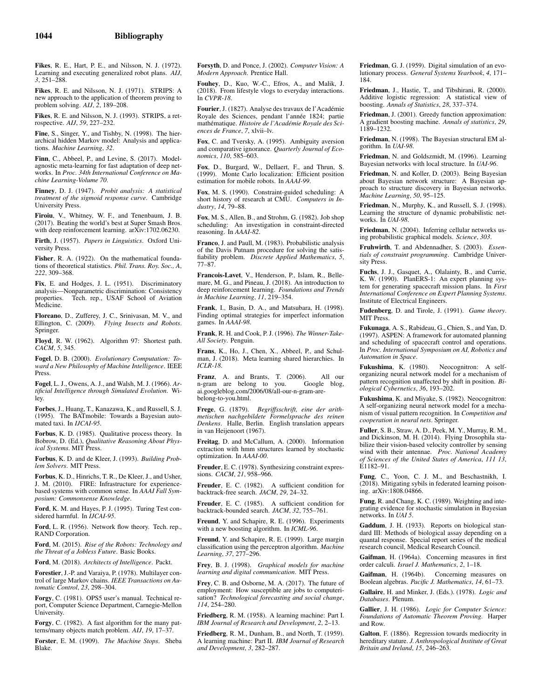Fikes, R. E., Hart, P. E., and Nilsson, N. J. (1972). Learning and executing generalized robot plans. *AIJ*, *3*, 251–288.

Fikes, R. E. and Nilsson, N. J. (1971). STRIPS: A new approach to the application of theorem proving to problem solving. *AIJ*, *2*, 189–208.

Fikes, R. E. and Nilsson, N. J. (1993). STRIPS, a retrospective. *AIJ*, *59*, 227–232.

Fine, S., Singer, Y., and Tishby, N. (1998). The hierarchical hidden Markov model: Analysis and applications. *Machine Learning*, *32*.

Finn, C., Abbeel, P., and Levine, S. (2017). Modelagnostic meta-learning for fast adaptation of deep networks. In *Proc. 34th International Conference on Machine Learning-Volume 70*.

Finney, D. J. (1947). *Probit analysis: A statistical treatment of the sigmoid response curve*. Cambridge University Press.

Firoiu, V., Whitney, W. F., and Tenenbaum, J. B. (2017). Beating the world's best at Super Smash Bros. with deep reinforcement learning. arXiv:1702.06230.

Firth, J. (1957). *Papers in Linguistics*. Oxford University Press.

Fisher, R. A. (1922). On the mathematical foundations of theoretical statistics. *Phil. Trans. Roy. Soc., A*, *222*, 309–368.

Fix, E. and Hodges, J. L. (1951). Discriminatory analysis—Nonparametric discrimination: Consistency Tech. rep., USAF School of Aviation Medicine.

Floreano, D., Zufferey, J. C., Srinivasan, M. V., and Ellington, C. (2009). *Flying Insects and Robots*. Springer.

Floyd, R. W. (1962). Algorithm 97: Shortest path. *CACM*, *5*, 345.

Fogel, D. B. (2000). *Evolutionary Computation: Toward a New Philosophy of Machine Intelligence*. IEEE Press.

Fogel, L. J., Owens, A. J., and Walsh, M. J. (1966). *Artificial Intelligence through Simulated Evolution*. Wiley.

Forbes, J., Huang, T., Kanazawa, K., and Russell, S. J. (1995). The BATmobile: Towards a Bayesian automated taxi. In *IJCAI-95*.

Forbus, K. D. (1985). Qualitative process theory. In Bobrow, D. (Ed.), *Qualitative Reasoning About Physical Systems*. MIT Press.

Forbus, K. D. and de Kleer, J. (1993). *Building Problem Solvers*. MIT Press.

Forbus, K. D., Hinrichs, T. R., De Kleer, J., and Usher, J. M. (2010). FIRE: Infrastructure for experiencebased systems with common sense. In *AAAI Fall Symposium: Commonsense Knowledge*.

Ford, K. M. and Hayes, P. J. (1995). Turing Test considered harmful. In *IJCAI-95*.

Ford, L. R. (1956). Network flow theory. Tech. rep., RAND Corporation.

Ford, M. (2015). *Rise of the Robots: Technology and the Threat of a Jobless Future*. Basic Books.

Ford, M. (2018). *Architects of Intelligence*. Packt.

Forestier, J.-P. and Varaiya, P. (1978). Multilayer control of large Markov chains. *IEEE Transactions on Automatic Control*, *23*, 298–304.

Forgy, C. (1981). OPS5 user's manual. Technical report, Computer Science Department, Carnegie-Mellon University.

Forgy, C. (1982). A fast algorithm for the many patterns/many objects match problem. *AIJ*, *19*, 17–37.

Forster, E. M. (1909). *The Machine Stops*. Sheba Blake.

Forsyth, D. and Ponce, J. (2002). *Computer Vision: A Modern Approach*. Prentice Hall.

Fouhey, D., Kuo, W.-C., Efros, A., and Malik, J. (2018). From lifestyle vlogs to everyday interactions. In *CVPR-18*.

Fourier, J. (1827). Analyse des travaux de l'Académie Royale des Sciences, pendant l'année 1824; partie mathématique. Histoire de l'Académie Royale des Sci*ences de France*, *7*, xlvii–lv.

Fox, C. and Tversky, A. (1995). Ambiguity aversion and comparative ignorance. *Quarterly Journal of Economics*, *110*, 585–603.

Fox, D., Burgard, W., Dellaert, F., and Thrun, S. (1999). Monte Carlo localization: Efficient position estimation for mobile robots. In *AAAI-99*.

Fox, M. S. (1990). Constraint-guided scheduling: A short history of research at CMU. *Computers in Industry*, *14*, 79–88.

Fox, M. S., Allen, B., and Strohm, G. (1982). Job shop scheduling: An investigation in constraint-directed reasoning. In *AAAI-82*.

Franco, J. and Paull, M. (1983). Probabilistic analysis of the Davis Putnam procedure for solving the satisfiability problem. *Discrete Applied Mathematics*, *5*, 77–87.

Francois-Lavet, V., Henderson, P., Islam, R., Bellemare, M. G., and Pineau, J. (2018). An introduction to deep reinforcement learning. *Foundations and Trends in Machine Learning*, *11*, 219–354.

Frank, I., Basin, D. A., and Matsubara, H. (1998). Finding optimal strategies for imperfect information games. In *AAAI-98*.

Frank, R. H. and Cook, P. J. (1996). *The Winner-Take-All Society*. Penguin.

Frans, K., Ho, J., Chen, X., Abbeel, P., and Schulman, J. (2018). Meta learning shared hierarchies. In *ICLR-18*.

Franz, A. and Brants, T. (2006). All our n-gram are belong to you. Google blog, n-gram are belong to you. ai.googleblog.com/2006/08/all-our-n-gram-arebelong-to-you.html.

Frege, G. (1879). *Begriffsschrift, eine der arithmetischen nachgebildete Formelsprache des reinen Denkens*. Halle, Berlin. English translation appears in van Heijenoort (1967).

Freitag, D. and McCallum, A. (2000). Information extraction with hmm structures learned by stochastic optimization. In *AAAI-00*.

Freuder, E. C. (1978). Synthesizing constraint expressions. *CACM*, *21*, 958–966.

Freuder, E. C. (1982). A sufficient condition for backtrack-free search. *JACM*, *29*, 24–32.

Freuder, E. C. (1985). A sufficient condition for backtrack-bounded search. *JACM*, *32*, 755–761.

Freund, Y. and Schapire, R. E. (1996). Experiments with a new boosting algorithm. In *ICML-96*.

Freund, Y. and Schapire, R. E. (1999). Large margin classification using the perceptron algorithm. *Machine Learning*, *37*, 277–296.

Frey, B. J. (1998). *Graphical models for machine learning and digital communication*. MIT Press.

Frey, C. B. and Osborne, M. A. (2017). The future of employment: How susceptible are jobs to computerisation? *Technological forecasting and social change*, *114*, 254–280.

Friedberg, R. M. (1958). A learning machine: Part I. *IBM Journal of Research and Development*, *2*, 2–13.

Friedberg, R. M., Dunham, B., and North, T. (1959). A learning machine: Part II. *IBM Journal of Research and Development*, *3*, 282–287.

Friedman, G. J. (1959). Digital simulation of an evolutionary process. *General Systems Yearbook*, *4*, 171– 184.

Friedman, J., Hastie, T., and Tibshirani, R. (2000). Additive logistic regression: A statistical view of boosting. *Annals of Statistics*, *28*, 337–374.

Friedman, J. (2001). Greedy function approximation: A gradient boosting machine. *Annals of statistics*, *29*, 1189–1232.

Friedman, N. (1998). The Bayesian structural EM algorithm. In *UAI-98*.

Friedman, N. and Goldszmidt, M. (1996). Learning Bayesian networks with local structure. In *UAI-96*.

Friedman, N. and Koller, D. (2003). Being Bayesian about Bayesian network structure: A Bayesian approach to structure discovery in Bayesian networks. *Machine Learning*, *50*, 95–125.

Friedman, N., Murphy, K., and Russell, S. J. (1998). Learning the structure of dynamic probabilistic networks. In *UAI-98*.

Friedman, N. (2004). Inferring cellular networks using probabilistic graphical models. *Science*, *303*.

Fruhwirth, T. and Abdennadher, S. (2003). *Essentials of constraint programming*. Cambridge University Press.

Fuchs, J. J., Gasquet, A., Olalainty, B., and Currie, K. W. (1990). PlanERS-1: An expert planning system for generating spacecraft mission plans. In *First International Conference on Expert Planning Systems*. Institute of Electrical Engineers.

Fudenberg, D. and Tirole, J. (1991). *Game theory*. MIT Press.

Fukunaga, A. S., Rabideau, G., Chien, S., and Yan, D. (1997). ASPEN: A framework for automated planning and scheduling of spacecraft control and operations. In *Proc. International Symposium on AI, Robotics and Automation in Space*.

Fukushima, K. (1980). Neocognitron: A selforganizing neural network model for a mechanism of pattern recognition unaffected by shift in position. *Biological Cybernetics*, *36*, 193–202.

Fukushima, K. and Miyake, S. (1982). Neocognitron: A self-organizing neural network model for a mechanism of visual pattern recognition. In *Competition and cooperation in neural nets*. Springer.

Fuller, S. B., Straw, A. D., Peek, M. Y., Murray, R. M., and Dickinson, M. H. (2014). Flying Drosophila stabilize their vision-based velocity controller by sensing wind with their antennae. *Proc. National Academy of Sciences of the United States of America*, *111 13*, E1182–91.

Fung, C., Yoon, C. J. M., and Beschastnikh, I. (2018). Mitigating sybils in federated learning poisoning. arXiv:1808.04866.

Fung, R. and Chang, K. C. (1989). Weighting and integrating evidence for stochastic simulation in Bayesian networks. In *UAI 5*.

Gaddum, J. H. (1933). Reports on biological standard III: Methods of biological assay depending on a quantal response. Special report series of the medical research council, Medical Research Council.

Gaifman, H. (1964a). Concerning measures in first order calculi. *Israel J. Mathematics*, *2*, 1–18.

Gaifman, H. (1964b). Concerning measures on Boolean algebras. *Pacific J. Mathematics*, *14*, 61–73.

Gallaire, H. and Minker, J. (Eds.). (1978). *Logic and Databases*. Plenum.

Gallier, J. H. (1986). *Logic for Computer Science: Foundations of Automatic Theorem Proving*. Harper and Row.

Galton, F. (1886). Regression towards mediocrity in hereditary stature. *J. Anthropological Institute of Great Britain and Ireland*, *15*, 246–263.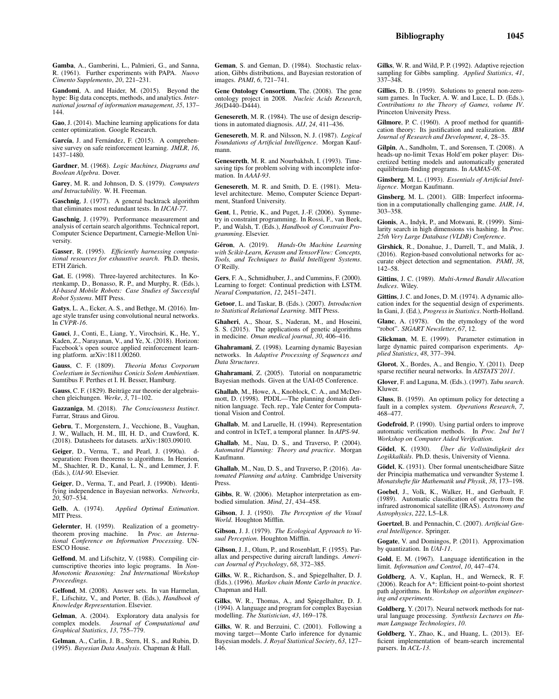Gandomi, A. and Haider, M. (2015). Beyond the hype: Big data concepts, methods, and analytics. *International journal of information management*, *35*, 137– 144.

Gao, J. (2014). Machine learning applications for data center optimization. Google Research.

García, J. and Fernández, F. (2015). A comprehensive survey on safe reinforcement learning. *JMLR*, *16*, 1437–1480.

Gardner, M. (1968). *Logic Machines, Diagrams and Boolean Algebra*. Dover.

Garey, M. R. and Johnson, D. S. (1979). *Computers and Intractability*. W. H. Freeman.

Gaschnig, J. (1977). A general backtrack algorithm that eliminates most redundant tests. In *IJCAI-77*.

Gaschnig, J. (1979). Performance measurement and analysis of certain search algorithms. Technical report, Computer Science Department, Carnegie-Mellon University.

Gasser, R. (1995). *Efficiently harnessing computational resources for exhaustive search*. Ph.D. thesis, ETH Zürich.

Gat, E. (1998). Three-layered architectures. In Kortenkamp, D., Bonasso, R. P., and Murphy, R. (Eds.), *AI-based Mobile Robots: Case Studies of Successful Robot Systems*. MIT Press.

Gatys, L. A., Ecker, A. S., and Bethge, M. (2016). Image style transfer using convolutional neural networks. In *CVPR-16*.

Gauci, J., Conti, E., Liang, Y., Virochsiri, K., He, Y., Kaden, Z., Narayanan, V., and Ye, X. (2018). Horizon: Facebook's open source applied reinforcement learning platform. arXiv:1811.00260.

Gauss, C. F. (1809). *Theoria Motus Corporum Coelestium in Sectionibus Conicis Solem Ambientium*. Sumtibus F. Perthes et I. H. Besser, Hamburg.

Gauss, C. F. (1829). Beiträge zur theorie der algebraischen gleichungen. *Werke*, *3*, 71–102.

Gazzaniga, M. (2018). *The Consciousness Instinct*. Farrar, Straus and Girou.

Gebru, T., Morgenstern, J., Vecchione, B., Vaughan, J. W., Wallach, H. M., III, H. D., and Crawford, K. (2018). Datasheets for datasets. arXiv:1803.09010.

Geiger, D., Verma, T., and Pearl, J. (1990a). dseparation: From theorems to algorithms. In Henrion, M., Shachter, R. D., Kanal, L. N., and Lemmer, J. F. (Eds.), *UAI-90*. Elsevier.

Geiger, D., Verma, T., and Pearl, J. (1990b). Identifying independence in Bayesian networks. *Networks*, *20*, 507–534.

Gelb, A. (1974). *Applied Optimal Estimation*. MIT Press.

Gelernter, H. (1959). Realization of a geometrytheorem proving machine. In *Proc. an International Conference on Information Processing*. UN-ESCO House.

Gelfond, M. and Lifschitz, V. (1988). Compiling circumscriptive theories into logic programs. In *Non-Monotonic Reasoning: 2nd International Workshop Proceedings*.

Gelfond, M. (2008). Answer sets. In van Harmelan, F., Lifschitz, V., and Porter, B. (Eds.), *Handbook of Knowledge Representation*. Elsevier.

Gelman, A. (2004). Exploratory data analysis for complex models. *Journal of Computational and Graphical Statistics*, *13*, 755–779.

Gelman, A., Carlin, J. B., Stern, H. S., and Rubin, D. (1995). *Bayesian Data Analysis*. Chapman & Hall.

Geman, S. and Geman, D. (1984). Stochastic relaxation, Gibbs distributions, and Bayesian restoration of images. *PAMI*, *6*, 721–741.

Gene Ontology Consortium, The. (2008). The gene ontology project in 2008. *Nucleic Acids Research*, *36*(D440–D444).

Genesereth, M. R. (1984). The use of design descriptions in automated diagnosis. *AIJ*, *24*, 411–436.

Genesereth, M. R. and Nilsson, N. J. (1987). *Logical Foundations of Artificial Intelligence*. Morgan Kaufmann.

Genesereth, M. R. and Nourbakhsh, I. (1993). Timesaving tips for problem solving with incomplete information. In *AAAI-93*.

Genesereth, M. R. and Smith, D. E. (1981). Metalevel architecture. Memo, Computer Science Department, Stanford University.

Gent, I., Petrie, K., and Puget, J.-F. (2006). Symmetry in constraint programming. In Rossi, F., van Beek, P., and Walsh, T. (Eds.), *Handbook of Constraint Programming*. Elsevier.

Géron, A. (2019). *Hands-On Machine Learning with Scikit-Learn, Kerasm and TensorFlow: Concepts, Tools, and Techniques to Build Intelligent Systems*. O'Reilly.

Gers, F. A., Schmidhuber, J., and Cummins, F. (2000). Learning to forget: Continual prediction with LSTM. *Neural Computation*, *12*, 2451–2471.

Getoor, L. and Taskar, B. (Eds.). (2007). *Introduction to Statistical Relational Learning*. MIT Press.

Ghaheri, A., Shoar, S., Naderan, M., and Hoseini, S. S. (2015). The applications of genetic algorithms in medicine. *Oman medical journal*, *30*, 406–416.

Ghahramani, Z. (1998). Learning dynamic Bayesian networks. In *Adaptive Processing of Sequences and Data Structures*.

Ghahramani, Z. (2005). Tutorial on nonparametric Bayesian methods. Given at the UAI-05 Conference.

Ghallab, M., Howe, A., Knoblock, C. A., and McDermott, D. (1998). PDDL—The planning domain definition language. Tech. rep., Yale Center for Computational Vision and Control.

Ghallab, M. and Laruelle, H. (1994). Representation and control in IxTeT, a temporal planner. In *AIPS-94*.

Ghallab, M., Nau, D. S., and Traverso, P. (2004). *Automated Planning: Theory and practice*. Morgan Kaufmann.

Ghallab, M., Nau, D. S., and Traverso, P. (2016). *Automated Planning and aAting*. Cambridge University Press.

Gibbs, R. W. (2006). Metaphor interpretation as embodied simulation. *Mind*, *21*, 434–458.

Gibson, J. J. (1950). *The Perception of the Visual World*. Houghton Mifflin.

Gibson, J. J. (1979). *The Ecological Approach to Visual Perception*. Houghton Mifflin.

Gibson, J. J., Olum, P., and Rosenblatt, F. (1955). Parallax and perspective during aircraft landings. *American Journal of Psychology*, *68*, 372–385.

Gilks, W. R., Richardson, S., and Spiegelhalter, D. J. (Eds.). (1996). *Markov chain Monte Carlo in practice*. Chapman and Hall.

Gilks, W. R., Thomas, A., and Spiegelhalter, D. J. (1994). A language and program for complex Bayesian modelling. *The Statistician*, *43*, 169–178.

Gilks, W. R. and Berzuini, C. (2001). Following a moving target—Monte Carlo inference for dynamic Bayesian models. *J. Royal Statistical Society*, *63*, 127– 146.

Gilks, W. R. and Wild, P. P. (1992). Adaptive rejection sampling for Gibbs sampling. *Applied Statistics*, *41*, 337–348.

Gillies, D. B. (1959). Solutions to general non-zerosum games. In Tucker, A. W. and Luce, L. D. (Eds.), *Contributions to the Theory of Games, volume IV*. Princeton University Press.

Gilmore, P. C. (1960). A proof method for quantification theory: Its justification and realization. *IBM Journal of Research and Development*, *4*, 28–35.

Gilpin, A., Sandholm, T., and Sorensen, T. (2008). A heads-up no-limit Texas Hold'em poker player: Discretized betting models and automatically generated equilibrium-finding programs. In *AAMAS-08*.

Ginsberg, M. L. (1993). *Essentials of Artificial Intelligence*. Morgan Kaufmann.

Ginsberg, M. L. (2001). GIB: Imperfect infoormation in a computationally challenging game. *JAIR*, *14*, 303–358.

Gionis, A., Indyk, P., and Motwani, R. (1999). Similarity search in high dimensions vis hashing. In *Proc. 25th Very Large Database (VLDB) Conference*.

Girshick, R., Donahue, J., Darrell, T., and Malik, J. (2016). Region-based convolutional networks for accurate object detection and segmentation. *PAMI*, *38*, 142–58.

Gittins, J. C. (1989). *Multi-Armed Bandit Allocation Indices*. Wiley.

Gittins, J. C. and Jones, D. M. (1974). A dynamic allocation index for the sequential design of experiments. In Gani, J. (Ed.), *Progress in Statistics*. North-Holland.

Glanc, A. (1978). On the etymology of the word "robot". *SIGART Newsletter*, *67*, 12.

Glickman, M. E. (1999). Parameter estimation in large dynamic paired comparison experiments. *Applied Statistics*, *48*, 377–394.

Glorot, X., Bordes, A., and Bengio, Y. (2011). Deep sparse rectifier neural networks. In *AISTATS'2011*.

Glover, F. and Laguna, M. (Eds.). (1997). *Tabu search*. Kluwer.

Gluss, B. (1959). An optimum policy for detecting a fault in a complex system. *Operations Research*, *7*, 468–477.

Godefroid, P. (1990). Using partial orders to improve automatic verification methods. In *Proc. 2nd Int'l Workshop on Computer Aided Verification*.

Gödel, K. (1930). *Über die Vollständigkeit des* Logikkalküls. Ph.D. thesis, University of Vienna.

Gödel, K. (1931). Über formal unentscheidbare Sätze der Principia mathematica und verwandter Systeme I. *Monatshefte für Mathematik und Physik*, 38, 173-198.

Goebel, J., Volk, K., Walker, H., and Gerbault, F. (1989). Automatic classification of spectra from the infrared astronomical satellite (IRAS). *Astronomy and Astrophysics*, *222*, L5–L8.

Goertzel, B. and Pennachin, C. (2007). *Artificial General Intelligence*. Springer.

Gogate, V. and Domingos, P. (2011). Approximation by quantization. In *UAI-11*.

Gold, E. M. (1967). Language identification in the limit. *Information and Control*, *10*, 447–474.

Goldberg, A. V., Kaplan, H., and Werneck, R. F. (2006). Reach for A\*: Efficient point-to-point shortest path algorithms. In *Workshop on algorithm engineering and experiments*.

Goldberg, Y. (2017). Neural network methods for natural language processing. *Synthesis Lectures on Human Language Technologies*, *10*.

Goldberg, Y., Zhao, K., and Huang, L. (2013). Efficient implementation of beam-search incremental parsers. In *ACL-13*.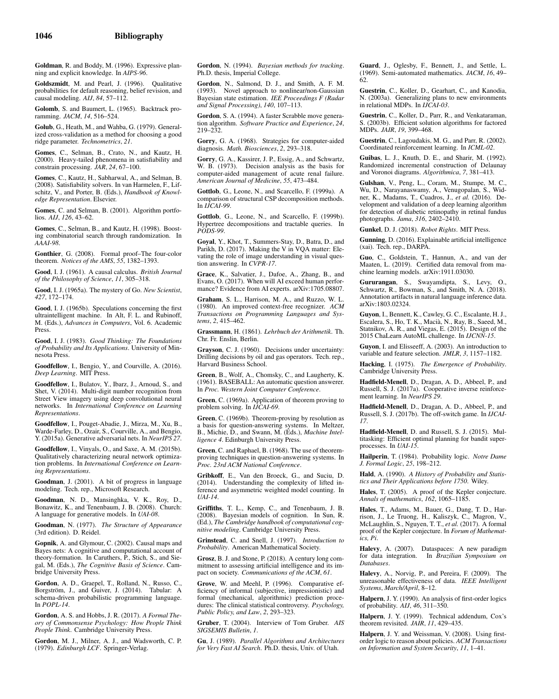Goldman, R. and Boddy, M. (1996). Expressive planning and explicit knowledge. In *AIPS-96*.

Goldszmidt, M. and Pearl, J. (1996). Qualitative probabilities for default reasoning, belief revision, and causal modeling. *AIJ*, *84*, 57–112.

Golomb, S. and Baumert, L. (1965). Backtrack proramming. *JACM*, *14*, 516–524.

Golub, G., Heath, M., and Wahba, G. (1979). Generalized cross-validation as a method for choosing a good ridge parameter. *Technometrics*, *21*.

Gomes, C., Selman, B., Crato, N., and Kautz, H. (2000). Heavy-tailed phenomena in satisfiability and constrain processing. *JAR*, *24*, 67–100.

Gomes, C., Kautz, H., Sabharwal, A., and Selman, B. (2008). Satisfiability solvers. In van Harmelen, F., Lifschitz, V., and Porter, B. (Eds.), *Handbook of Knowledge Representation*. Elsevier.

Gomes, C. and Selman, B. (2001). Algorithm portfolios. *AIJ*, *126*, 43–62.

Gomes, C., Selman, B., and Kautz, H. (1998). Boosting combinatorial search through randomization. In *AAAI-98*.

Gonthier, G. (2008). Formal proof–The four-color theorem. *Notices of the AMS*, *55*, 1382–1393.

Good, I. J. (1961). A causal calculus. *British Journal of the Philosophy of Science*, *11*, 305–318.

Good, I. J. (1965a). The mystery of Go. *New Scientist*, *427*, 172–174.

Good, I. J. (1965b). Speculations concerning the first ultraintelligent machine. In Alt, F. L. and Rubinoff, M. (Eds.), *Advances in Computers*, Vol. 6. Academic Press.

Good, I. J. (1983). *Good Thinking: The Foundations of Probability and Its Applications*. University of Minnesota Press.

Goodfellow, I., Bengio, Y., and Courville, A. (2016). *Deep Learning*. MIT Press.

Goodfellow, I., Bulatov, Y., Ibarz, J., Arnoud, S., and Shet, V. (2014). Multi-digit number recognition from Street View imagery using deep convolutional neural networks. In *International Conference on Learning Representations*.

Goodfellow, I., Pouget-Abadie, J., Mirza, M., Xu, B., Warde-Farley, D., Ozair, S., Courville, A., and Bengio, Y. (2015a). Generative adversarial nets. In *NeurIPS 27*.

Goodfellow, I., Vinyals, O., and Saxe, A. M. (2015b). Qualitatively characterizing neural network optimization problems. In *International Conference on Learning Representations*.

Goodman, J. (2001). A bit of progress in language modeling. Tech. rep., Microsoft Research.

Goodman, N. D., Mansinghka, V. K., Roy, D., Bonawitz, K., and Tenenbaum, J. B. (2008). Church: A language for generative models. In *UAI-08*.

Goodman, N. (1977). *The Structure of Appearance* (3rd edition). D. Reidel.

Gopnik, A. and Glymour, C. (2002). Causal maps and Bayes nets: A cognitive and computational account of theory-formation. In Caruthers, P., Stich, S., and Siegal, M. (Eds.), *The Cognitive Basis of Science*. Cambridge University Press.

Gordon, A. D., Graepel, T., Rolland, N., Russo, C., Borgström, J., and Guiver, J. (2014). Tabular: A schema-driven probabilistic programming language. In *POPL-14*.

Gordon, A. S. and Hobbs, J. R. (2017). *A Formal Theory of Commonsense Psychology: How People Think People Think*. Cambridge University Press.

Gordon, M. J., Milner, A. J., and Wadsworth, C. P. (1979). *Edinburgh LCF*. Springer-Verlag.

Gordon, N. (1994). *Bayesian methods for tracking*. Ph.D. thesis, Imperial College.

Gordon, N., Salmond, D. J., and Smith, A. F. M. (1993). Novel approach to nonlinear/non-Gaussian Bayesian state estimation. *IEE Proceedings F (Radar and Signal Processing)*, *140*, 107–113.

Gordon, S. A. (1994). A faster Scrabble move generation algorithm. *Software Practice and Experience*, *24*, 219–232.

Gorry, G. A. (1968). Strategies for computer-aided diagnosis. *Math. Biosciences*, *2*, 293–318.

Gorry, G. A., Kassirer, J. P., Essig, A., and Schwartz, W. B. (1973). Decision analysis as the basis for computer-aided management of acute renal failure. *American Journal of Medicine*, *55*, 473–484.

Gottlob, G., Leone, N., and Scarcello, F. (1999a). A comparison of structural CSP decomposition methods. In *IJCAI-99*.

Gottlob, G., Leone, N., and Scarcello, F. (1999b). Hypertree decompositions and tractable queries. In *PODS-99*.

Goyal, Y., Khot, T., Summers-Stay, D., Batra, D., and Parikh, D. (2017). Making the V in VQA matter: Elevating the role of image understanding in visual question answering. In *CVPR-17*.

Grace, K., Salvatier, J., Dafoe, A., Zhang, B., and Evans, O. (2017). When will AI exceed human performance? Evidence from AI experts. arXiv:1705.08807.

Graham, S. L., Harrison, M. A., and Ruzzo, W. L. (1980). An improved context-free recognizer. *ACM Transactions on Programming Languages and Systems*, *2*, 415–462.

Grassmann, H. (1861). *Lehrbuch der Arithmetik*. Th. Chr. Fr. Enslin, Berlin.

Grayson, C. J. (1960). Decisions under uncertainty: Drilling decisions by oil and gas operators. Tech. rep., Harvard Business School.

Green, B., Wolf, A., Chomsky, C., and Laugherty, K. (1961). BASEBALL: An automatic question answerer. In *Proc. Western Joint Computer Conference*.

Green, C. (1969a). Application of theorem proving to problem solving. In *IJCAI-69*.

Green, C. (1969b). Theorem-proving by resolution as a basis for question-answering systems. In Meltzer, B., Michie, D., and Swann, M. (Eds.), *Machine Intelligence 4*. Edinburgh University Press.

Green, C. and Raphael, B. (1968). The use of theoremproving techniques in question-answering systems. In *Proc. 23rd ACM National Conference*.

Gribkoff, E., Van den Broeck, G., and Suciu, D. (2014). Understanding the complexity of lifted inference and asymmetric weighted model counting. In *UAI-14*.

Griffiths, T. L., Kemp, C., and Tenenbaum, J. B. (2008). Bayesian models of cognition. In Sun, R. (Ed.), *The Cambridge handbook of computational cognitive modeling*. Cambridge University Press.

Grinstead, C. and Snell, J. (1997). *Introduction to Probability*. American Mathematical Society.

Grosz, B. J. and Stone, P. (2018). A century long commitment to assessing artificial intelligence and its impact on society. *Communications of the ACM*, *61*.

Grove, W. and Meehl, P. (1996). Comparative efficiency of informal (subjective, impressionistic) and formal (mechanical, algorithmic) prediction procedures: The clinical statistical controversy. *Psychology, Public Policy, and Law*, *2*, 293–323.

Gruber, T. (2004). Interview of Tom Gruber. *AIS SIGSEMIS Bulletin*, *1*.

Gu, J. (1989). *Parallel Algorithms and Architectures for Very Fast AI Search*. Ph.D. thesis, Univ. of Utah.

Guard, J., Oglesby, F., Bennett, J., and Settle, L. (1969). Semi-automated mathematics. *JACM*, *16*, 49– 62.

Guestrin, C., Koller, D., Gearhart, C., and Kanodia, N. (2003a). Generalizing plans to new environments in relational MDPs. In *IJCAI-03*.

Guestrin, C., Koller, D., Parr, R., and Venkataraman, S. (2003b). Efficient solution algorithms for factored MDPs. *JAIR*, *19*, 399–468.

Guestrin, C., Lagoudakis, M. G., and Parr, R. (2002). Coordinated reinforcement learning. In *ICML-02*.

Guibas, L. J., Knuth, D. E., and Sharir, M. (1992). Randomized incremental construction of Delaunay and Voronoi diagrams. *Algorithmica*, *7*, 381–413.

Gulshan, V., Peng, L., Coram, M., Stumpe, M. C., Wu, D., Narayanaswamy, A., Venugopalan, S., Widner, K., Madams, T., Cuadros, J., *et al.* (2016). Development and validation of a deep learning algorithm for detection of diabetic retinopathy in retinal fundus photographs. *Jama*, *316*, 2402–2410.

Gunkel, D. J. (2018). *Robot Rights*. MIT Press.

Gunning, D. (2016). Explainable artificial intelligence (xai). Tech. rep., DARPA.

Guo, C., Goldstein, T., Hannun, A., and van der Maaten, L. (2019). Certified data removal from machine learning models. arXiv:1911.03030.

Gururangan, S., Swayamdipta, S., Levy, O., Schwartz, R., Bowman, S., and Smith, N. A. (2018). Annotation artifacts in natural language inference data. arXiv:1803.02324.

Guyon, I., Bennett, K., Cawley, G. C., Escalante, H. J., Escalera, S., Ho, T. K., Macià, N., Ray, B., Saeed, M., Statnikov, A. R., and Viegas, E. (2015). Design of the 2015 ChaLearn AutoML challenge. In *IJCNN-15*.

Guyon, I. and Elisseeff, A. (2003). An introduction to variable and feature selection. *JMLR*, *3*, 1157–1182.

Hacking, I. (1975). *The Emergence of Probability*. Cambridge University Press.

Hadfield-Menell, D., Dragan, A. D., Abbeel, P., and Russell, S. J. (2017a). Cooperative inverse reinforcement learning. In *NeurIPS 29*.

Hadfield-Menell, D., Dragan, A. D., Abbeel, P., and Russell, S. J. (2017b). The off-switch game. In *IJCAI-17*.

Hadfield-Menell, D. and Russell, S. J. (2015). Multitasking: Efficient optimal planning for bandit superprocesses. In *UAI-15*.

Hailperin, T. (1984). Probability logic. *Notre Dame J. Formal Logic*, *25*, 198–212.

Hald, A. (1990). *A History of Probability and Statistics and Their Applications before 1750*. Wiley.

Hales, T. (2005). A proof of the Kepler conjecture. *Annals of mathematics*, *162*, 1065–1185.

Hales, T., Adams, M., Bauer, G., Dang, T. D., Har-rison, J., Le Truong, H., Kaliszyk, C., Magron, V., McLaughlin, S., Nguyen, T. T., *et al.* (2017). A formal proof of the Kepler conjecture. In *Forum of Mathematics, Pi*.

Halevy, A. (2007). Dataspaces: A new paradigm for data integration. In *Brazilian Symposium on Databases*.

Halevy, A., Norvig, P., and Pereira, F. (2009). The unreasonable effectiveness of data. *IEEE Intelligent Systems*, *March/April*, 8–12.

Halpern, J. Y. (1990). An analysis of first-order logics of probability. *AIJ*, *46*, 311–350.

Halpern, J. Y. (1999). Technical addendum, Cox's theorem revisited. *JAIR*, *11*, 429–435.

Halpern, J. Y. and Weissman, V. (2008). Using firstorder logic to reason about policies. *ACM Transactions on Information and System Security*, *11*, 1–41.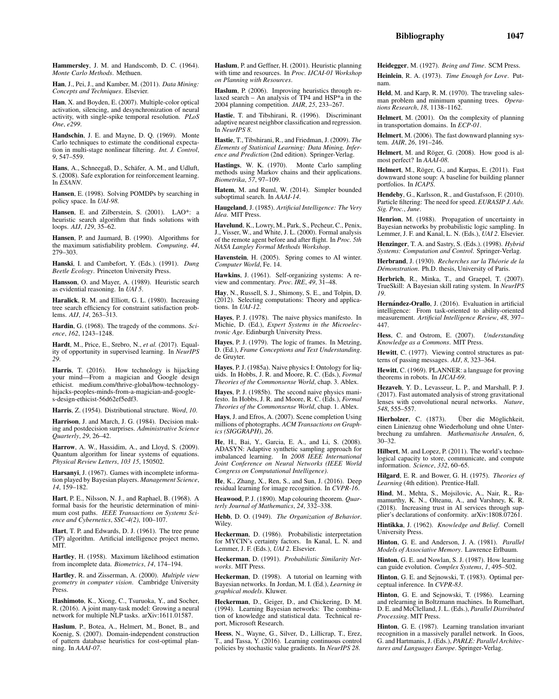Hammersley, J. M. and Handscomb, D. C. (1964). *Monte Carlo Methods*. Methuen.

Han, J., Pei, J., and Kamber, M. (2011). *Data Mining: Concepts and Techniques*. Elsevier.

Han, X. and Boyden, E. (2007). Multiple-color optical activation, silencing, and desynchronization of neural activity, with single-spike temporal resolution. *PLoS One*, *e299*.

Handschin, J. E. and Mayne, D. Q. (1969). Monte Carlo techniques to estimate the conditional expectation in multi-stage nonlinear filtering. *Int. J. Control*, *9*, 547–559.

Hans, A., Schneegaß, D., Schäfer, A. M., and Udluft, S. (2008). Safe exploration for reinforcement learning. In *ESANN*.

Hansen, E. (1998). Solving POMDPs by searching in policy space. In *UAI-98*.

Hansen, E. and Zilberstein, S. (2001). LAO\*: a heuristic search algorithm that finds solutions with loops. *AIJ*, *129*, 35–62.

Hansen, P. and Jaumard, B. (1990). Algorithms for the maximum satisfiability problem. *Computing*, *44*, 279–303.

Hanski, I. and Cambefort, Y. (Eds.). (1991). *Dung Beetle Ecology*. Princeton University Press.

Hansson, O. and Mayer, A. (1989). Heuristic search as evidential reasoning. In *UAI 5*.

Haralick, R. M. and Elliott, G. L. (1980). Increasing tree search efficiency for constraint satisfaction problems. *AIJ*, *14*, 263–313.

Hardin, G. (1968). The tragedy of the commons. *Science*, *162*, 1243–1248.

Hardt, M., Price, E., Srebro, N., *et al.* (2017). Equality of opportunity in supervised learning. In *NeurIPS 29*.

Harris, T. (2016). How technology is hijacking your mind—From a magician and Google design ethicist. medium.com/thrive-global/how-technologyhijacks-peoples-minds-from-a-magician-and-googles-design-ethicist-56d62ef5edf3.

Harris, Z. (1954). Distributional structure. *Word*, *10*.

Harrison, J. and March, J. G. (1984). Decision making and postdecision surprises. *Administrative Science Quarterly*, *29*, 26–42.

Harrow, A. W., Hassidim, A., and Lloyd, S. (2009). Quantum algorithm for linear systems of equations. *Physical Review Letters*, *103 15*, 150502.

Harsanyi, J. (1967). Games with incomplete information played by Bayesian players. *Management Science*, *14*, 159–182.

Hart, P. E., Nilsson, N. J., and Raphael, B. (1968). A formal basis for the heuristic determination of minimum cost paths. *IEEE Transactions on Systems Science and Cybernetics*, *SSC-4(2)*, 100–107.

Hart, T. P. and Edwards, D. J. (1961). The tree prune (TP) algorithm. Artificial intelligence project memo, MIT.

Hartley, H. (1958). Maximum likelihood estimation from incomplete data. *Biometrics*, *14*, 174–194.

Hartley, R. and Zisserman, A. (2000). *Multiple view geometry in computer vision*. Cambridge University Press.

Hashimoto, K., Xiong, C., Tsuruoka, Y., and Socher, R. (2016). A joint many-task model: Growing a neural network for multiple NLP tasks. arXiv:1611.01587.

Haslum, P., Botea, A., Helmert, M., Bonet, B., and Koenig, S. (2007). Domain-independent construction of pattern database heuristics for cost-optimal planning. In *AAAI-07*.

Haslum, P. and Geffner, H. (2001). Heuristic planning with time and resources. In *Proc. IJCAI-01 Workshop on Planning with Resources*.

Haslum, P. (2006). Improving heuristics through relaxed search – An analysis of TP4 and HSP\*a in the 2004 planning competition. *JAIR*, *25*, 233–267.

Hastie, T. and Tibshirani, R. (1996). Discriminant adaptive nearest neighbor classification and regression. In *NeurIPS 8*.

Hastie, T., Tibshirani, R., and Friedman, J. (2009). *The Elements of Statistical Learning: Data Mining, Inference and Prediction* (2nd edition). Springer-Verlag.

Hastings, W. K. (1970). Monte Carlo sampling methods using Markov chains and their applications. *Biometrika*, *57*, 97–109.

Hatem, M. and Ruml, W. (2014). Simpler bounded suboptimal search. In *AAAI-14*.

Haugeland, J. (1985). *Artificial Intelligence: The Very Idea*. MIT Press.

Havelund, K., Lowry, M., Park, S., Pecheur, C., Penix, J., Visser, W., and White, J. L. (2000). Formal analysis of the remote agent before and after flight. In *Proc. 5th NASA Langley Formal Methods Workshop*.

Havenstein, H. (2005). Spring comes to AI winter. *Computer World*, Fe. 14.

Hawkins, J. (1961). Self-organizing systems: A review and commentary. *Proc. IRE*, *49*, 31–48.

Hay, N., Russell, S. J., Shimony, S. E., and Tolpin, D. (2012). Selecting computations: Theory and applications. In *UAI-12*.

Hayes, P. J. (1978). The naive physics manifesto. In Michie, D. (Ed.), *Expert Systems in the Microelectronic Age*. Edinburgh University Press.

Hayes, P. J. (1979). The logic of frames. In Metzing, D. (Ed.), *Frame Conceptions and Text Understanding*. de Gruyter.

Hayes, P. J. (1985a). Naive physics I: Ontology for liquids. In Hobbs, J. R. and Moore, R. C. (Eds.), *Formal Theories of the Commonsense World*, chap. 3. Ablex.

Haves, P. J. (1985b). The second naive physics manifesto. In Hobbs, J. R. and Moore, R. C. (Eds.), *Formal Theories of the Commonsense World*, chap. 1. Ablex.

Hays, J. and Efros, A. (2007). Scene completion Using millions of photographs. *ACM Transactions on Graphics (SIGGRAPH)*, *26*.

He, H., Bai, Y., Garcia, E. A., and Li, S. (2008). ADASYN: Adaptive synthetic sampling approach for imbalanced learning. In *2008 IEEE International Joint Conference on Neural Networks (IEEE World Congress on Computational Intelligence)*.

He, K., Zhang, X., Ren, S., and Sun, J. (2016). Deep residual learning for image recognition. In *CVPR-16*.

Heawood, P. J. (1890). Map colouring theorem. *Quarterly Journal of Mathematics*, *24*, 332–338.

Hebb, D. O. (1949). *The Organization of Behavior*. Wiley.

Heckerman, D. (1986). Probabilistic interpretation for MYCIN's certainty factors. In Kanal, L. N. and Lemmer, J. F. (Eds.), *UAI 2*. Elsevier.

Heckerman, D. (1991). *Probabilistic Similarity Networks*. MIT Press.

Heckerman, D. (1998). A tutorial on learning with Bayesian networks. In Jordan, M. I. (Ed.), *Learning in graphical models*. Kluwer.

Heckerman, D., Geiger, D., and Chickering, D. M. (1994). Learning Bayesian networks: The combination of knowledge and statistical data. Technical report, Microsoft Research.

Heess, N., Wayne, G., Silver, D., Lillicrap, T., Erez, T., and Tassa, Y. (2016). Learning continuous control policies by stochastic value gradients. In *NeurIPS 28*.

Heidegger, M. (1927). *Being and Time*. SCM Press. Heinlein, R. A. (1973). *Time Enough for Love*. Putnam.

Held, M. and Karp, R. M. (1970). The traveling salesman problem and minimum spanning trees. *Operations Research*, *18*, 1138–1162.

Helmert, M. (2001). On the complexity of planning in transportation domains. In *ECP-01*.

Helmert, M. (2006). The fast downward planning system. *JAIR*, *26*, 191–246.

Helmert, M. and Röger, G. (2008). How good is almost perfect? In *AAAI-08*.

Helmert, M., Röger, G., and Karpas, E. (2011). Fast downward stone soup: A baseline for building planner portfolios. In *ICAPS*.

Hendeby, G., Karlsson, R., and Gustafsson, F. (2010). Particle filtering: The need for speed. *EURASIP J. Adv. Sig. Proc.*, *June*.

Henrion, M. (1988). Propagation of uncertainty in Bayesian networks by probabilistic logic sampling. In Lemmer, J. F. and Kanal, L. N. (Eds.), *UAI 2*. Elsevier.

Henzinger, T. A. and Sastry, S. (Eds.). (1998). *Hybrid Systems: Computation and Control*. Springer-Verlag.

Herbrand, J. (1930). *Recherches sur la Théorie de la D´emonstration*. Ph.D. thesis, University of Paris.

Herbrich, R., Minka, T., and Graepel, T. (2007). TrueSkill: A Bayesian skill rating system. In *NeurIPS 19*.

Hernández-Orallo, J. (2016). Evaluation in artificial intelligence: From task-oriented to ability-oriented measurement. *Artificial Intelligence Review*, *48*, 397– 447.

Hess, C. and Ostrom, E. (2007). *Understanding Knowledge as a Commons*. MIT Press.

Hewitt, C. (1977). Viewing control structures as patterns of passing messages. *AIJ*, *8*, 323–364.

Hewitt, C. (1969). PLANNER: a language for proving theorems in robots. In *IJCAI-69*.

Hezaveh, Y. D., Levasseur, L. P., and Marshall, P. J. (2017). Fast automated analysis of strong gravitational lenses with convolutional neural networks. *Nature*, *548*, 555–557.

Hierholzer, C. (1873). Über die Möglichkeit, einen Linienzug ohne Wiederholung und ohne Unterbrechung zu umfahren. *Mathematische Annalen*, *6*, 30–32.

Hilbert, M. and Lopez, P. (2011). The world's technological capacity to store, communicate, and compute information. *Science*, *332*, 60–65.

Hilgard, E. R. and Bower, G. H. (1975). *Theories of Learning* (4th edition). Prentice-Hall.

Hind, M., Mehta, S., Mojsilovic, A., Nair, R., Ramamurthy, K. N., Olteanu, A., and Varshney, K. R. (2018). Increasing trust in AI services through supplier's declarations of conformity. arXiv:1808.07261.

Hintikka, J. (1962). *Knowledge and Belief*. Cornell University Press.

Hinton, G. E. and Anderson, J. A. (1981). *Parallel Models of Associative Memory*. Lawrence Erlbaum.

Hinton, G. E. and Nowlan, S. J. (1987). How learning can guide evolution. *Complex Systems*, *1*, 495–502.

Hinton, G. E. and Sejnowski, T. (1983). Optimal perceptual inference. In *CVPR-83*.

Hinton, G. E. and Sejnowski, T. (1986). Learning and relearning in Boltzmann machines. In Rumelhart, D. E. and McClelland, J. L. (Eds.), *Parallel Distributed Processing*. MIT Press.

Hinton, G. E. (1987). Learning translation invariant recognition in a massively parallel network. In Goos, G. and Hartmanis, J. (Eds.), *PARLE: Parallel Architectures and Languages Europe*. Springer-Verlag.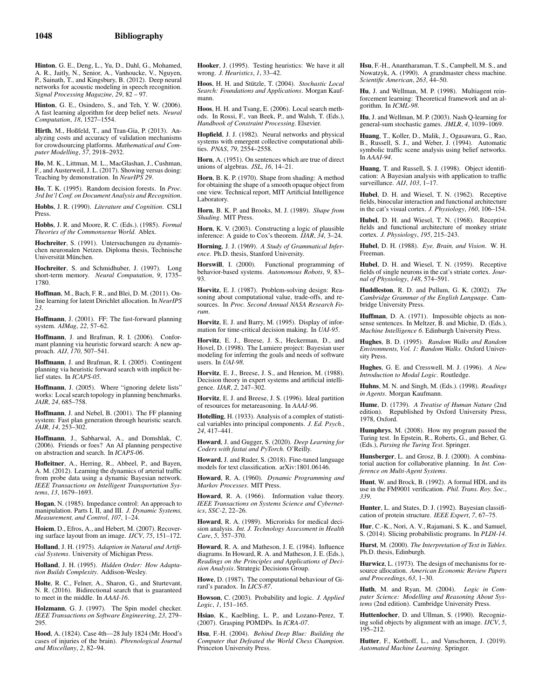Hinton, G. E., Deng, L., Yu, D., Dahl, G., Mohamed, A. R., Jaitly, N., Senior, A., Vanhoucke, V., Nguyen, P., Sainath, T., and Kingsbury, B. (2012). Deep neural networks for acoustic modeling in speech recognition. *Signal Processing Magazine*, *29*, 82 – 97.

Hinton, G. E., Osindero, S., and Teh, Y. W. (2006). A fast learning algorithm for deep belief nets. *Neural Computation*, *18*, 1527–1554.

Hirth, M., Hoßfeld, T., and Tran-Gia, P. (2013). Analyzing costs and accuracy of validation mechanisms for crowdsourcing platforms. *Mathematical and Computer Modelling*, *57*, 2918–2932.

Ho, M. K., Littman, M. L., MacGlashan, J., Cushman, F., and Austerweil, J. L. (2017). Showing versus doing: Teaching by demonstration. In *NeurIPS 29*.

Ho, T. K. (1995). Random decision forests. In *Proc. 3rd Int'l Conf. on Document Analysis and Recognition*.

Hobbs, J. R. (1990). *Literature and Cognition*. CSLI Press.

Hobbs, J. R. and Moore, R. C. (Eds.). (1985). *Formal Theories of the Commonsense World*. Ablex.

Hochreiter, S. (1991). Untersuchungen zu dynamischen neuronalen Netzen. Diploma thesis, Technische Universität München.

Hochreiter, S. and Schmidhuber, J. (1997). Long short-term memory. *Neural Computation*, *9*, 1735– 1780.

Hoffman, M., Bach, F. R., and Blei, D. M. (2011). Online learning for latent Dirichlet allocation. In *NeurIPS 23*.

Hoffmann, J. (2001). FF: The fast-forward planning system. *AIMag*, *22*, 57–62.

Hoffmann, J. and Brafman, R. I. (2006). Conformant planning via heuristic forward search: A new approach. *AIJ*, *170*, 507–541.

Hoffmann, J. and Brafman, R. I. (2005). Contingent planning via heuristic forward search with implicit belief states. In *ICAPS-05*.

Hoffmann, J. (2005). Where "ignoring delete lists" works: Local search topology in planning benchmarks. *JAIR*, *24*, 685–758.

Hoffmann, J. and Nebel, B. (2001). The FF planning system: Fast plan generation through heuristic search. *JAIR*, *14*, 253–302.

Hoffmann, J., Sabharwal, A., and Domshlak, C. (2006). Friends or foes? An AI planning perspective on abstraction and search. In *ICAPS-06*.

Hofleitner, A., Herring, R., Abbeel, P., and Bayen, A. M. (2012). Learning the dynamics of arterial traffic from probe data using a dynamic Bayesian network. *IEEE Transactions on Intelligent Transportation Systems*, *13*, 1679–1693.

Hogan, N. (1985). Impedance control: An approach to manipulation. Parts I, II, and III. *J. Dynamic Systems, Measurement, and Control*, *107*, 1–24.

Hoiem, D., Efros, A., and Hebert, M. (2007). Recovering surface layout from an image. *IJCV*, *75*, 151–172.

Holland, J. H. (1975). *Adaption in Natural and Artificial Systems*. University of Michigan Press.

Holland, J. H. (1995). *Hidden Order: How Adaptation Builds Complexity*. Addison-Wesley.

Holte, R. C., Felner, A., Sharon, G., and Sturtevant, N. R. (2016). Bidirectional search that is guaranteed to meet in the middle. In *AAAI-16*.

Holzmann, G. J. (1997). The Spin model checker. *IEEE Transactions on Software Engineering*, *23*, 279– 295.

Hood, A. (1824). Case 4th—28 July 1824 (Mr. Hood's cases of injuries of the brain). *Phrenological Journal and Miscellany*, *2*, 82–94.

Hooker, J. (1995). Testing heuristics: We have it all wrong. *J. Heuristics*, *1*, 33–42.

Hoos, H. H. and Stützle, T. (2004). *Stochastic Local Search: Foundations and Applications*. Morgan Kaufmann.

Hoos, H. H. and Tsang, E. (2006). Local search methods. In Rossi, F., van Beek, P., and Walsh, T. (Eds.), *Handbook of Constraint Processing*. Elsevier.

Hopfield, J. J. (1982). Neural networks and physical systems with emergent collective computational abilities. *PNAS*, *79*, 2554–2558.

Horn, A. (1951). On sentences which are true of direct unions of algebras. *JSL*, *16*, 14–21.

Horn, B. K. P. (1970). Shape from shading: A method for obtaining the shape of a smooth opaque object from one view. Technical report, MIT Artificial Intelligence Laboratory.

Horn, B. K. P. and Brooks, M. J. (1989). *Shape from Shading*. MIT Press.

Horn, K. V. (2003). Constructing a logic of plausible inference: A guide to Cox's theorem. *IJAR*, *34*, 3–24.

Horning, J. J. (1969). *A Study of Grammatical Inference*. Ph.D. thesis, Stanford University.

Horswill, I. (2000). Functional programming of behavior-based systems. *Autonomous Robots*, *9*, 83– 93.

Horvitz, E. J. (1987). Problem-solving design: Reasoning about computational value, trade-offs, and resources. In *Proc. Second Annual NASA Research Forum*.

Horvitz, E. J. and Barry, M. (1995). Display of information for time-critical decision making. In *UAI-95*.

Horvitz, E. J., Breese, J. S., Heckerman, D., and Hovel, D. (1998). The Lumiere project: Bayesian user modeling for inferring the goals and needs of software users. In *UAI-98*.

Horvitz, E. J., Breese, J. S., and Henrion, M. (1988). Decision theory in expert systems and artificial intelligence. *IJAR*, *2*, 247–302.

Horvitz, E. J. and Breese, J. S. (1996). Ideal partition of resources for metareasoning. In *AAAI-96*.

Hotelling, H. (1933). Analysis of a complex of statistical variables into principal components. *J. Ed. Psych.*, *24*, 417–441.

Howard, J. and Gugger, S. (2020). *Deep Learning for Coders with fastai and PyTorch*. O'Reilly.

Howard, J. and Ruder, S. (2018). Fine-tuned language models for text classification. arXiv:1801.06146.

Howard, R. A. (1960). *Dynamic Programming and Markov Processes*. MIT Press.

Howard, R. A. (1966). Information value theory. *IEEE Transactions on Systems Science and Cybernetics*, *SSC-2*, 22–26.

Howard, R. A. (1989). Microrisks for medical decision analysis. *Int. J. Technology Assessment in Health Care*, *5*, 357–370.

Howard, R. A. and Matheson, J. E. (1984). Influence diagrams. In Howard, R. A. and Matheson, J. E. (Eds.), *Readings on the Principles and Applications of Decision Analysis*. Strategic Decisions Group.

Howe, D. (1987). The computational behaviour of Girard's paradox. In *LICS-87*.

Howson, C. (2003). Probability and logic. *J. Applied Logic*, *1*, 151–165.

Hsiao, K., Kaelbling, L. P., and Lozano-Perez, T. (2007). Grasping POMDPs. In *ICRA-07*.

Hsu, F.-H. (2004). *Behind Deep Blue: Building the Computer that Defeated the World Chess Champion*. Princeton University Press.

Hsu, F.-H., Anantharaman, T. S., Campbell, M. S., and Nowatzyk, A. (1990). A grandmaster chess machine. *Scientific American*, *263*, 44–50.

Hu, J. and Wellman, M. P. (1998). Multiagent reinforcement learning: Theoretical framework and an al-gorithm. In *ICML-98*.

Hu, J. and Wellman, M. P. (2003). Nash Q-learning for general-sum stochastic games. *JMLR*, *4*, 1039–1069.

Huang, T., Koller, D., Malik, J., Ogasawara, G., Rao, B., Russell, S. J., and Weber, J. (1994). Automatic symbolic traffic scene analysis using belief networks. In *AAAI-94*.

Huang, T. and Russell, S. J. (1998). Object identification: A Bayesian analysis with application to traffic surveillance. *AIJ*, *103*, 1–17.

Hubel, D. H. and Wiesel, T. N. (1962). Receptive fields, binocular interaction and functional architecture in the cat's visual cortex. *J. Physiology*, *160*, 106–154.

Hubel, D. H. and Wiesel, T. N. (1968). Receptive fields and functional architecture of monkey striate cortex. *J. Physiology*, *195*, 215–243.

Hubel, D. H. (1988). *Eye, Brain, and Vision*. W. H. Freeman.

Hubel, D. H. and Wiesel, T. N. (1959). Receptive fields of single neurons in the cat's striate cortex. *Journal of Physiology*, *148*, 574–591.

Huddleston, R. D. and Pullum, G. K. (2002). *The Cambridge Grammar of the English Language*. Cambridge University Press.

Huffman, D. A. (1971). Impossible objects as nonsense sentences. In Meltzer, B. and Michie, D. (Eds.), *Machine Intelligence 6*. Edinburgh University Press.

Hughes, B. D. (1995). *Random Walks and Random Environments, Vol. 1: Random Walks*. Oxford University Press.

Hughes, G. E. and Cresswell, M. J. (1996). *A New Introduction to Modal Logic*. Routledge.

Huhns, M. N. and Singh, M. (Eds.). (1998). *Readings in Agents*. Morgan Kaufmann.

Hume, D. (1739). *A Treatise of Human Nature* (2nd edition). Republished by Oxford University Press, 1978, Oxford.

Humphrys, M. (2008). How my program passed the Turing test. In Epstein, R., Roberts, G., and Beber, G. (Eds.), *Parsing the Turing Test*. Springer.

Hunsberger, L. and Grosz, B. J. (2000). A combinatorial auction for collaborative planning. In *Int. Conference on Multi-Agent Systems*.

Hunt, W. and Brock, B. (1992). A formal HDL and its use in the FM9001 verification. *Phil. Trans. Roy. Soc.*, *339*.

Hunter, L. and States, D. J. (1992). Bayesian classification of protein structure. *IEEE Expert*, *7*, 67–75.

Hur, C.-K., Nori, A. V., Rajamani, S. K., and Samuel, S. (2014). Slicing probabilistic programs. In *PLDI-14*.

Hurst, M. (2000). *The Interpretation of Text in Tables*. Ph.D. thesis, Edinburgh.

Hurwicz, L. (1973). The design of mechanisms for resource allocation. *American Economic Review Papers and Proceedings*, *63*, 1–30.

Huth, M. and Ryan, M. (2004). *Logic in Computer Science: Modelling and Reasoning About Sys-tems* (2nd edition). Cambridge University Press.

Huttenlocher, D. and Ullman, S. (1990). Recognizing solid objects by alignment with an image. *IJCV*, *5*, 195–212.

Hutter, F., Kotthoff, L., and Vanschoren, J. (2019). *Automated Machine Learning*. Springer.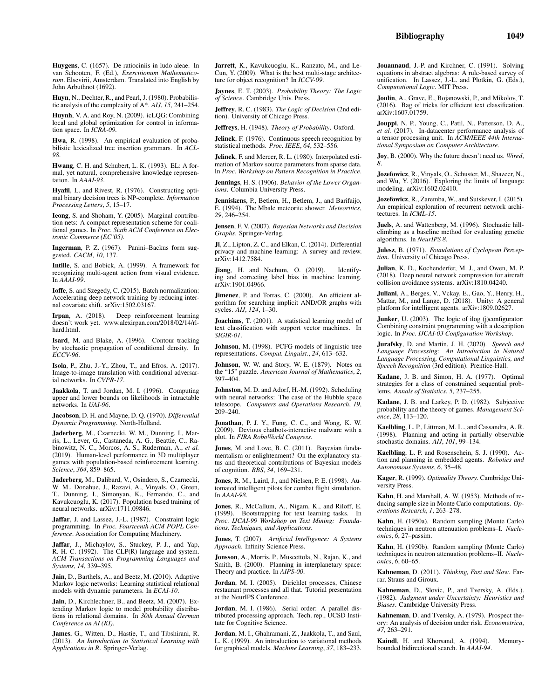Huygens, C. (1657). De ratiociniis in ludo aleae. In van Schooten, F. (Ed.), *Exercitionum Mathematicorum*. Elsevirii, Amsterdam. Translated into English by John Arbuthnot (1692).

Huyn, N., Dechter, R., and Pearl, J. (1980). Probabilistic analysis of the complexity of A\*. *AIJ*, *15*, 241–254.

Huynh, V. A. and Roy, N. (2009). icLQG: Combining local and global optimization for control in information space. In *ICRA-09*.

Hwa, R. (1998). An empirical evaluation of probabilistic lexicalized tree insertion grammars. In *ACL-98*.

Hwang, C. H. and Schubert, L. K. (1993). EL: A formal, yet natural, comprehensive knowledge representation. In *AAAI-93*.

Hyafil, L. and Rivest, R. (1976). Constructing optimal binary decision trees is NP-complete. *Information Processing Letters*, *5*, 15–17.

Ieong, S. and Shoham, Y. (2005). Marginal contribution nets: A compact representation scheme for coalitional games. In *Proc. Sixth ACM Conference on Electronic Commerce (EC'05)*.

Ingerman, P. Z. (1967). Panini–Backus form sug-gested. *CACM*, *10*, 137.

Intille, S. and Bobick, A. (1999). A framework for recognizing multi-agent action from visual evidence. In *AAAI-99*.

Ioffe, S. and Szegedy, C. (2015). Batch normalization: Accelerating deep network training by reducing internal covariate shift. arXiv:1502.03167.

Irpan, A. (2018). Deep reinforcement learning doesn't work yet. www.alexirpan.com/2018/02/14/rlhard.html.

Isard, M. and Blake, A. (1996). Contour tracking by stochastic propagation of conditional density. In *ECCV-96*.

Isola, P., Zhu, J.-Y., Zhou, T., and Efros, A. (2017). Image-to-image translation with conditional adversarial networks. In *CVPR-17*.

Jaakkola, T. and Jordan, M. I. (1996). Computing upper and lower bounds on likelihoods in intractable networks. In *UAI-96*.

Jacobson, D. H. and Mayne, D. Q. (1970). *Differential Dynamic Programming*. North-Holland.

Jaderberg, M., Czarnecki, W. M., Dunning, I., Marris, L., Lever, G., Castaneda, A. G., Beattie, C., Rabinowitz, N. C., Morcos, A. S., Ruderman, A., *et al.* (2019). Human-level performance in 3D multiplayer games with population-based reinforcement learning. *Science*, *364*, 859–865.

Jaderberg, M., Dalibard, V., Osindero, S., Czarnecki, W. M., Donahue, J., Razavi, A., Vinyals, O., Green, T., Dunning, I., Simonyan, K., Fernando, C., and Kavukcuoglu, K. (2017). Population based training of neural networks. arXiv:1711.09846.

Jaffar, J. and Lassez, J.-L. (1987). Constraint logic programming. In *Proc. Fourteenth ACM POPL Conference*. Association for Computing Machinery.

Jaffar, J., Michaylov, S., Stuckey, P. J., and Yap, R. H. C. (1992). The CLP(R) language and system. *ACM Transactions on Programming Languages and Systems*, *14*, 339–395.

Jain, D., Barthels, A., and Beetz, M. (2010). Adaptive Markov logic networks: Learning statistical relational models with dynamic parameters. In *ECAI-10*.

Jain, D., Kirchlechner, B., and Beetz, M. (2007). Extending Markov logic to model probability distributions in relational domains. In *30th Annual German Conference on AI (KI)*.

James, G., Witten, D., Hastie, T., and Tibshirani, R. (2013). *An Introduction to Statistical Learning with Applications in R*. Springer-Verlag.

Jarrett, K., Kavukcuoglu, K., Ranzato, M., and Le-Cun, Y. (2009). What is the best multi-stage architecture for object recognition? In *ICCV-09*.

Jaynes, E. T. (2003). *Probability Theory: The Logic of Science*. Cambridge Univ. Press.

Jeffrey, R. C. (1983). *The Logic of Decision* (2nd edition). University of Chicago Press.

Jeffreys, H. (1948). *Theory of Probability*. Oxford.

Jelinek, F. (1976). Continuous speech recognition by statistical methods. *Proc. IEEE*, *64*, 532–556.

Jelinek, F. and Mercer, R. L. (1980). Interpolated estimation of Markov source parameters from sparse data. In *Proc. Workshop on Pattern Recognition in Practice*.

Jennings, H. S. (1906). *Behavior of the Lower Organisms*. Columbia University Press.

Jenniskens, P., Betlem, H., Betlem, J., and Barifaijo, E. (1994). The Mbale meteorite shower. *Meteoritics*, *29*, 246–254.

Jensen, F. V. (2007). *Bayesian Networks and Decision Graphs*. Springer-Verlag.

Ji, Z., Lipton, Z. C., and Elkan, C. (2014). Differential privacy and machine learning: A survey and review. arXiv:1412.7584.

Jiang, H. and Nachum, O. (2019). Identifying and correcting label bias in machine learning. arXiv:1901.04966.

Jimenez, P. and Torras, C. (2000). An efficient algorithm for searching implicit AND/OR graphs with cycles. *AIJ*, *124*, 1–30.

Joachims, T. (2001). A statistical learning model of text classification with support vector machines. In *SIGIR-01*.

Johnson, M. (1998). PCFG models of linguistic tree representations. *Comput. Linguist.*, *24*, 613–632.

Johnson, W. W. and Story, W. E. (1879). Notes on the "15" puzzle. *American Journal of Mathematics*, *2*, 397–404.

Johnston, M. D. and Adorf, H.-M. (1992). Scheduling with neural networks: The case of the Hubble space telescope. *Computers and Operations Research*, *19*, 209–240.

Jonathan, P. J. Y., Fung, C. C., and Wong, K. W. (2009). Devious chatbots-interactive malware with a plot. In *FIRA RoboWorld Congress*.

Jones, M. and Love, B. C. (2011). Bayesian fundamentalism or enlightenment? On the explanatory status and theoretical contributions of Bayesian models of cognition. *BBS*, *34*, 169–231.

Jones, R. M., Laird, J., and Nielsen, P. E. (1998). Automated intelligent pilots for combat flight simulation. In *AAAI-98*.

Jones, R., McCallum, A., Nigam, K., and Riloff, E. (1999). Bootstrapping for text learning tasks. In *Proc. IJCAI-99 Workshop on Text Mining: Foundations, Techniques, and Applications*.

Jones, T. (2007). *Artificial Intelligence: A Systems Approach*. Infinity Science Press.

Jonsson, A., Morris, P., Muscettola, N., Rajan, K., and Smith, B. (2000). Planning in interplanetary space: Theory and practice. In *AIPS-00*.

Jordan, M. I. (2005). Dirichlet processes, Chinese restaurant processes and all that. Tutorial presentation at the NeurIPS Conference.

Jordan, M. I. (1986). Serial order: A parallel distributed processing approach. Tech. rep., UCSD Institute for Cognitive Science.

Jordan, M. I., Ghahramani, Z., Jaakkola, T., and Saul, L. K. (1999). An introduction to variational methods for graphical models. *Machine Learning*, *37*, 183–233.

Jouannaud, J.-P. and Kirchner, C. (1991). Solving equations in abstract algebras: A rule-based survey of unification. In Lassez, J.-L. and Plotkin, G. (Eds.), *Computational Logic*. MIT Press.

Joulin, A., Grave, E., Bojanowski, P., and Mikolov, T. (2016). Bag of tricks for efficient text classification. arXiv:1607.01759.

Jouppi, N. P., Young, C., Patil, N., Patterson, D. A., *et al.* (2017). In-datacenter performance analysis of a tensor processing unit. In *ACM/IEEE 44th International Symposium on Computer Architecture*.

Joy, B. (2000). Why the future doesn't need us. *Wired*, *8*.

Jozefowicz, R., Vinyals, O., Schuster, M., Shazeer, N., and Wu, Y. (2016). Exploring the limits of language modeling. arXiv:1602.02410.

Jozefowicz, R., Zaremba, W., and Sutskever, I. (2015). An empirical exploration of recurrent network architectures. In *ICML-15*.

Juels, A. and Wattenberg, M. (1996). Stochastic hillclimbing as a baseline method for evaluating genetic algorithms. In *NeurIPS 8*.

Julesz, B. (1971). *Foundations of Cyclopean Perception*. University of Chicago Press.

Julian, K. D., Kochenderfer, M. J., and Owen, M. P. (2018). Deep neural network compression for aircraft collision avoidance systems. arXiv:1810.04240.

Juliani, A., Berges, V., Vckay, E., Gao, Y., Henry, H., Mattar, M., and Lange, D. (2018). Unity: A general platform for intelligent agents. arXiv:1809.02627.

Junker, U. (2003). The logic of ilog (j)configurator: Combining constraint programming with a description logic. In *Proc. IJCAI-03 Configuration Workshop*.

Jurafsky, D. and Martin, J. H. (2020). *Speech and Language Processing: An Introduction to Natural Language Processing, Computational Linguistics, and Speech Recognition* (3rd edition). Prentice-Hall.

Kadane, J. B. and Simon, H. A. (1977). Optimal strategies for a class of constrained sequential problems. *Annals of Statistics*, *5*, 237–255.

Kadane, J. B. and Larkey, P. D. (1982). Subjective probability and the theory of games. *Management Science*, *28*, 113–120.

Kaelbling, L. P., Littman, M. L., and Cassandra, A. R. (1998). Planning and acting in partially observable stochastic domains. *AIJ*, *101*, 99–134.

Kaelbling, L. P. and Rosenschein, S. J. (1990). Action and planning in embedded agents. *Robotics and Autonomous Systems*, *6*, 35–48.

Kager, R. (1999). *Optimality Theory*. Cambridge University Press.

Kahn, H. and Marshall, A. W. (1953). Methods of reducing sample size in Monte Carlo computations. *Operations Research*, *1*, 263–278.

Kahn, H. (1950a). Random sampling (Monte Carlo) techniques in neutron attenuation problems–I. *Nucleonics*, *6*, 27–passim.

Kahn, H. (1950b). Random sampling (Monte Carlo) techniques in neutron attenuation problems–II. *Nucleonics*, *6*, 60–65.

Kahneman, D. (2011). *Thinking, Fast and Slow*. Farrar, Straus and Giroux.

Kahneman, D., Slovic, P., and Tversky, A. (Eds.). (1982). *Judgment under Uncertainty: Heuristics and Biases*. Cambridge University Press.

Kahneman, D. and Tversky, A. (1979). Prospect theory: An analysis of decision under risk. *Econometrica*, *47*, 263–291.

Kaindl, H. and Khorsand, A. (1994). Memorybounded bidirectional search. In *AAAI-94*.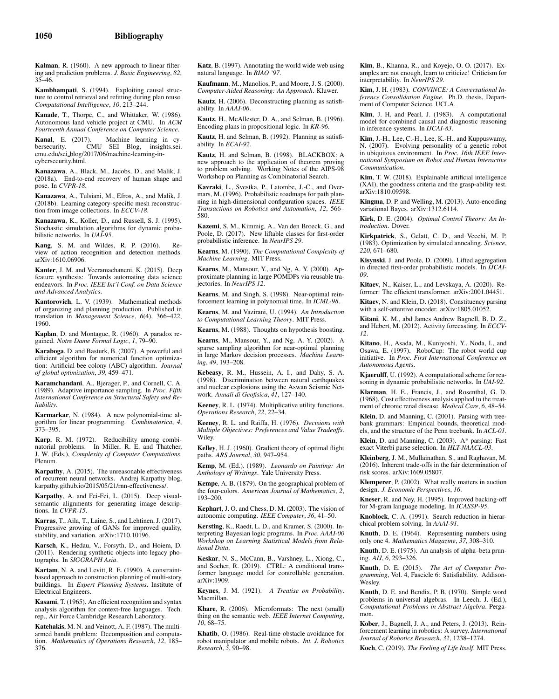Kalman, R. (1960). A new approach to linear filtering and prediction problems. *J. Basic Engineering*, *82*, 35–46.

Kambhampati, S. (1994). Exploiting causal structure to control retrieval and refitting during plan reuse. *Computational Intelligence*, *10*, 213–244.

Kanade, T., Thorpe, C., and Whittaker, W. (1986). Autonomous land vehicle project at CMU. In *ACM Fourteenth Annual Conference on Computer Science*.

Kanal, E. (2017). Machine learning in cy-CMU SEI Blog, insights.sei. cmu.edu/sei blog/2017/06/machine-learning-incybersecurity.html.

Kanazawa, A., Black, M., Jacobs, D., and Malik, J. (2018a). End-to-end recovery of human shape and pose. In *CVPR-18*.

Kanazawa, A., Tulsiani, M., Efros, A., and Malik, J. (2018b). Learning category-specific mesh reconstruction from image collections. In *ECCV-18*.

Kanazawa, K., Koller, D., and Russell, S. J. (1995). Stochastic simulation algorithms for dynamic probabilistic networks. In *UAI-95*.

Kang, S. M. and Wildes, R. P. (2016). Review of action recognition and detection methods. arXiv:1610.06906.

Kanter, J. M. and Veeramachaneni, K. (2015). Deep feature synthesis: Towards automating data science endeavors. In *Proc. IEEE Int'l Conf. on Data Science and Advanced Analytics*.

Kantorovich, L. V. (1939). Mathematical methods of organizing and planning production. Published in translation in *Management Science*, *6*(4), 366–422, 1960.

Kaplan, D. and Montague, R. (1960). A paradox regained. *Notre Dame Formal Logic*, *1*, 79–90.

Karaboga, D. and Basturk, B. (2007). A powerful and efficient algorithm for numerical function optimization: Artificial bee colony (ABC) algorithm. *Journal of global optimization*, *39*, 459–471.

Karamchandani, A., Bjerager, P., and Cornell, C. A. (1989). Adaptive importance sampling. In *Proc. Fifth International Conference on Structural Safety and Reliability*.

Karmarkar, N. (1984). A new polynomial-time algorithm for linear programming. *Combinatorica*, *4*, 373–395.

Karp, R. M. (1972). Reducibility among combinatorial problems. In Miller, R. E. and Thatcher, J. W. (Eds.), *Complexity of Computer Computations*. Plenum.

Karpathy, A. (2015). The unreasonable effectiveness of recurrent neural networks. Andrej Karpathy blog, karpathy.github.io/2015/05/21/rnn-effectiveness/.

Karpathy, A. and Fei-Fei, L. (2015). Deep visualsemantic alignments for generating image descriptions. In *CVPR-15*.

Karras, T., Aila, T., Laine, S., and Lehtinen, J. (2017). Progressive growing of GANs for improved quality, stability, and variation. arXiv:1710.10196.

Karsch, K., Hedau, V., Forsyth, D., and Hoiem, D. (2011). Rendering synthetic objects into legacy photographs. In *SIGGRAPH Asia*.

Kartam, N. A. and Levitt, R. E. (1990). A constraintbased approach to construction planning of multi-story buildings. In *Expert Planning Systems*. Institute of Electrical Engineers.

Kasami, T. (1965). An efficient recognition and syntax analysis algorithm for context-free languages. Tech. rep., Air Force Cambridge Research Laboratory.

Katehakis, M. N. and Veinott, A. F. (1987). The multiarmed bandit problem: Decomposition and computation. *Mathematics of Operations Research*, *12*, 185– 376.

Katz, B. (1997). Annotating the world wide web using natural language. In *RIAO '97*.

Kaufmann, M., Manolios, P., and Moore, J. S. (2000). *Computer-Aided Reasoning: An Approach*. Kluwer.

Kautz, H. (2006). Deconstructing planning as satisfiability. In *AAAI-06*.

Kautz, H., McAllester, D. A., and Selman, B. (1996). Encoding plans in propositional logic. In *KR-96*.

Kautz, H. and Selman, B. (1992). Planning as satisfiability. In *ECAI-92*.

Kautz, H. and Selman, B. (1998). BLACKBOX: A new approach to the application of theorem proving to problem solving. Working Notes of the AIPS-98 Workshop on Planning as Combinatorial Search.

Kavraki, L., Svestka, P., Latombe, L.-C., and Overmars, M. (1996). Probabilistic roadmaps for path planning in high-dimensional configuration spaces. *IEEE Transactions on Robotics and Automation*, *12*, 566– 580.

Kazemi, S. M., Kimmig, A., Van den Broeck, G., and Poole, D. (2017). New liftable classes for first-order probabilistic inference. In *NeurIPS 29*.

Kearns, M. (1990). *The Computational Complexity of Machine Learning*. MIT Press.

Kearns, M., Mansour, Y., and Ng, A. Y. (2000). Approximate planning in large POMDPs via reusable trajectories. In *NeurIPS 12*.

Kearns, M. and Singh, S. (1998). Near-optimal reinforcement learning in polynomial time. In *ICML-98*.

Kearns, M. and Vazirani, U. (1994). *An Introduction to Computational Learning Theory*. MIT Press.

Kearns, M. (1988). Thoughts on hypothesis boosting.

Kearns, M., Mansour, Y., and Ng, A. Y. (2002). A sparse sampling algorithm for near-optimal planning in large Markov decision processes. *Machine Learning*, *49*, 193–208.

Kebeasy, R. M., Hussein, A. I., and Dahy, S. A. (1998). Discrimination between natural earthquakes and nuclear explosions using the Aswan Seismic Network. *Annali di Geofisica*, *41*, 127–140.

Keeney, R. L. (1974). Multiplicative utility functions. *Operations Research*, *22*, 22–34.

Keeney, R. L. and Raiffa, H. (1976). *Decisions with Multiple Objectives: Preferences and Value Tradeoffs*. Wiley.

Kelley, H. J. (1960). Gradient theory of optimal flight paths. *ARS Journal*, *30*, 947–954.

Kemp, M. (Ed.). (1989). *Leonardo on Painting: An Anthology of Writings*. Yale University Press.

Kempe, A. B. (1879). On the geographical problem of the four-colors. *American Journal of Mathematics*, *2*, 193–200.

Kephart, J. O. and Chess, D. M. (2003). The vision of autonomic computing. *IEEE Computer*, *36*, 41–50.

Kersting, K., Raedt, L. D., and Kramer, S. (2000). Interpreting Bayesian logic programs. In *Proc. AAAI-00 Workshop on Learning Statistical Models from Relational Data*.

Keskar, N. S., McCann, B., Varshney, L., Xiong, C., and Socher, R. (2019). CTRL: A conditional transformer language model for controllable generation. arXiv:1909.

Keynes, J. M. (1921). *A Treatise on Probability*. Macmillan.

Khare, R. (2006). Microformats: The next (small) thing on the semantic web. *IEEE Internet Computing*, *10*, 68–75.

Khatib, O. (1986). Real-time obstacle avoidance for robot manipulator and mobile robots. *Int. J. Robotics Research*, *5*, 90–98.

Kim, B., Khanna, R., and Koyejo, O. O. (2017). Examples are not enough, learn to criticize! Criticism for interpretability. In *NeurIPS 29*.

Kim, J. H. (1983). *CONVINCE: A Conversational Inference Consolidation Engine*. Ph.D. thesis, Department of Computer Science, UCLA.

Kim, J. H. and Pearl, J. (1983). A computational model for combined causal and diagnostic reasoning in inference systems. In *IJCAI-83*.

Kim, J.-H., Lee, C.-H., Lee, K.-H., and Kuppuswamy, N. (2007). Evolving personality of a genetic robot in ubiquitous environment. In *Proc. 16th IEEE International Symposium on Robot and Human Interactive Communication*.

Kim, T. W. (2018). Explainable artificial intelligence (XAI), the goodness criteria and the grasp-ability test. arXiv:1810.09598.

Kingma, D. P. and Welling, M. (2013). Auto-encoding variational Bayes. arXiv:1312.6114.

Kirk, D. E. (2004). *Optimal Control Theory: An Introduction*. Dover.

Kirkpatrick, S., Gelatt, C. D., and Vecchi, M. P. (1983). Optimization by simulated annealing. *Science*, *220*, 671–680.

Kisynski, J. and Poole, D. (2009). Lifted aggregation in directed first-order probabilistic models. In *IJCAI-09*.

Kitaev, N., Kaiser, L., and Levskaya, A. (2020). Reformer: The efficient transformer. arXiv:2001.04451.

Kitaev, N. and Klein, D. (2018). Constituency parsing with a self-attentive encoder. arXiv:1805.01052.

Kitani, K. M., abd James Andrew Bagnell, B. D. Z., and Hebert, M. (2012). Activity forecasting. In *ECCV-12*.

Kitano, H., Asada, M., Kuniyoshi, Y., Noda, I., and Osawa, E. (1997). RoboCup: The robot world cup initiative. In *Proc. First International Conference on Autonomous Agents*.

Kjaerulff, U. (1992). A computational scheme for reasoning in dynamic probabilistic networks. In *UAI-92*.

Klarman, H. E., Francis, J., and Rosenthal, G. D. (1968). Cost effectiveness analysis applied to the treatment of chronic renal disease. *Medical Care*, *6*, 48–54.

Klein, D. and Manning, C. (2001). Parsing with treebank grammars: Empirical bounds, theoretical models, and the structure of the Penn treebank. In *ACL-01*.

Klein, D. and Manning, C. (2003). A\* parsing: Fast exact Viterbi parse selection. In *HLT-NAACL-03*.

Kleinberg, J. M., Mullainathan, S., and Raghavan, M. (2016). Inherent trade-offs in the fair determination of risk scores. arXiv:1609.05807.

Klemperer, P. (2002). What really matters in auction design. *J. Economic Perspectives*, *16*.

Kneser, R. and Ney, H. (1995). Improved backing-off for M-gram language modeling. In *ICASSP-95*.

Knoblock, C. A. (1991). Search reduction in hierarchical problem solving. In *AAAI-91*.

Knuth, D. E. (1964). Representing numbers using only one 4. *Mathematics Magazine*, *37*, 308–310.

Knuth, D. E. (1975). An analysis of alpha–beta pruning. *AIJ*, *6*, 293–326.

Knuth, D. E. (2015). *The Art of Computer Programming*, Vol. 4, Fascicle 6: Satisfiability. Addison-Wesley.

Knuth, D. E. and Bendix, P. B. (1970). Simple word problems in universal algebras. In Leech, J. (Ed.), *Computational Problems in Abstract Algebra*. Pergamon.

Kober, J., Bagnell, J. A., and Peters, J. (2013). Reinforcement learning in robotics: A survey. *International Journal of Robotics Research*, *32*, 1238–1274.

Koch, C. (2019). *The Feeling of Life Itself*. MIT Press.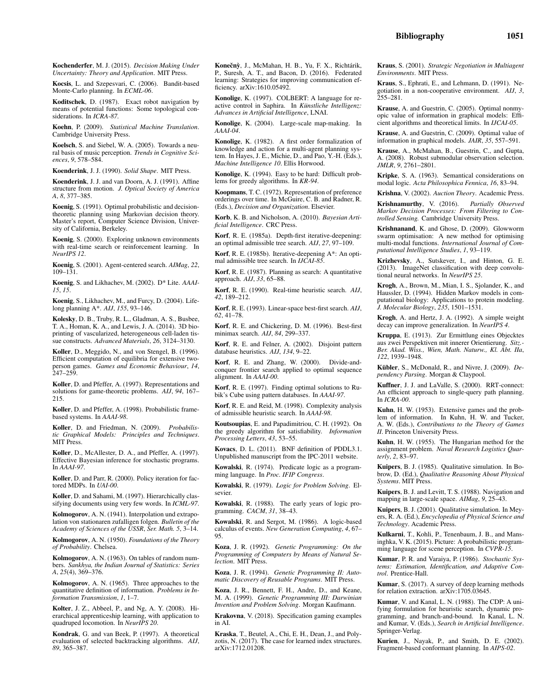Kochenderfer, M. J. (2015). *Decision Making Under Uncertainty: Theory and Application*. MIT Press.

Kocsis, L. and Szepesvari, C. (2006). Bandit-based Monte-Carlo planning. In *ECML-06*.

Koditschek, D. (1987). Exact robot navigation by means of potential functions: Some topological considerations. In *ICRA-87*.

Koehn, P. (2009). *Statistical Machine Translation*. Cambridge University Press.

Koelsch, S. and Siebel, W. A. (2005). Towards a neural basis of music perception. *Trends in Cognitive Sciences*, *9*, 578–584.

Koenderink, J. J. (1990). *Solid Shape*. MIT Press.

Koenderink, J. J. and van Doorn, A. J. (1991). Affine structure from motion. *J. Optical Society of America A*, *8*, 377–385.

Koenig, S. (1991). Optimal probabilistic and decisiontheoretic planning using Markovian decision theory. Master's report, Computer Science Division, University of California, Berkeley.

Koenig, S. (2000). Exploring unknown environments with real-time search or reinforcement learning. In *NeurIPS 12*.

Koenig, S. (2001). Agent-centered search. *AIMag*, *22*,  $109 - 131$ 

Koenig, S. and Likhachev, M. (2002). D\* Lite. *AAAI-15*, *15*.

Koenig, S., Likhachev, M., and Furcy, D. (2004). Lifelong planning A\*. *AIJ*, *155*, 93–146.

Kolesky, D. B., Truby, R. L., Gladman, A. S., Busbee, T. A., Homan, K. A., and Lewis, J. A. (2014). 3D bioprinting of vascularized, heterogeneous cell-laden tissue constructs. *Advanced Materials*, *26*, 3124–3130.

Koller, D., Meggido, N., and von Stengel, B. (1996). Efficient computation of equilibria for extensive twoperson games. *Games and Economic Behaviour*, *14*, 247–259.

Koller, D. and Pfeffer, A. (1997). Representations and solutions for game-theoretic problems. *AIJ*, *94*, 167– 215.

Koller, D. and Pfeffer, A. (1998). Probabilistic framebased systems. In *AAAI-98*.

Koller, D. and Friedman, N. (2009). *Probabilistic Graphical Models: Principles and Techniques*. MIT Press.

Koller, D., McAllester, D. A., and Pfeffer, A. (1997). Effective Bayesian inference for stochastic programs. In *AAAI-97*.

Koller, D. and Parr, R. (2000). Policy iteration for factored MDPs. In *UAI-00*.

Koller, D. and Sahami, M. (1997). Hierarchically classifying documents using very few words. In *ICML-97*.

Kolmogorov, A. N. (1941). Interpolation und extrapolation von stationaren zufalligen folgen. *Bulletin of the Academy of Sciences of the USSR*, *Ser. Math. 5*, 3–14.

Kolmogorov, A. N. (1950). *Foundations of the Theory of Probability*. Chelsea.

Kolmogorov, A. N. (1963). On tables of random numbers. *Sankhya, the Indian Journal of Statistics: Series A*, *25*(4), 369–376.

Kolmogorov, A. N. (1965). Three approaches to the quantitative definition of information. *Problems in Information Transmission*, *1*, 1–7.

Kolter, J. Z., Abbeel, P., and Ng, A. Y. (2008). Hierarchical apprenticeship learning, with application to quadruped locomotion. In *NeurIPS 20*.

Kondrak, G. and van Beek, P. (1997). A theoretical evaluation of selected backtracking algorithms. *AIJ*, *89*, 365–387.

Konečný, J., McMahan, H. B., Yu, F. X., Richtárik, P., Suresh, A. T., and Bacon, D. (2016). Federated learning: Strategies for improving communication efficiency. arXiv:1610.05492.

Konolige, K. (1997). COLBERT: A language for reactive control in Saphira. In *Künstliche Intelligenz*: *Advances in Artificial Intelligence*, LNAI.

Konolige, K. (2004). Large-scale map-making. In *AAAI-04*.

Konolige, K. (1982). A first order formalization of knowledge and action for a multi-agent planning system. In Hayes, J. E., Michie, D., and Pao, Y.-H. (Eds.), *Machine Intelligence 10*. Ellis Horwood.

Konolige, K. (1994). Easy to be hard: Difficult problems for greedy algorithms. In *KR-94*.

Koopmans, T. C. (1972). Representation of preference orderings over time. In McGuire, C. B. and Radner, R. (Eds.), *Decision and Organization*. Elsevier.

Korb, K. B. and Nicholson, A. (2010). *Bayesian Artificial Intelligence*. CRC Press.

Korf, R. E. (1985a). Depth-first iterative-deepening: an optimal admissible tree search. *AIJ*, *27*, 97–109.

Korf, R. E. (1985b). Iterative-deepening A\*: An optimal admissible tree search. In *IJCAI-85*.

Korf, R. E. (1987). Planning as search: A quantitative approach. *AIJ*, *33*, 65–88.

Korf, R. E. (1990). Real-time heuristic search. *AIJ*, *42*, 189–212.

Korf, R. E. (1993). Linear-space best-first search. *AIJ*, *62*, 41–78.

Korf, R. E. and Chickering, D. M. (1996). Best-first minimax search. *AIJ*, *84*, 299–337.

Korf, R. E. and Felner, A. (2002). Disjoint pattern database heuristics. *AIJ*, *134*, 9–22.

Korf, R. E. and Zhang, W. (2000). Divide-andconquer frontier search applied to optimal sequence alignment. In *AAAI-00*.

Korf, R. E. (1997). Finding optimal solutions to Rubik's Cube using pattern databases. In *AAAI-97*.

Korf, R. E. and Reid, M. (1998). Complexity analysis of admissible heuristic search. In *AAAI-98*.

Koutsoupias, E. and Papadimitriou, C. H. (1992). On the greedy algorithm for satisfiability. *Information Processing Letters*, *43*, 53–55.

Kovacs, D. L. (2011). BNF definition of PDDL3.1. Unpublished manuscript from the IPC-2011 website.

Kowalski, R. (1974). Predicate logic as a programming language. In *Proc. IFIP Congress*.

Kowalski, R. (1979). *Logic for Problem Solving*. Elsevier.

Kowalski, R. (1988). The early years of logic programming. *CACM*, *31*, 38–43.

Kowalski, R. and Sergot, M. (1986). A logic-based calculus of events. *New Generation Computing*, *4*, 67– 95.

Koza, J. R. (1992). *Genetic Programming: On the Programming of Computers by Means of Natural Selection*. MIT Press.

Koza, J. R. (1994). *Genetic Programming II: Automatic Discovery of Reusable Programs*. MIT Press.

Koza, J. R., Bennett, F. H., Andre, D., and Keane, M. A. (1999). *Genetic Programming III: Darwinian Invention and Problem Solving*. Morgan Kaufmann.

Krakovna, V. (2018). Specification gaming examples in AI.

Kraska, T., Beutel, A., Chi, E. H., Dean, J., and Polyzotis, N. (2017). The case for learned index structures. arXiv:1712.01208.

Kraus, S. (2001). *Strategic Negotiation in Multiagent Environments*. MIT Press.

Kraus, S., Ephrati, E., and Lehmann, D. (1991). Negotiation in a non-cooperative environment. *AIJ*, *3*, 255–281.

Krause, A. and Guestrin, C. (2005). Optimal nonmyopic value of information in graphical models: Efficient algorithms and theoretical limits. In *IJCAI-05*.

Krause, A. and Guestrin, C. (2009). Optimal value of information in graphical models. *JAIR*, *35*, 557–591.

Krause, A., McMahan, B., Guestrin, C., and Gupta, A. (2008). Robust submodular observation selection. *JMLR*, *9*, 2761–2801.

Kripke, S. A. (1963). Semantical considerations on modal logic. *Acta Philosophica Fennica*, *16*, 83–94.

Krishna, V. (2002). *Auction Theory*. Academic Press.

Krishnamurthy, V. (2016). *Partially Observed Markov Decision Processes: From Filtering to Controlled Sensing.* Cambridge University Press.

Krishnanand, K. and Ghose, D. (2009). Glowworm swarm optimisation: A new method for optimising multi-modal functions. *International Journal of Computational Intelligence Studies*, *1*, 93–119.

Krizhevsky, A., Sutskever, I., and Hinton, G. E. (2013). ImageNet classification with deep convolutional neural networks. In *NeurIPS 25*.

Krogh, A., Brown, M., Mian, I. S., Sjolander, K., and Haussler, D. (1994). Hidden Markov models in computational biology: Applications to protein modeling. *J. Molecular Biology*, *235*, 1501–1531.

Krogh, A. and Hertz, J. A. (1992). A simple weight decay can improve generalization. In *NeurIPS 4*.

Kruppa, E. (1913). Zur Ermittlung eines Objecktes aus zwei Perspektiven mit innerer Orientierung. *Sitz.- Ber. Akad. Wiss., Wien, Math. Naturw., Kl. Abt. IIa*, *122*, 1939–1948.

Kübler, S., McDonald, R., and Nivre, J. (2009). *Dependency Parsing*. Morgan & Claypool.

Kuffner, J. J. and LaValle, S. (2000). RRT-connect: An efficient approach to single-query path planning. In *ICRA-00*.

Kuhn, H. W. (1953). Extensive games and the problem of information. In Kuhn, H. W. and Tucker, A. W. (Eds.), *Contributions to the Theory of Games II*. Princeton University Press.

Kuhn, H. W. (1955). The Hungarian method for the assignment problem. *Naval Research Logistics Quarterly*, *2*, 83–97.

Kuipers, B. J. (1985). Qualitative simulation. In Bobrow, D. (Ed.), *Qualitative Reasoning About Physical Systems*. MIT Press.

Kuipers, B. J. and Levitt, T. S. (1988). Navigation and mapping in large-scale space. *AIMag*, *9*, 25–43.

Kuipers, B. J. (2001). Qualitative simulation. In Meyers, R. A. (Ed.), *Encyclopedia of Physical Science and Technology*. Academic Press.

Kulkarni, T., Kohli, P., Tenenbaum, J. B., and Mansinghka, V. K. (2015). Picture: A probabilistic programming language for scene perception. In *CVPR-15*.

Kumar, P. R. and Varaiya, P. (1986). *Stochastic Systems: Estimation, Identification, and Adaptive Control*. Prentice-Hall.

Kumar, S. (2017). A survey of deep learning methods for relation extraction. arXiv:1705.03645.

Kumar, V. and Kanal, L. N. (1988). The CDP: A unifying formulation for heuristic search, dynamic programming, and branch-and-bound. In Kanal, L. N. and Kumar, V. (Eds.), *Search in Artificial Intelligence*. Springer-Verlag.

Kurien, J., Nayak, P., and Smith, D. E. (2002). Fragment-based conformant planning. In *AIPS-02*.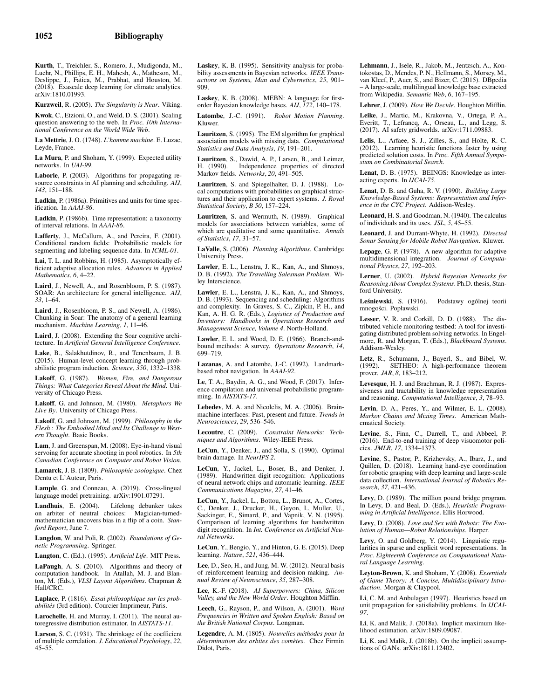Kurth, T., Treichler, S., Romero, J., Mudigonda, M., Luehr, N., Phillips, E. H., Mahesh, A., Matheson, M., Deslippe, J., Fatica, M., Prabhat, and Houston, M. (2018). Exascale deep learning for climate analytics. arXiv:1810.01993.

Kurzweil, R. (2005). *The Singularity is Near*. Viking.

Kwok, C., Etzioni, O., and Weld, D. S. (2001). Scaling question answering to the web. In *Proc. 10th International Conference on the World Wide Web*.

La Mettrie, J. O. (1748). *L'homme machine*. E. Luzac, Leyde, France.

La Mura, P. and Shoham, Y. (1999). Expected utility networks. In *UAI-99*.

Laborie, P. (2003). Algorithms for propagating resource constraints in AI planning and scheduling. *AIJ*, *143*, 151–188.

Ladkin, P. (1986a). Primitives and units for time specification. In *AAAI-86*.

Ladkin, P. (1986b). Time representation: a taxonomy of interval relations. In *AAAI-86*.

Lafferty, J., McCallum, A., and Pereira, F. (2001). Conditional random fields: Probabilistic models for segmenting and labeling sequence data. In *ICML-01*.

Lai, T. L. and Robbins, H. (1985). Asymptotically efficient adaptive allocation rules. *Advances in Applied Mathematics*, *6*, 4–22.

Laird, J., Newell, A., and Rosenbloom, P. S. (1987). SOAR: An architecture for general intelligence. *AIJ*, *33*, 1–64.

Laird, J., Rosenbloom, P. S., and Newell, A. (1986). Chunking in Soar: The anatomy of a general learning mechanism. *Machine Learning*, *1*, 11–46.

Laird, J. (2008). Extending the Soar cognitive architecture. In *Artificial General Intelligence Conference*.

Lake, B., Salakhutdinov, R., and Tenenbaum, J. B. (2015). Human-level concept learning through probabilistic program induction. *Science*, *350*, 1332–1338.

Lakoff, G. (1987). *Women, Fire, and Dangerous Things: What Categories Reveal About the Mind*. University of Chicago Press.

Lakoff, G. and Johnson, M. (1980). *Metaphors We Live By*. University of Chicago Press.

Lakoff, G. and Johnson, M. (1999). *Philosophy in the Flesh : The Embodied Mind and Its Challenge to Western Thought*. Basic Books.

Lam, J. and Greenspan, M. (2008). Eye-in-hand visual servoing for accurate shooting in pool robotics. In *5th Canadian Conference on Computer and Robot Vision*.

Lamarck, J. B. (1809). *Philosophie zoologique*. Chez Dentu et L'Auteur, Paris.

Lample, G. and Conneau, A. (2019). Cross-lingual language model pretraining. arXiv:1901.07291.

Landhuis, E. (2004). Lifelong debunker takes on arbiter of neutral choices: Magician-turned-mathematician uncovers bias in a flip of a coin. *Stanford Report*, June 7.

Langdon, W. and Poli, R. (2002). *Foundations of Genetic Programming*. Springer.

Langton, C. (Ed.). (1995). *Artificial Life*. MIT Press.

LaPaugh, A. S. (2010). Algorithms and theory of computation handbook. In Atallah, M. J. and Blanton, M. (Eds.), *VLSI Layout Algorithms*. Chapman & Hall/CRC.

Laplace, P. (1816). *Essai philosophique sur les probabilit´es* (3rd edition). Courcier Imprimeur, Paris.

Larochelle, H. and Murray, I. (2011). The neural autoregressive distribution estimator. In *AISTATS-11*.

Larson, S. C. (1931). The shrinkage of the coefficient of multiple correlation. *J. Educational Psychology*, *22*, 45–55.

Laskey, K. B. (1995). Sensitivity analysis for probability assessments in Bayesian networks. *IEEE Transactions on Systems, Man and Cybernetics*, *25*, 901– 909.

Laskey, K. B. (2008). MEBN: A language for firstorder Bayesian knowledge bases. *AIJ*, *172*, 140–178.

Latombe, J.-C. (1991). *Robot Motion Planning*. Kluwer.

Lauritzen, S. (1995). The EM algorithm for graphical association models with missing data. *Computational Statistics and Data Analysis*, *19*, 191–201.

Lauritzen, S., Dawid, A. P., Larsen, B., and Leimer, H. (1990). Independence properties of directed Markov fields. *Networks*, *20*, 491–505.

Lauritzen, S. and Spiegelhalter, D. J. (1988). Local computations with probabilities on graphical structures and their application to expert systems. *J. Royal Statistical Society*, *B 50*, 157–224.

Lauritzen, S. and Wermuth, N. (1989). Graphical models for associations between variables, some of which are qualitative and some quantitative. *Annals of Statistics*, *17*, 31–57.

LaValle, S. (2006). *Planning Algorithms*. Cambridge University Press.

Lawler, E. L., Lenstra, J. K., Kan, A., and Shmoys, D. B. (1992). *The Travelling Salesman Problem*. Wiley Interscience.

Lawler, E. L., Lenstra, J. K., Kan, A., and Shmoys, D. B. (1993). Sequencing and scheduling: Algorithms and complexity. In Graves, S. C., Zipkin, P. H., and Kan, A. H. G. R. (Eds.), *Logistics of Production and Inventory: Handbooks in Operations Research and Management Science, Volume 4*. North-Holland.

Lawler, E. L. and Wood, D. E. (1966). Branch-andbound methods: A survey. *Operations Research*, *14*, 699–719.

Lazanas, A. and Latombe, J.-C. (1992). Landmarkbased robot navigation. In *AAAI-92*.

Le, T. A., Baydin, A. G., and Wood, F. (2017). Inference compilation and universal probabilistic programming. In *AISTATS-17*.

Lebedev, M. A. and Nicolelis, M. A. (2006). Brainmachine interfaces: Past, present and future. *Trends in Neurosciences*, *29*, 536–546.

Lecoutre, C. (2009). *Constraint Networks: Techniques and Algorithms*. Wiley-IEEE Press.

LeCun, Y., Denker, J., and Solla, S. (1990). Optimal brain damage. In *NeurIPS 2*.

LeCun, Y., Jackel, L., Boser, B., and Denker, J. (1989). Handwritten digit recognition: Applications of neural network chips and automatic learning. *IEEE Communications Magazine*, *27*, 41–46.

LeCun, Y., Jackel, L., Bottou, L., Brunot, A., Cortes, C., Denker, J., Drucker, H., Guyon, I., Muller, U., Sackinger, E., Simard, P., and Vapnik, V. N. (1995). Comparison of learning algorithms for handwritten digit recognition. In *Int. Conference on Artificial Neural Networks*.

LeCun, Y., Bengio, Y., and Hinton, G. E. (2015). Deep learning. *Nature*, *521*, 436–444.

Lee, D., Seo, H., and Jung, M. W. (2012). Neural basis of reinforcement learning and decision making. *Annual Review of Neuroscience*, *35*, 287–308.

Lee, K.-F. (2018). *AI Superpowers: China, Silicon Valley, and the New World Order*. Houghton Mifflin.

Leech, G., Rayson, P., and Wilson, A. (2001). *Word Frequencies in Written and Spoken English: Based on the British National Corpus*. Longman.

Legendre, A. M. (1805). *Nouvelles méthodes pour la d´etermination des orbites des com`etes*. Chez Firmin Didot, Paris.

Lehmann, J., Isele, R., Jakob, M., Jentzsch, A., Kontokostas, D., Mendes, P. N., Hellmann, S., Morsey, M., van Kleef, P., Auer, S., and Bizer, C. (2015). DBpedia – A large-scale, multilingual knowledge base extracted from Wikipedia. *Semantic Web*, *6*, 167–195.

Lehrer, J. (2009). *How We Decide*. Houghton Mifflin.

Leike, J., Martic, M., Krakovna, V., Ortega, P. A., Everitt, T., Lefrancq, A., Orseau, L., and Legg, S. (2017). AI safety gridworlds. arXiv:1711.09883.

Lelis, L., Arfaee, S. J., Zilles, S., and Holte, R. C. (2012). Learning heuristic functions faster by using predicted solution costs. In *Proc. Fifth Annual Symposium on Combinatorial Search*.

Lenat, D. B. (1975). BEINGS: Knowledge as interacting experts. In *IJCAI-75*.

Lenat, D. B. and Guha, R. V. (1990). *Building Large Knowledge-Based Systems: Representation and Inference in the CYC Project*. Addison-Wesley.

Leonard, H. S. and Goodman, N. (1940). The calculus of individuals and its uses. *JSL*, *5*, 45–55.

Leonard, J. and Durrant-Whyte, H. (1992). *Directed Sonar Sensing for Mobile Robot Navigation*. Kluwer.

Lepage, G. P. (1978). A new algorithm for adaptive multidimensional integration. *Journal of Computational Physics*, *27*, 192–203.

Lerner, U. (2002). *Hybrid Bayesian Networks for Reasoning About Complex Systems*. Ph.D. thesis, Stanford University.

Leśniewski, S. (1916). Podstawy ogólnej teorii mnogości. Popławski.

Lesser, V. R. and Corkill, D. D. (1988). The distributed vehicle monitoring testbed: A tool for investigating distributed problem solving networks. In Engelmore, R. and Morgan, T. (Eds.), *Blackboard Systems*. Addison-Wesley.

Letz, R., Schumann, J., Bayerl, S., and Bibel, W. (1992). SETHEO: A high-performance theorem prover. *JAR*, *8*, 183–212.

Levesque, H. J. and Brachman, R. J. (1987). Expressiveness and tractability in knowledge representation and reasoning. *Computational Intelligence*, *3*, 78–93.

Levin, D. A., Peres, Y., and Wilmer, E. L. (2008). *Markov Chains and Mixing Times*. American Mathematical Society.

Levine, S., Finn, C., Darrell, T., and Abbeel, P. (2016). End-to-end training of deep visuomotor policies. *JMLR*, *17*, 1334–1373.

Levine, S., Pastor, P., Krizhevsky, A., Ibarz, J., and Quillen, D. (2018). Learning hand-eye coordination for robotic grasping with deep learning and large-scale data collection. *International Journal of Robotics Research*, *37*, 421–436.

Levy, D. (1989). The million pound bridge program. In Levy, D. and Beal, D. (Eds.), *Heuristic Programming in Artificial Intelligence*. Ellis Horwood.

Levy, D. (2008). *Love and Sex with Robots: The Evolution of Human—Robot Relationships*. Harper.

Levy, O. and Goldberg, Y. (2014). Linguistic regularities in sparse and explicit word representations. In *Proc. Eighteenth Conference on Computational Natural Language Learning*.

Leyton-Brown, K. and Shoham, Y. (2008). *Essentials of Game Theory: A Concise, Multidisciplinary Introduction*. Morgan & Claypool.

Li, C. M. and Anbulagan (1997). Heuristics based on unit propagation for satisfiability problems. In *IJCAI-97*.

Li, K. and Malik, J. (2018a). Implicit maximum likelihood estimation. arXiv:1809.09087.

Li, K. and Malik, J. (2018b). On the implicit assumptions of GANs. arXiv:1811.12402.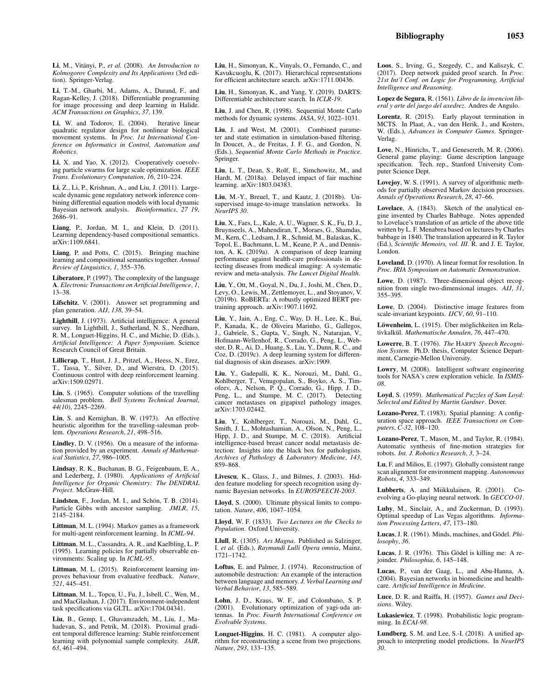Li, T.-M., Gharbi, M., Adams, A., Durand, F., and Ragan-Kelley, J. (2018). Differentiable programming for image processing and deep learning in Halide. *ACM Transactions on Graphics*, *37*, 139.

Li, W. and Todorov, E. (2004). Iterative linear quadratic regulator design for nonlinear biological movement systems. In *Proc. 1st International Conference on Informatics in Control, Automation and Robotics*.

Li, X. and Yao, X. (2012). Cooperatively coevolving particle swarms for large scale optimization. *IEEE Trans. Evolutionary Computation*, *16*, 210–224.

Li, Z., Li, P., Krishnan, A., and Liu, J. (2011). Largescale dynamic gene regulatory network inference combining differential equation models with local dynamic Bayesian network analysis. *Bioinformatics*, *27 19*, 2686–91.

Liang, P., Jordan, M. I., and Klein, D. (2011). Learning dependency-based compositional semantics. arXiv:1109.6841.

Liang, P. and Potts, C. (2015). Bringing machine learning and compositional semantics together. *Annual Review of Linguistics*, *1*, 355–376.

Liberatore, P. (1997). The complexity of the language A. *Electronic Transactions on Artificial Intelligence*, *1*, 13–38.

Lifschitz, V. (2001). Answer set programming and plan generation. *AIJ*, *138*, 39–54.

Lighthill, J. (1973). Artificial intelligence: A general survey. In Lighthill, J., Sutherland, N. S., Needham, R. M., Longuet-Higgins, H. C., and Michie, D. (Eds.), *Artificial Intelligence: A Paper Symposium*. Science Research Council of Great Britain.

Lillicrap, T., Hunt, J. J., Pritzel, A., Heess, N., Erez, T., Tassa, Y., Silver, D., and Wierstra, D. (2015). Continuous control with deep reinforcement learning. arXiv:1509.02971.

Lin, S. (1965). Computer solutions of the travelling salesman problem. *Bell Systems Technical Journal*, *44(10)*, 2245–2269.

Lin, S. and Kernighan, B. W. (1973). An effective heuristic algorithm for the travelling-salesman problem. *Operations Research*, *21*, 498–516.

Lindley, D. V. (1956). On a measure of the information provided by an experiment. *Annals of Mathematical Statistics*, *27*, 986–1005.

Lindsay, R. K., Buchanan, B. G., Feigenbaum, E. A., and Lederberg, J. (1980). *Applications of Artificial Intelligence for Organic Chemistry: The DENDRAL Project*. McGraw-Hill.

Lindsten, F., Jordan, M. I., and Schön, T. B. (2014). Particle Gibbs with ancestor sampling. *JMLR*, *15*, 2145–2184.

Littman, M. L. (1994). Markov games as a framework for multi-agent reinforcement learning. In *ICML-94*.

Littman, M. L., Cassandra, A. R., and Kaelbling, L. P. (1995). Learning policies for partially observable environments: Scaling up. In *ICML-95*.

Littman, M. L. (2015). Reinforcement learning improves behaviour from evaluative feedback. *Nature*, *521*, 445–451.

Littman, M. L., Topcu, U., Fu, J., Isbell, C., Wen, M., and MacGlashan, J. (2017). Environment-independent task specifications via GLTL. arXiv:1704.04341.

Liu, B., Gemp, I., Ghavamzadeh, M., Liu, J., Mahadevan, S., and Petrik, M. (2018). Proximal gradient temporal difference learning: Stable reinforcement learning with polynomial sample complexity. *JAIR*, *63*, 461–494.

Liu, H., Simonyan, K., Vinyals, O., Fernando, C., and Kavukcuoglu, K. (2017). Hierarchical representations for efficient architecture search. arXiv:1711.00436.

Liu, H., Simonyan, K., and Yang, Y. (2019). DARTS: Differentiable architecture search. In *ICLR-19*.

Liu, J. and Chen, R. (1998). Sequential Monte Carlo methods for dynamic systems. *JASA*, *93*, 1022–1031.

Liu, J. and West, M. (2001). Combined parameter and state estimation in simulation-based filtering. In Doucet, A., de Freitas, J. F. G., and Gordon, N. (Eds.), *Sequential Monte Carlo Methods in Practice*. Springer.

Liu, L. T., Dean, S., Rolf, E., Simchowitz, M., and Hardt, M. (2018a). Delayed impact of fair machine learning. arXiv:1803.04383.

Liu, M.-Y., Breuel, T., and Kautz, J. (2018b). Unsupervised image-to-image translation networks. In *NeurIPS 30*.

Liu, X., Faes, L., Kale, A. U., Wagner, S. K., Fu, D. J., Bruynseels, A., Mahendiran, T., Moraes, G., Shamdas, M., Kern, C., Ledsam, J. R., Schmid, M., Balaskas, K., Topol, E., Bachmann, L. M., Keane, P. A., and Denniston, A. K. (2019a). A comparison of deep learning performance against health-care professionals in detecting diseases from medical imaging: A systematic review and meta-analysis. *The Lancet Digital Health*.

Liu, Y., Ott, M., Goyal, N., Du, J., Joshi, M., Chen, D., Levy, O., Lewis, M., Zettlemoyer, L., and Stoyanov, V. (2019b). RoBERTa: A robustly optimized BERT pretraining approach. arXiv:1907.11692.

Liu, Y., Jain, A., Eng, C., Way, D. H., Lee, K., Bui, P., Kanada, K., de Oliveira Marinho, G., Gallegos, J., Gabriele, S., Gupta, V., Singh, N., Natarajan, V., Hofmann-Wellenhof, R., Corrado, G., Peng, L., Webster, D. R., Ai, D., Huang, S., Liu, Y., Dunn, R. C., and Coz, D. (2019c). A deep learning system for differential diagnosis of skin diseases. arXiv:1909.

Liu, Y., Gadepalli, K. K., Norouzi, M., Dahl, G., Kohlberger, T., Venugopalan, S., Boyko, A. S., Timofeev, A., Nelson, P. Q., Corrado, G., Hipp, J. D., Peng, L., and Stumpe, M. C. (2017). Detecting cancer metastases on gigapixel pathology images. arXiv:1703.02442.

Liu, Y., Kohlberger, T., Norouzi, M., Dahl, G., Smith, J. L., Mohtashamian, A., Olson, N., Peng, L., Hipp, J. D., and Stumpe, M. C. (2018). Artificial intelligence-based breast cancer nodal metastasis detection: Insights into the black box for pathologists. *Archives of Pathology & Laboratory Medicine*, *143*, 859–868.

Livescu, K., Glass, J., and Bilmes, J. (2003). Hidden feature modeling for speech recognition using dynamic Bayesian networks. In *EUROSPEECH-2003*.

Lloyd, S. (2000). Ultimate physical limits to computation. *Nature*, *406*, 1047–1054.

Lloyd, W. F. (1833). *Two Lectures on the Checks to Population*. Oxford University.

Llull, R. (1305). *Ars Magna*. Published as Salzinger, I. *et al.* (Eds.), *Raymundi Lulli Opera omnia*, Mainz, 1721–1742.

Loftus, E. and Palmer, J. (1974). Reconstruction of automobile destruction: An example of the interaction between language and memory. *J. Verbal Learning and Verbal Behavior*, *13*, 585–589.

Lohn, J. D., Kraus, W. F., and Colombano, S. P. (2001). Evolutionary optimization of yagi-uda antennas. In *Proc. Fourth International Conference on Evolvable Systems*.

Longuet-Higgins, H. C. (1981). A computer algorithm for reconstructing a scene from two projections. *Nature*, *293*, 133–135.

Loos, S., Irving, G., Szegedy, C., and Kaliszyk, C. (2017). Deep network guided proof search. In *Proc. 21st Int'l Conf. on Logic for Programming, Artificial Intelligence and Reasoning*.

Lopez de Segura, R. (1561). *Libro de la invencion liberal y arte del juego del axedrez*. Andres de Angulo.

Lorentz, R. (2015). Early playout termination in MCTS. In Plaat, A., van den Herik, J., and Kosters, W. (Eds.), *Advances in Computer Games*. Springer-Verlag.

Love, N., Hinrichs, T., and Genesereth, M. R. (2006). General game playing: Game description language specification. Tech. rep., Stanford University Computer Science Dept.

Lovejoy, W. S. (1991). A survey of algorithmic methods for partially observed Markov decision processes. *Annals of Operations Research*, *28*, 47–66.

Lovelace, A. (1843). Sketch of the analytical engine invented by Charles Babbage. Notes appended to Lovelace's translation of an article of the above title written by L. F. Menabrea based on lectures by Charles babbage in 1840. The translation appeared in R. Taylor (Ed.), *Scientific Memoirs, vol. III*. R. and J. E. Taylor, London.

Loveland, D. (1970). A linear format for resolution. In *Proc. IRIA Symposium on Automatic Demonstration*.

Lowe, D. (1987). Three-dimensional object recognition from single two-dimensional images. *AIJ*, *31*, 355–395.

Lowe, D. (2004). Distinctive image features from scale-invariant keypoints. *IJCV*, *60*, 91–110.

Löwenheim, L. (1915). Über möglichkeiten im Relativkalkül. *Mathematische Annalen*, 76, 447-470.

Lowerre, B. T. (1976). *The* HARPY *Speech Recognition System*. Ph.D. thesis, Computer Science Department, Carnegie-Mellon University.

Lowry, M. (2008). Intelligent software engineering tools for NASA's crew exploration vehicle. In *ISMIS-08*.

Loyd, S. (1959). *Mathematical Puzzles of Sam Loyd: Selected and Edited by Martin Gardner*. Dover.

Lozano-Perez, T. (1983). Spatial planning: A configuration space approach. *IEEE Transactions on Computers*, *C-32*, 108–120.

Lozano-Perez, T., Mason, M., and Taylor, R. (1984). Automatic synthesis of fine-motion strategies for robots. *Int. J. Robotics Research*, *3*, 3–24.

Lu, F. and Milios, E. (1997). Globally consistent range scan alignment for environment mapping. *Autonomous Robots*, *4*, 333–349.

Lubberts, A. and Miikkulainen, R. (2001). Coevolving a Go-playing neural network. In *GECCO-01*.

Luby, M., Sinclair, A., and Zuckerman, D. (1993). Optimal speedup of Las Vegas algorithms. *Information Processing Letters*, *47*, 173–180.

Lucas, J. R. (1961). Minds, machines, and Gödel. Phi*losophy*, *36*.

Lucas, J. R. (1976). This Gödel is killing me: A rejoinder. *Philosophia*, *6*, 145–148.

Lucas, P., van der Gaag, L., and Abu-Hanna, A. (2004). Bayesian networks in biomedicine and healthcare. *Artificial Intelligence in Medicine*.

Luce, D. R. and Raiffa, H. (1957). *Games and Decisions*. Wiley.

Lukasiewicz, T. (1998). Probabilistic logic programming. In *ECAI-98*.

Lundberg, S. M. and Lee, S.-I. (2018). A unified approach to interpreting model predictions. In *NeurIPS 30*.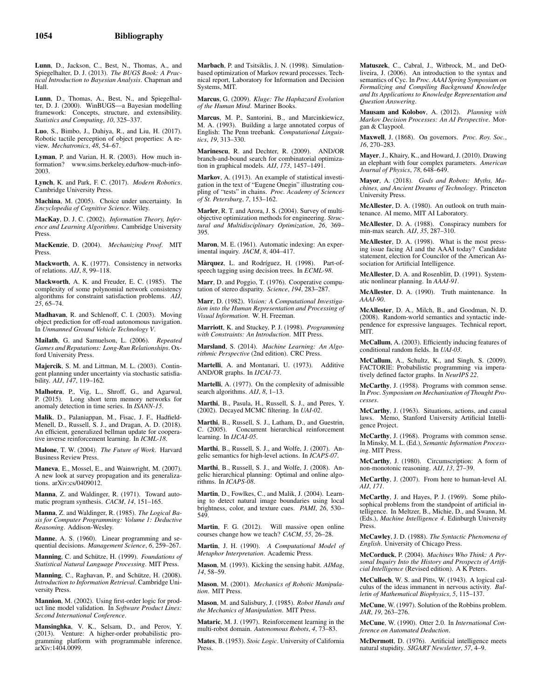Lunn, D., Jackson, C., Best, N., Thomas, A., and Spiegelhalter, D. J. (2013). *The BUGS Book: A Practical Introduction to Bayesian Analysis*. Chapman and Hall.

Lunn, D., Thomas, A., Best, N., and Spiegelhalter, D. J. (2000). WinBUGS—a Bayesian modelling framework: Concepts, structure, and extensibility. *Statistics and Computing*, *10*, 325–337.

Luo, S., Bimbo, J., Dahiya, R., and Liu, H. (2017). Robotic tactile perception of object properties: A review. *Mechatronics*, *48*, 54–67.

Lyman, P. and Varian, H. R. (2003). How much information? www.sims.berkeley.edu/how-much-info-2003.

Lynch, K. and Park, F. C. (2017). *Modern Robotics*. Cambridge University Press.

Machina, M. (2005). Choice under uncertainty. In *Encyclopedia of Cognitive Science*. Wiley.

MacKay, D. J. C. (2002). *Information Theory, Inference and Learning Algorithms*. Cambridge University Press.

MacKenzie, D. (2004). *Mechanizing Proof*. MIT Press.

Mackworth, A. K. (1977). Consistency in networks of relations. *AIJ*, *8*, 99–118.

Mackworth, A. K. and Freuder, E. C. (1985). The complexity of some polynomial network consistency algorithms for constraint satisfaction problems. *AIJ*, *25*, 65–74.

Madhavan, R. and Schlenoff, C. I. (2003). Moving object prediction for off-road autonomous navigation. In *Unmanned Ground Vehicle Technology V*.

Mailath, G. and Samuelson, L. (2006). *Repeated Games and Reputations: Long-Run Relationships*. Oxford University Press.

Majercik, S. M. and Littman, M. L. (2003). Contingent planning under uncertainty via stochastic satisfiability. *AIJ*, *147*, 119–162.

Malhotra, P., Vig, L., Shroff, G., and Agarwal, P. (2015). Long short term memory networks for anomaly detection in time series. In *ISANN-15*.

Malik, D., Palaniappan, M., Fisac, J. F., Hadfield-Menell, D., Russell, S. J., and Dragan, A. D. (2018). An efficient, generalized bellman update for cooperative inverse reinforcement learning. In *ICML-18*.

Malone, T. W. (2004). *The Future of Work*. Harvard Business Review Press.

Maneva, E., Mossel, E., and Wainwright, M. (2007). A new look at survey propagation and its generalizations. arXiv:cs/0409012.

Manna, Z. and Waldinger, R. (1971). Toward automatic program synthesis. *CACM*, *14*, 151–165.

Manna, Z. and Waldinger, R. (1985). *The Logical Basis for Computer Programming: Volume 1: Deductive Reasoning*. Addison-Wesley.

Manne, A. S. (1960). Linear programming and sequential decisions. *Management Science*, *6*, 259–267.

Manning, C. and Schütze, H. (1999). *Foundations of Statistical Natural Language Processing*. MIT Press.

Manning, C., Raghavan, P., and Schütze, H. (2008). *Introduction to Information Retrieval*. Cambridge University Press.

Mannion, M. (2002). Using first-order logic for product line model validation. In *Software Product Lines: Second International Conference*.

Mansinghka, V. K., Selsam, D., and Perov, Y. (2013). Venture: A higher-order probabilistic programming platform with programmable inference. arXiv:1404.0099. Marbach, P. and Tsitsiklis, J. N. (1998). Simulationbased optimization of Markov reward processes. Technical report, Laboratory for Information and Decision Systems, MIT.

Marcus, G. (2009). *Kluge: The Haphazard Evolution of the Human Mind*. Mariner Books.

Marcus, M. P., Santorini, B., and Marcinkiewicz, M. A. (1993). Building a large annotated corpus of English: The Penn treebank. *Computational Linguistics*, *19*, 313–330.

Marinescu, R. and Dechter, R. (2009). AND/OR branch-and-bound search for combinatorial optimization in graphical models. *AIJ*, *173*, 1457–1491.

Markov, A. (1913). An example of statistical investigation in the text of "Eugene Onegin" illustrating coupling of "tests" in chains. *Proc. Academy of Sciences of St. Petersburg*, *7*, 153–162.

Marler, R. T. and Arora, J. S. (2004). Survey of multiobjective optimization methods for engineering. *Structural and Multidisciplinary Optimization*, *26*, 369– 395.

Maron, M. E. (1961). Automatic indexing: An experimental inquiry. *JACM*, *8*, 404–417.

Màrquez, L. and Rodríguez, H. (1998). Part-ofspeech tagging using decision trees. In *ECML-98*.

Marr, D. and Poggio, T. (1976). Cooperative computation of stereo disparity. *Science*, *194*, 283–287.

Marr, D. (1982). *Vision: A Computational Investigation into the Human Representation and Processing of Visual Information*. W. H. Freeman.

Marriott, K. and Stuckey, P. J. (1998). *Programming with Constraints: An Introduction*. MIT Press.

Marsland, S. (2014). *Machine Learning: An Algorithmic Perspective* (2nd edition). CRC Press.

Martelli, A. and Montanari, U. (1973). Additive AND/OR graphs. In *IJCAI-73*.

Martelli, A. (1977). On the complexity of admissible search algorithms. *AIJ*, *8*, 1–13.

Marthi, B., Pasula, H., Russell, S. J., and Peres, Y. (2002). Decayed MCMC filtering. In *UAI-02*.

Marthi, B., Russell, S. J., Latham, D., and Guestrin, C. (2005). Concurrent hierarchical reinforcement learning. In *IJCAI-05*.

Marthi, B., Russell, S. J., and Wolfe, J. (2007). Angelic semantics for high-level actions. In *ICAPS-07*.

Marthi, B., Russell, S. J., and Wolfe, J. (2008). Angelic hierarchical planning: Optimal and online algorithms. In *ICAPS-08*.

Martin, D., Fowlkes, C., and Malik, J. (2004). Learning to detect natural image boundaries using local brightness, color, and texture cues. *PAMI*, *26*, 530– 549.

Martin, F. G. (2012). Will massive open online courses change how we teach? *CACM*, *55*, 26–28.

Martin, J. H. (1990). *A Computational Model of Metaphor Interpretation*. Academic Press.

Mason, M. (1993). Kicking the sensing habit. *AIMag*, *14*, 58–59.

Mason, M. (2001). *Mechanics of Robotic Manipulation*. MIT Press.

Mason, M. and Salisbury, J. (1985). *Robot Hands and the Mechanics of Manipulation*. MIT Press.

Mataric, M. J. (1997). Reinforcement learning in the multi-robot domain. *Autonomous Robots*, *4*, 73–83.

Mates, B. (1953). *Stoic Logic*. University of California Press.

Matuszek, C., Cabral, J., Witbrock, M., and DeOliveira, J. (2006). An introduction to the syntax and semantics of Cyc. In *Proc. AAAI Spring Symposium on Formalizing and Compiling Background Knowledge and Its Applications to Knowledge Representation and Question Answering*.

Mausam and Kolobov, A. (2012). *Planning with Markov Decision Processes: An AI Perspective*. Morgan & Claypool.

Maxwell, J. (1868). On governors. *Proc. Roy. Soc.*, *16*, 270–283.

Mayer, J., Khairy, K., and Howard, J. (2010). Drawing an elephant with four complex parameters. *American Journal of Physics*, *78*, 648–649.

Mayor, A. (2018). *Gods and Robots: Myths, Machines, and Ancient Dreams of Technology*. Princeton University Press.

McAllester, D. A. (1980). An outlook on truth maintenance. AI memo, MIT AI Laboratory.

McAllester, D. A. (1988). Conspiracy numbers for min-max search. *AIJ*, *35*, 287–310.

McAllester, D. A. (1998). What is the most pressing issue facing AI and the AAAI today? Candidate statement, election for Councilor of the American Association for Artificial Intelligence.

McAllester, D. A. and Rosenblitt, D. (1991). Systematic nonlinear planning. In *AAAI-91*.

McAllester, D. A. (1990). Truth maintenance. In *AAAI-90*.

McAllester, D. A., Milch, B., and Goodman, N. D. (2008). Random-world semantics and syntactic independence for expressive languages. Technical report, MIT.

McCallum, A. (2003). Efficiently inducing features of conditional random fields. In *UAI-03*.

McCallum, A., Schultz, K., and Singh, S. (2009). FACTORIE: Probabilistic programming via imperatively defined factor graphs. In *NeurIPS 22*.

McCarthy, J. (1958). Programs with common sense. In *Proc. Symposium on Mechanisation of Thought Processes*.

McCarthy, J. (1963). Situations, actions, and causal laws. Memo, Stanford University Artificial Intelligence Project.

McCarthy, J. (1968). Programs with common sense. In Minsky, M. L. (Ed.), *Semantic Information Processing*. MIT Press.

McCarthy, J. (1980). Circumscription: A form of non-monotonic reasoning. *AIJ*, *13*, 27–39.

McCarthy, J. (2007). From here to human-level AI. *AIJ*, *171*.

McCarthy, J. and Hayes, P. J. (1969). Some philosophical problems from the standpoint of artificial intelligence. In Meltzer, B., Michie, D., and Swann, M. (Eds.), *Machine Intelligence 4*. Edinburgh University Press.

McCawley, J. D. (1988). *The Syntactic Phenomena of English*. University of Chicago Press.

McCorduck, P. (2004). *Machines Who Think: A Personal Inquiry Into the History and Prospects of Artificial Intelligence* (Revised edition). A K Peters.

McCulloch, W. S. and Pitts, W. (1943). A logical calculus of the ideas immanent in nervous activity. *Bulletin of Mathematical Biophysics*, *5*, 115–137.

McCune, W. (1997). Solution of the Robbins problem. *JAR*, *19*, 263–276.

McCune, W. (1990). Otter 2.0. In *International Conference on Automated Deduction*.

McDermott, D. (1976). Artificial intelligence meets natural stupidity. *SIGART Newsletter*, *57*, 4–9.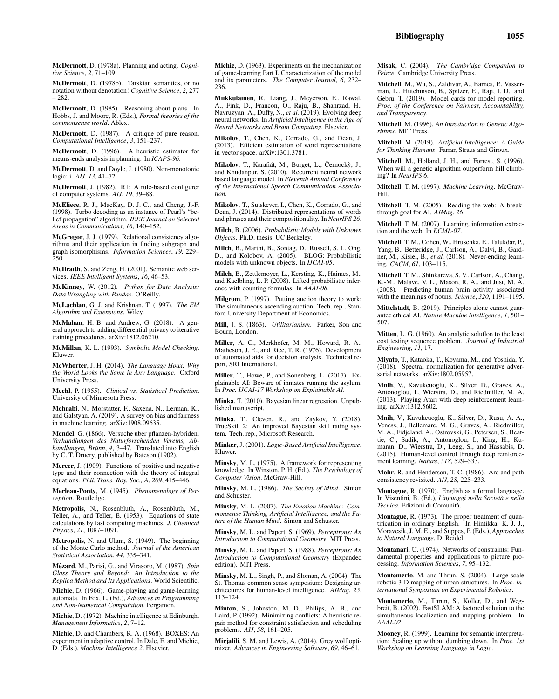McDermott, D. (1978a). Planning and acting. *Cognitive Science*, *2*, 71–109.

McDermott, D. (1978b). Tarskian semantics, or no notation without denotation! *Cognitive Science*, *2*, 277 – 282.

McDermott, D. (1985). Reasoning about plans. In Hobbs, J. and Moore, R. (Eds.), *Formal theories of the commonsense world*. Ablex.

McDermott, D. (1987). A critique of pure reason. *Computational Intelligence*, *3*, 151–237.

McDermott, D. (1996). A heuristic estimator for means-ends analysis in planning. In *ICAPS-96*.

McDermott, D. and Doyle, J. (1980). Non-monotonic logic: i. *AIJ*, *13*, 41–72.

McDermott, J. (1982). R1: A rule-based configurer of computer systems. *AIJ*, *19*, 39–88.

McEliece, R. J., MacKay, D. J. C., and Cheng, J.-F. (1998). Turbo decoding as an instance of Pearl's "belief propagation" algorithm. *IEEE Journal on Selected Areas in Communications*, *16*, 140–152.

McGregor, J. J. (1979). Relational consistency algorithms and their application in finding subgraph and graph isomorphisms. *Information Sciences*, *19*, 229– 250.

McIlraith, S. and Zeng, H. (2001). Semantic web services. *IEEE Intelligent Systems*, *16*, 46–53.

McKinney, W. (2012). *Python for Data Analysis: Data Wrangling with Pandas*. O'Reilly.

McLachlan, G. J. and Krishnan, T. (1997). *The EM Algorithm and Extensions*. Wiley.

McMahan, H. B. and Andrew, G. (2018). A general approach to adding differential privacy to iterative training procedures. arXiv:1812.06210.

McMillan, K. L. (1993). *Symbolic Model Checking*. Kluwer.

McWhorter, J. H. (2014). *The Language Hoax: Why the World Looks the Same in Any Language*. Oxford University Press.

Meehl, P. (1955). *Clinical vs. Statistical Prediction*. University of Minnesota Press.

Mehrabi, N., Morstatter, F., Saxena, N., Lerman, K., and Galstyan, A. (2019). A survey on bias and fairness in machine learning. arXiv:1908.09635.

Mendel, G. (1866). Versuche über pflanzen-hybriden. *Verhandlungen des Naturforschenden Vereins, Abhandlungen, Brünn, 4, 3–47.* Translated into English by C. T. Druery, published by Bateson (1902).

Mercer, J. (1909). Functions of positive and negative type and their connection with the theory of integral equations. *Phil. Trans. Roy. Soc., A*, *209*, 415–446.

Merleau-Ponty, M. (1945). *Phenomenology of Perception*. Routledge.

Metropolis, N., Rosenbluth, A., Rosenbluth, M., Teller, A., and Teller, E. (1953). Equations of state calculations by fast computing machines. *J. Chemical Physics*, *21*, 1087–1091.

Metropolis, N. and Ulam, S. (1949). The beginning of the Monte Carlo method. *Journal of the American Statistical Association*, *44*, 335–341.

Mézard, M., Parisi, G., and Virasoro, M. (1987). *Spin Glass Theory and Beyond: An Introduction to the Replica Method and Its Applications*. World Scientific.

Michie, D. (1966). Game-playing and game-learning automata. In Fox, L. (Ed.), *Advances in Programming and Non-Numerical Computation*. Pergamon.

Michie, D. (1972). Machine intelligence at Edinburgh. *Management Informatics*, *2*, 7–12.

Michie, D. and Chambers, R. A. (1968). BOXES: An experiment in adaptive control. In Dale, E. and Michie, D. (Eds.), *Machine Intelligence 2*. Elsevier.

Michie, D. (1963). Experiments on the mechanization of game-learning Part I. Characterization of the model and its parameters. *The Computer Journal*, *6*, 232– 236.

Miikkulainen, R., Liang, J., Meyerson, E., Rawal, A., Fink, D., Francon, O., Raju, B., Shahrzad, H., Navruzyan, A., Duffy, N., *et al.* (2019). Evolving deep neural networks. In *Artificial Intelligence in the Age of Neural Networks and Brain Computing*. Elsevier.

Mikolov, T., Chen, K., Corrado, G., and Dean, J. (2013). Efficient estimation of word representations in vector space. arXiv:1301.3781.

Mikolov, T., Karafiát, M., Burget, L., Černockỳ, J., and Khudanpur, S. (2010). Recurrent neural network based language model. In *Eleventh Annual Conference of the International Speech Communication Association*.

Mikolov, T., Sutskever, I., Chen, K., Corrado, G., and Dean, J. (2014). Distributed representations of words and phrases and their compositionality. In *NeurIPS 26*.

Milch, B. (2006). *Probabilistic Models with Unknown Objects*. Ph.D. thesis, UC Berkeley.

Milch, B., Marthi, B., Sontag, D., Russell, S. J., Ong, D., and Kolobov, A. (2005). BLOG: Probabilistic models with unknown objects. In *IJCAI-05*.

Milch, B., Zettlemoyer, L., Kersting, K., Haimes, M., and Kaelbling, L. P. (2008). Lifted probabilistic inference with counting formulas. In *AAAI-08*.

Milgrom, P. (1997). Putting auction theory to work: The simultaneous ascending auction. Tech. rep., Stanford University Department of Economics.

Mill, J. S. (1863). *Utilitarianism*. Parker, Son and Bourn, London.

Miller, A. C., Merkhofer, M. M., Howard, R. A., Matheson, J. E., and Rice, T. R. (1976). Development of automated aids for decision analysis. Technical report, SRI International.

Miller, T., Howe, P., and Sonenberg, L. (2017). Explainable AI: Beware of inmates running the asylum. In *Proc. IJCAI-17 Workshop on Explainable AI*.

Minka, T. (2010). Bayesian linear regression. Unpublished manuscript.

Minka, T., Cleven, R., and Zaykov, Y. (2018). TrueSkill 2: An improved Bayesian skill rating system. Tech. rep., Microsoft Research.

Minker, J. (2001). *Logic-Based Artificial Intelligence*. Kluwer.

Minsky, M. L. (1975). A framework for representing knowledge. In Winston, P. H. (Ed.), *The Psychology of Computer Vision*. McGraw-Hill.

Minsky, M. L. (1986). *The Society of Mind*. Simon and Schuster.

Minsky, M. L. (2007). *The Emotion Machine: Commonsense Thinking, Artificial Intelligence, and the Future of the Human Mind*. Simon and Schuster.

Minsky, M. L. and Papert, S. (1969). *Perceptrons: An Introduction to Computational Geometry*. MIT Press.

Minsky, M. L. and Papert, S. (1988). *Perceptrons: An Introduction to Computational Geometry* (Expanded edition). MIT Press.

Minsky, M. L., Singh, P., and Sloman, A. (2004). The St. Thomas common sense symposium: Designing architectures for human-level intelligence. *AIMag*, *25*, 113–124.

Minton, S., Johnston, M. D., Philips, A. B., and Laird, P. (1992). Minimizing conflicts: A heuristic repair method for constraint satisfaction and scheduling problems. *AIJ*, *58*, 161–205.

Mirjalili, S. M. and Lewis, A. (2014). Grey wolf optimizer. *Advances in Engineering Software*, *69*, 46–61. Misak, C. (2004). *The Cambridge Companion to Peirce*. Cambridge University Press.

Mitchell, M., Wu, S., Zaldivar, A., Barnes, P., Vasserman, L., Hutchinson, B., Spitzer, E., Raji, I. D., and Gebru, T. (2019). Model cards for model reporting. *Proc. of the Conference on Fairness, Accountability, and Transparency*.

Mitchell, M. (1996). *An Introduction to Genetic Algorithms*. MIT Press.

Mitchell, M. (2019). *Artificial Intelligence: A Guide for Thinking Humans*. Farrar, Straus and Giroux.

Mitchell, M., Holland, J. H., and Forrest, S. (1996). When will a genetic algorithm outperform hill climbing? In *NeurIPS 6*.

Mitchell, T. M. (1997). *Machine Learning*. McGraw-Hill.

Mitchell, T. M. (2005). Reading the web: A breakthrough goal for AI. *AIMag*, *26*.

Mitchell, T. M. (2007). Learning, information extraction and the web. In *ECML-07*.

Mitchell, T. M., Cohen, W., Hruschka, E., Talukdar, P., Yang, B., Betteridge, J., Carlson, A., Dalvi, B., Gardner, M., Kisiel, B., *et al.* (2018). Never-ending learning. *CACM*, *61*, 103–115.

Mitchell, T. M., Shinkareva, S. V., Carlson, A., Chang, K.-M., Malave, V. L., Mason, R. A., and Just, M. A. (2008). Predicting human brain activity associated with the meanings of nouns. *Science*, *320*, 1191–1195.

Mittelstadt, B. (2019). Principles alone cannot guarantee ethical AI. *Nature Machine Intelligence*, *1*, 501– 507.

Mitten, L. G. (1960). An analytic solutlon to the least cost testing sequence problem. *Journal of Industrial Engineering*, *11*, 17.

Miyato, T., Kataoka, T., Koyama, M., and Yoshida, Y. (2018). Spectral normalization for generative adversarial networks. arXiv:1802.05957.

Mnih, V., Kavukcuoglu, K., Silver, D., Graves, A., Antonoglou, I., Wierstra, D., and Riedmiller, M. A. (2013). Playing Atari with deep reinforcement learning. arXiv:1312.5602.

Mnih, V., Kavukcuoglu, K., Silver, D., Rusu, A. A., Veness, J., Bellemare, M. G., Graves, A., Riedmiller, M. A., Fidjeland, A., Ostrovski, G., Petersen, S., Beattie, C., Sadik, A., Antonoglou, I., King, H., Kumaran, D., Wierstra, D., Legg, S., and Hassabis, D. (2015). Human-level control through deep reinforcement learning. *Nature*, *518*, 529–533.

Mohr, R. and Henderson, T. C. (1986). Arc and path consistency revisited. *AIJ*, *28*, 225–233.

Montague, R. (1970). English as a formal language. In Visentini, B. (Ed.), *Linguaggi nella Società e nella Tecnica*. Edizioni di Comunit`a.

Montague, R. (1973). The proper treatment of quantification in ordinary English. In Hintikka, K. J. J., Moravcsik, J. M. E., and Suppes, P. (Eds.), *Approaches to Natural Language*. D. Reidel.

Montanari, U. (1974). Networks of constraints: Fundamental properties and applications to picture processing. *Information Sciences*, *7*, 95–132.

Montemerlo, M. and Thrun, S. (2004). Large-scale robotic 3-D mapping of urban structures. In *Proc. International Symposium on Experimental Robotics*.

Montemerlo, M., Thrun, S., Koller, D., and Wegbreit, B. (2002). FastSLAM: A factored solution to the simultaneous localization and mapping problem. In *AAAI-02*.

Mooney, R. (1999). Learning for semantic interpretation: Scaling up without dumbing down. In *Proc. 1st Workshop on Learning Language in Logic*.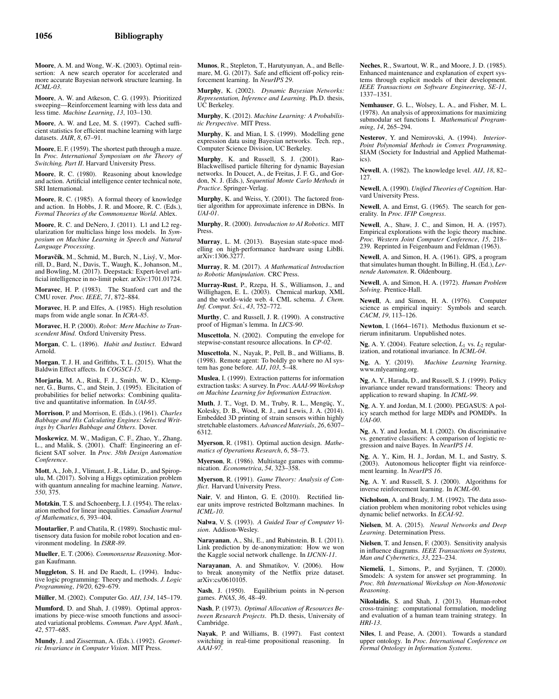Moore, A. M. and Wong, W.-K. (2003). Optimal reinsertion: A new search operator for accelerated and more accurate Bayesian network structure learning. In *ICML-03*.

Moore, A. W. and Atkeson, C. G. (1993). Prioritized sweeping—Reinforcement learning with less data and less time. *Machine Learning*, *13*, 103–130.

Moore, A. W. and Lee, M. S. (1997). Cached sufficient statistics for efficient machine learning with large datasets. *JAIR*, *8*, 67–91.

Moore, E. F. (1959). The shortest path through a maze. In *Proc. International Symposium on the Theory of Switching, Part II*. Harvard University Press.

Moore, R. C. (1980). Reasoning about knowledge and action. Artificial intelligence center technical note, SRI International.

Moore, R. C. (1985). A formal theory of knowledge and action. In Hobbs, J. R. and Moore, R. C. (Eds.), *Formal Theories of the Commonsense World*. Ablex.

Moore, R. C. and DeNero, J. (2011). L1 and L2 regularization for multiclass hinge loss models. In *Symposium on Machine Learning in Speech and Natural Language Processing*.

Moravčík, M., Schmid, M., Burch, N., Lisý, V., Morrill, D., Bard, N., Davis, T., Waugh, K., Johanson, M., and Bowling, M. (2017). Deepstack: Expert-level artificial intelligence in no-limit poker. arXiv:1701.01724.

Moravec, H. P. (1983). The Stanford cart and the CMU rover. *Proc. IEEE*, *71*, 872–884.

Moravec, H. P. and Elfes, A. (1985). High resolution maps from wide angle sonar. In *ICRA-85*.

Moravec, H. P. (2000). *Robot: Mere Machine to Transcendent Mind*. Oxford University Press.

Morgan, C. L. (1896). *Habit and Instinct*. Edward Arnold.

Morgan, T. J. H. and Griffiths, T. L. (2015). What the Baldwin Effect affects. In *COGSCI-15*.

Morjaria, M. A., Rink, F. J., Smith, W. D., Klempner, G., Burns, C., and Stein, J. (1995). Elicitation of probabilities for belief networks: Combining qualitative and quantitative information. In *UAI-95*.

Morrison, P. and Morrison, E. (Eds.). (1961). *Charles Babbage and His Calculating Engines: Selected Writings by Charles Babbage and Others*. Dover.

Moskewicz, M. W., Madigan, C. F., Zhao, Y., Zhang, L., and Malik, S. (2001). Chaff: Engineering an efficient SAT solver. In *Proc. 38th Design Automation Conference*.

Mott, A., Job, J., Vlimant, J.-R., Lidar, D., and Spiropulu, M. (2017). Solving a Higgs optimization problem with quantum annealing for machine learning. *Nature*, *550*, 375.

Motzkin, T. S. and Schoenberg, I. J. (1954). The relaxation method for linear inequalities. *Canadian Journal of Mathematics*, *6*, 393–404.

Moutarlier, P. and Chatila, R. (1989). Stochastic multisensory data fusion for mobile robot location and environment modeling. In *ISRR-89*.

Mueller, E. T. (2006). *Commonsense Reasoning*. Morgan Kaufmann.

Muggleton, S. H. and De Raedt, L. (1994). Inductive logic programming: Theory and methods. *J. Logic Programming*, *19/20*, 629–679.

Müller, M. (2002). Computer Go. AIJ, 134, 145-179.

Mumford, D. and Shah, J. (1989). Optimal approximations by piece-wise smooth functions and associated variational problems. *Commun. Pure Appl. Math.*, *42*, 577–685.

Mundy, J. and Zisserman, A. (Eds.). (1992). *Geometric Invariance in Computer Vision*. MIT Press.

Munos, R., Stepleton, T., Harutyunyan, A., and Bellemare, M. G. (2017). Safe and efficient off-policy reinforcement learning. In *NeurIPS 29*.

Murphy, K. (2002). *Dynamic Bayesian Networks: Representation, Inference and Learning*. Ph.D. thesis, UC Berkeley.

Murphy, K. (2012). *Machine Learning: A Probabilistic Perspective*. MIT Press.

Murphy, K. and Mian, I. S. (1999). Modelling gene expression data using Bayesian networks. Tech. rep., Computer Science Division, UC Berkeley.

Murphy, K. and Russell, S. J. (2001). Rao-Blackwellised particle filtering for dynamic Bayesian networks. In Doucet, A., de Freitas, J. F. G., and Gordon, N. J. (Eds.), *Sequential Monte Carlo Methods in Practice*. Springer-Verlag.

Murphy, K. and Weiss, Y. (2001). The factored frontier algorithm for approximate inference in DBNs. In *UAI-01*.

Murphy, R. (2000). *Introduction to AI Robotics*. MIT Press.

Murray, L. M. (2013). Bayesian state-space modelling on high-performance hardware using LibBi. arXiv:1306.3277.

Murray, R. M. (2017). *A Mathematical Introduction to Robotic Manipulation*. CRC Press.

Murray-Rust, P., Rzepa, H. S., Williamson, J., and Willighagen, E. L. (2003). Chemical markup, XML and the world–wide web. 4. CML schema. *J. Chem. Inf. Comput. Sci.*, *43*, 752–772.

Murthy, C. and Russell, J. R. (1990). A constructive proof of Higman's lemma. In *LICS-90*.

Muscettola, N. (2002). Computing the envelope for stepwise-constant resource allocations. In *CP-02*.

Muscettola, N., Nayak, P., Pell, B., and Williams, B. (1998). Remote agent: To boldly go where no AI system has gone before. *AIJ*, *103*, 5–48.

Muslea, I. (1999). Extraction patterns for information extraction tasks: A survey. In *Proc. AAAI-99 Workshop on Machine Learning for Information Extraction*.

Muth, J. T., Vogt, D. M., Truby, R. L., Mengüc, Y., Kolesky, D. B., Wood, R. J., and Lewis, J. A. (2014). Embedded 3D printing of strain sensors within highly stretchable elastomers. *Advanced Materials*, *26*, 6307– 6312.

Myerson, R. (1981). Optimal auction design. *Mathematics of Operations Research*, *6*, 58–73.

Myerson, R. (1986). Multistage games with communication. *Econometrica*, *54*, 323–358.

Myerson, R. (1991). *Game Theory: Analysis of Conflict*. Harvard University Press.

Nair, V. and Hinton, G. E. (2010). Rectified linear units improve restricted Boltzmann machines. In *ICML-10*.

Nalwa, V. S. (1993). *A Guided Tour of Computer Vision*. Addison-Wesley.

Narayanan, A., Shi, E., and Rubinstein, B. I. (2011). Link prediction by de-anonymization: How we won the Kaggle social network challenge. In *IJCNN-11*.

Narayanan, A. and Shmatikov, V. (2006). How to break anonymity of the Netflix prize dataset. arXiv:cs/0610105.

Nash, J. (1950). Equilibrium points in N-person games. *PNAS*, *36*, 48–49.

Nash, P. (1973). *Optimal Allocation of Resources Between Research Projects*. Ph.D. thesis, University of Cambridge.

Nayak, P. and Williams, B. (1997). Fast context switching in real-time propositional reasoning. In *AAAI-97*.

Neches, R., Swartout, W. R., and Moore, J. D. (1985). Enhanced maintenance and explanation of expert systems through explicit models of their development. *IEEE Transactions on Software Engineering*, *SE-11*, 1337–1351.

Nemhauser, G. L., Wolsey, L. A., and Fisher, M. L. (1978). An analysis of approximations for maximizing submodular set functions I. *Mathematical Programming*, *14*, 265–294.

Nesterov, Y. and Nemirovski, A. (1994). *Interior-Point Polynomial Methods in Convex Programming*. SIAM (Society for Industrial and Applied Mathematics).

Newell, A. (1982). The knowledge level. *AIJ*, *18*, 82– 127.

Newell, A. (1990). *Unified Theories of Cognition*. Harvard University Press.

Newell, A. and Ernst, G. (1965). The search for generality. In *Proc. IFIP Congress*.

Newell, A., Shaw, J. C., and Simon, H. A. (1957). Empirical explorations with the logic theory machine. *Proc. Western Joint Computer Conference*, *15*, 218– 239. Reprinted in Feigenbaum and Feldman (1963).

Newell, A. and Simon, H. A. (1961). GPS, a program that simulates human thought. In Billing, H. (Ed.), *Lernende Automaten*. R. Oldenbourg.

Newell, A. and Simon, H. A. (1972). *Human Problem Solving*. Prentice-Hall.

Newell, A. and Simon, H. A. (1976). Computer science as empirical inquiry: Symbols and search. *CACM*, *19*, 113–126.

Newton, I. (1664–1671). Methodus fluxionum et serierum infinitarum. Unpublished notes.

Ng, A. Y. (2004). Feature selection,  $L_1$  vs.  $L_2$  regularization, and rotational invariance. In *ICML-04*.

Ng, A. Y. (2019). *Machine Learning Yearning*. www.mlyearning.org.

Ng, A. Y., Harada, D., and Russell, S. J. (1999). Policy invariance under reward transformations: Theory and application to reward shaping. In *ICML-99*.

Ng, A. Y. and Jordan, M. I. (2000). PEGASUS: A policy search method for large MDPs and POMDPs. In *UAI-00*.

Ng, A. Y. and Jordan, M. I. (2002). On discriminative vs. generative classifiers: A comparison of logistic regression and naive Bayes. In *NeurIPS 14*.

Ng, A. Y., Kim, H. J., Jordan, M. I., and Sastry, S. (2003). Autonomous helicopter flight via reinforcement learning. In *NeurIPS 16*.

Ng, A. Y. and Russell, S. J. (2000). Algorithms for inverse reinforcement learning. In *ICML-00*.

Nicholson, A. and Brady, J. M. (1992). The data association problem when monitoring robot vehicles using dynamic belief networks. In *ECAI-92*.

Nielsen, M. A. (2015). *Neural Networks and Deep Learning*. Determination Press.

Nielsen, T. and Jensen, F. (2003). Sensitivity analysis in influence diagrams. *IEEE Transactions on Systems, Man and Cybernetics*, *33*, 223–234.

Niemelä, I., Simons, P., and Syrjänen, T. (2000). Smodels: A system for answer set programming. In *Proc. 8th International Workshop on Non-Monotonic Reasoning*.

Nikolaidis, S. and Shah, J. (2013). Human-robot cross-training: computational formulation, modeling and evaluation of a human team training strategy. In *HRI-13*.

Niles, I. and Pease, A. (2001). Towards a standard upper ontology. In *Proc. International Conference on Formal Ontology in Information Systems*.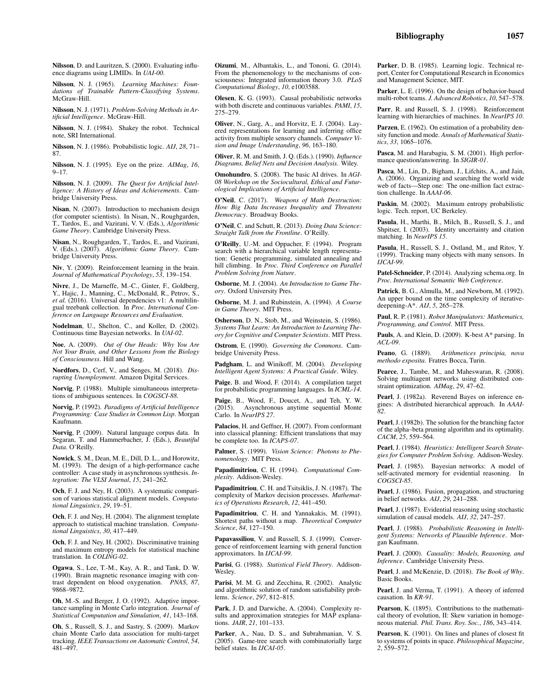Nilsson, D. and Lauritzen, S. (2000). Evaluating influence diagrams using LIMIDs. In *UAI-00*.

Nilsson, N. J. (1965). *Learning Machines: Foun-dations of Trainable Pattern-Classifying Systems*. McGraw-Hill.

Nilsson, N. J. (1971). *Problem-Solving Methods in Artificial Intelligence*. McGraw-Hill.

Nilsson, N. J. (1984). Shakey the robot. Technical note, SRI International.

Nilsson, N. J. (1986). Probabilistic logic. *AIJ*, *28*, 71– 87.

Nilsson, N. J. (1995). Eye on the prize. *AIMag*, *16*, 9–17.

Nilsson, N. J. (2009). *The Quest for Artificial Intelligence: A History of Ideas and Achievements*. Cambridge University Press.

Nisan, N. (2007). Introduction to mechanism design (for computer scientists). In Nisan, N., Roughgarden, T., Tardos, E., and Vazirani, V. V. (Eds.), *Algorithmic Game Theory*. Cambridge University Press.

Nisan, N., Roughgarden, T., Tardos, E., and Vazirani, V. (Eds.). (2007). *Algorithmic Game Theory*. Cambridge University Press.

Niv, Y. (2009). Reinforcement learning in the brain. *Journal of Mathematical Psychology*, *53*, 139–154.

Nivre, J., De Marneffe, M.-C., Ginter, F., Goldberg, Y., Hajic, J., Manning, C., McDonald, R., Petrov, S., et al. (2016). Universal dependencies v1: A multilingual treebank collection. In *Proc. International Conference on Language Resources and Evaluation*.

Nodelman, U., Shelton, C., and Koller, D. (2002). Continuous time Bayesian networks. In *UAI-02*.

Noe, A. (2009). *Out of Our Heads: Why You Are Not Your Brain, and Other Lessons from the Biology of Consciousness*. Hill and Wang.

Nordfors, D., Cerf, V., and Senges, M. (2018). *Disrupting Unemployment*. Amazon Digital Services.

Norvig, P. (1988). Multiple simultaneous interpretations of ambiguous sentences. In *COGSCI-88*.

Norvig, P. (1992). *Paradigms of Artificial Intelligence Programming: Case Studies in Common Lisp*. Morgan Kaufmann.

Norvig, P. (2009). Natural language corpus data. In Segaran, T. and Hammerbacher, J. (Eds.), *Beautiful Data*. O'Reilly.

Nowick, S. M., Dean, M. E., Dill, D. L., and Horowitz, M. (1993). The design of a high-performance cache controller: A case study in asynchronous synthesis. *Integration: The VLSI Journal*, *15*, 241–262.

Och, F. J. and Ney, H. (2003). A systematic comparison of various statistical alignment models. *Computational Linguistics*, *29*, 19–51.

Och, F. J. and Ney, H. (2004). The alignment template approach to statistical machine translation. *Computational Linguistics*, *30*, 417–449.

Och, F. J. and Ney, H. (2002). Discriminative training and maximum entropy models for statistical machine translation. In *COLING-02*.

Ogawa, S., Lee, T.-M., Kay, A. R., and Tank, D. W. (1990). Brain magnetic resonance imaging with contrast dependent on blood oxygenation. *PNAS*, *87*, 9868–9872.

Oh, M.-S. and Berger, J. O. (1992). Adaptive importance sampling in Monte Carlo integration. *Journal of Statistical Computation and Simulation*, *41*, 143–168.

Oh, S., Russell, S. J., and Sastry, S. (2009). Markov chain Monte Carlo data association for multi-target tracking. *IEEE Transactions on Automatic Control*, *54*, 481–497.

Oizumi, M., Albantakis, L., and Tononi, G. (2014). From the phenomenology to the mechanisms of consciousness: Integrated information theory 3.0. *PLoS Computational Biology*, *10*, e1003588.

Olesen, K. G. (1993). Causal probabilistic networks with both discrete and continuous variables. *PAMI*, *15*, 275–279.

Oliver, N., Garg, A., and Horvitz, E. J. (2004). Layered representations for learning and inferring office activity from multiple sensory channels. *Computer Vision and Image Understanding*, *96*, 163–180.

Oliver, R. M. and Smith, J. Q. (Eds.). (1990). *Influence Diagrams, Belief Nets and Decision Analysis*. Wiley.

Omohundro, S. (2008). The basic AI drives. In *AGI-08 Workshop on the Sociocultural, Ethical and Futurological Implications of Artificial Intelligence*.

O'Neil, C. (2017). *Weapons of Math Destruction: How Big Data Increases Inequality and Threatens Democracy*. Broadway Books.

O'Neil, C. and Schutt, R. (2013). *Doing Data Science: Straight Talk from the Frontline*. O'Reilly.

O'Reilly, U.-M. and Oppacher, F. (1994). Program search with a hierarchical variable length representation: Genetic programming, simulated annealing and hill climbing. In *Proc. Third Conference on Parallel Problem Solving from Nature*.

Osborne, M. J. (2004). *An Introduction to Game Theory*. Oxford University Pres.

Osborne, M. J. and Rubinstein, A. (1994). *A Course in Game Theory*. MIT Press.

Osherson, D. N., Stob, M., and Weinstein, S. (1986). *Systems That Learn: An Introduction to Learning Theory for Cognitive and Computer Scientists*. MIT Press.

Ostrom, E. (1990). *Governing the Commons*. Cambridge University Press.

Padgham, L. and Winikoff, M. (2004). *Developing Intelligent Agent Systems: A Practical Guide*. Wiley.

Paige, B. and Wood, F. (2014). A compilation target for probabilistic programming languages. In *ICML-14*.

Paige, B., Wood, F., Doucet, A., and Teh, Y. W. (2015). Asynchronous anytime sequential Monte Carlo. In *NeurIPS 27*.

Palacios, H. and Geffner, H. (2007). From conformant into classical planning: Efficient translations that may be complete too. In *ICAPS-07*.

Palmer, S. (1999). *Vision Science: Photons to Phenomenology*. MIT Press.

Papadimitriou, C. H. (1994). *Computational Complexity*. Addison-Wesley.

Papadimitriou, C. H. and Tsitsiklis, J. N. (1987). The complexity of Markov decision processes. *Mathematics of Operations Research*, *12*, 441–450.

Papadimitriou, C. H. and Yannakakis, M. (1991). Shortest paths without a map. *Theoretical Computer Science*, *84*, 127–150.

Papavassiliou, V. and Russell, S. J. (1999). Convergence of reinforcement learning with general function approximators. In *IJCAI-99*.

Parisi, G. (1988). *Statistical Field Theory*. Addison-Wesley.

Parisi, M. M. G. and Zecchina, R. (2002). Analytic and algorithmic solution of random satisfiability problems. *Science*, *297*, 812–815.

Park, J. D. and Darwiche, A. (2004). Complexity results and approximation strategies for MAP explanations. *JAIR*, *21*, 101–133.

Parker, A., Nau, D. S., and Subrahmanian, V. S. (2005). Game-tree search with combinatorially large belief states. In *IJCAI-05*.

Parker, D. B. (1985). Learning logic. Technical report, Center for Computational Research in Economics and Management Science, MIT.

Parker, L. E. (1996). On the design of behavior-based multi-robot teams. *J. Advanced Robotics*, *10*, 547–578.

Parr, R. and Russell, S. J. (1998). Reinforcement learning with hierarchies of machines. In *NeurIPS 10*.

Parzen, E. (1962). On estimation of a probability density function and mode. *Annals of Mathematical Statistics*, *33*, 1065–1076.

Pasca, M. and Harabagiu, S. M. (2001). High performance question/answering. In *SIGIR-01*.

Pasca, M., Lin, D., Bigham, J., Lifchits, A., and Jain, A. (2006). Organizing and searching the world wide web of facts—Step one: The one-million fact extraction challenge. In *AAAI-06*.

Paskin, M. (2002). Maximum entropy probabilistic logic. Tech. report, UC Berkeley.

Pasula, H., Marthi, B., Milch, B., Russell, S. J., and Shpitser, I. (2003). Identity uncertainty and citation matching. In *NeurIPS 15*.

Pasula, H., Russell, S. J., Ostland, M., and Ritov, Y. (1999). Tracking many objects with many sensors. In *IJCAI-99*.

Patel-Schneider, P. (2014). Analyzing schema.org. In *Proc. International Semantic Web Conference*.

Patrick, B. G., Almulla, M., and Newborn, M. (1992). An upper bound on the time complexity of iterativedeepening-A\*. *AIJ*, *5*, 265–278.

Paul, R. P. (1981). *Robot Manipulators: Mathematics, Programming, and Control*. MIT Press.

Pauls, A. and Klein, D. (2009). K-best A\* parsing. In *ACL-09*.

Peano, G. (1889). *Arithmetices principia, nova methodo exposita*. Fratres Bocca, Turin.

Pearce, J., Tambe, M., and Maheswaran, R. (2008). Solving multiagent networks using distributed constraint optimization. *AIMag*, *29*, 47–62.

Pearl, J. (1982a). Reverend Bayes on inference engines: A distributed hierarchical approach. In *AAAI-82*.

Pearl, J. (1982b). The solution for the branching factor of the alpha–beta pruning algorithm and its optimality. *CACM*, *25*, 559–564.

Pearl, J. (1984). *Heuristics: Intelligent Search Strategies for Computer Problem Solving*. Addison-Wesley.

Pearl, J. (1985). Bayesian networks: A model of self-activated memory for evidential reasoning. In *COGSCI-85*.

Pearl, J. (1986). Fusion, propagation, and structuring in belief networks. *AIJ*, *29*, 241–288.

Pearl, J. (1987). Evidential reasoning using stochastic simulation of causal models. *AIJ*, *32*, 247–257.

Pearl, J. (1988). *Probabilistic Reasoning in Intelligent Systems: Networks of Plausible Inference*. Morgan Kaufmann.

Pearl, J. (2000). *Causality: Models, Reasoning, and Inference*. Cambridge University Press.

Pearl, J. and McKenzie, D. (2018). *The Book of Why*. Basic Books.

Pearl, J. and Verma, T. (1991). A theory of inferred causation. In *KR-91*.

Pearson, K. (1895). Contributions to the mathematical theory of evolution, II: Skew variation in homogeneous material. *Phil. Trans. Roy. Soc.*, *186*, 343–414.

Pearson, K. (1901). On lines and planes of closest fit to systems of points in space. *Philosophical Magazine*, *2*, 559–572.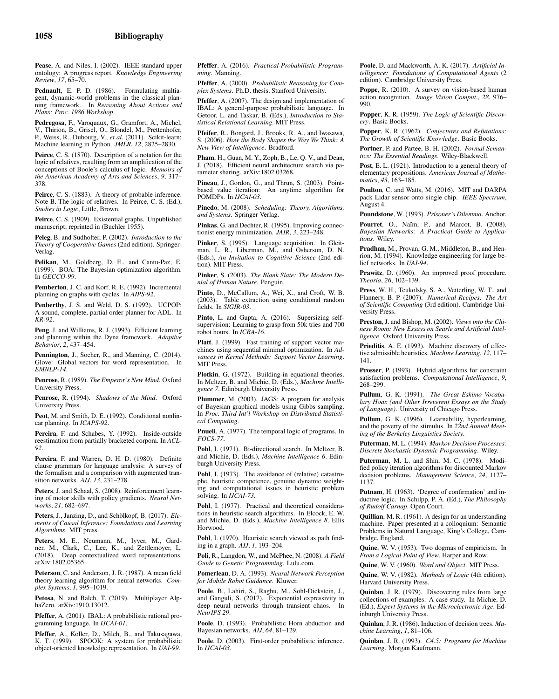Pease, A. and Niles, I. (2002). IEEE standard upper ontology: A progress report. *Knowledge Engineering Review*, *17*, 65–70.

Pednault, E. P. D. (1986). Formulating multiagent, dynamic-world problems in the classical planning framework. In *Reasoning About Actions and Plans: Proc. 1986 Workshop*.

Pedregosa, F., Varoquaux, G., Gramfort, A., Michel, V., Thirion, B., Grisel, O., Blondel, M., Prettenhofer, P., Weiss, R., Dubourg, V., *et al.* (2011). Scikit-learn: Machine learning in Python. *JMLR*, *12*, 2825–2830.

Peirce, C. S. (1870). Description of a notation for the logic of relatives, resulting from an amplification of the conceptions of Boole's calculus of logic. *Memoirs of the American Academy of Arts and Sciences*, *9*, 317– 378.

Peirce, C. S. (1883). A theory of probable inference. Note B. The logic of relatives. In Peirce, C. S. (Ed.), *Studies in Logic*, Little, Brown.

Peirce, C. S. (1909). Existential graphs. Unpublished manuscript; reprinted in (Buchler 1955).

Peleg, B. and Sudholter, P. (2002). *Introduction to the Theory of Cooperative Games* (2nd edition). Springer-Verlag.

Pelikan, M., Goldberg, D. E., and Cantu-Paz, E. (1999). BOA: The Bayesian optimization algorithm. In *GECCO-99*.

Pemberton, J. C. and Korf, R. E. (1992). Incremental planning on graphs with cycles. In *AIPS-92*.

Penberthy, J. S. and Weld, D. S. (1992). UCPOP: A sound, complete, partial order planner for ADL. In *KR-92*.

Peng, J. and Williams, R. J. (1993). Efficient learning and planning within the Dyna framework. *Adaptive Behavior*, *2*, 437–454.

Pennington, J., Socher, R., and Manning, C. (2014). Glove: Global vectors for word representation. In *EMNLP-14*.

Penrose, R. (1989). *The Emperor's New Mind*. Oxford University Press.

Penrose, R. (1994). *Shadows of the Mind*. Oxford University Press.

Peot, M. and Smith, D. E. (1992). Conditional nonlinear planning. In *ICAPS-92*.

Pereira, F. and Schabes, Y. (1992). Inside-outside reestimation from partially bracketed corpora. In *ACL-92*.

Pereira, F. and Warren, D. H. D. (1980). Definite clause grammars for language analysis: A survey of the formalism and a comparison with augmented transition networks. *AIJ*, *13*, 231–278.

Peters, J. and Schaal, S. (2008). Reinforcement learning of motor skills with policy gradients. *Neural Networks*, *21*, 682–697.

Peters, J., Janzing, D., and Schölkopf, B. (2017). *Elements of Causal Inference: Foundations and Learning Algorithms*. MIT press.

Peters, M. E., Neumann, M., Iyyer, M., Gardner, M., Clark, C., Lee, K., and Zettlemoyer, L. (2018). Deep contextualized word representations. arXiv:1802.05365.

Peterson, C. and Anderson, J. R. (1987). A mean field theory learning algorithm for neural networks. *Complex Systems*, *1*, 995–1019.

Petosa, N. and Balch, T. (2019). Multiplayer AlphaZero. arXiv:1910.13012.

Pfeffer, A. (2001). IBAL: A probabilistic rational programming language. In *IJCAI-01*.

Pfeffer, A., Koller, D., Milch, B., and Takusagawa, K. T. (1999). SPOOK: A system for probabilistic object-oriented knowledge representation. In *UAI-99*.

Pfeffer, A. (2016). *Practical Probabilistic Programming*. Manning.

Pfeffer, A. (2000). *Probabilistic Reasoning for Complex Systems*. Ph.D. thesis, Stanford University.

Pfeffer, A. (2007). The design and implementation of IBAL: A general-purpose probabilistic language. In Getoor, L. and Taskar, B. (Eds.), *Introduction to Statistical Relational Learning*. MIT Press.

Pfeifer, R., Bongard, J., Brooks, R. A., and Iwasawa, S. (2006). *How the Body Shapes the Way We Think: A New View of Intelligence*. Bradford.

Pham, H., Guan, M. Y., Zoph, B., Le, Q. V., and Dean, J. (2018). Efficient neural architecture search via parameter sharing. arXiv:1802.03268.

Pineau, J., Gordon, G., and Thrun, S. (2003). Pointbased value iteration: An anytime algorithm for POMDPs. In *IJCAI-03*.

Pinedo, M. (2008). *Scheduling: Theory, Algorithms, and Systems*. Springer Verlag.

Pinkas, G. and Dechter, R. (1995). Improving connectionist energy minimization. *JAIR*, *3*, 223–248.

Pinker, S. (1995). Language acquisition. In Gleitman, L. R., Liberman, M., and Osherson, D. N. (Eds.), *An Invitation to Cognitive Science* (2nd edition). MIT Press.

Pinker, S. (2003). *The Blank Slate: The Modern Denial of Human Nature*. Penguin.

Pinto, D., McCallum, A., Wei, X., and Croft, W. B. (2003). Table extraction using conditional random fields. In *SIGIR-03*.

Pinto, L. and Gupta, A. (2016). Supersizing selfsupervision: Learning to grasp from 50k tries and 700 robot hours. In *ICRA-16*.

Platt, J. (1999). Fast training of support vector machines using sequential minimal optimization. In *Advances in Kernel Methods: Support Vector Learning*. MIT Press.

Plotkin, G. (1972). Building-in equational theories. In Meltzer, B. and Michie, D. (Eds.), *Machine Intelligence 7*. Edinburgh University Press.

Plummer, M. (2003). JAGS: A program for analysis of Bayesian graphical models using Gibbs sampling. In *Proc. Third Int'l Workshop on Distributed Statistical Computing*.

Pnueli, A. (1977). The temporal logic of programs. In *FOCS-77*.

Pohl, I. (1971). Bi-directional search. In Meltzer, B. and Michie, D. (Eds.), *Machine Intelligence 6*. Edinburgh University Press.

Pohl, I. (1973). The avoidance of (relative) catastrophe, heuristic competence, genuine dynamic weighting and computational issues in heuristic problem solving. In *IJCAI-73*.

Pohl, I. (1977). Practical and theoretical considerations in heuristic search algorithms. In Elcock, E. W. and Michie, D. (Eds.), *Machine Intelligence 8*. Ellis Horwood.

Pohl, I. (1970). Heuristic search viewed as path finding in a graph. *AIJ*, *1*, 193–204.

Poli, R., Langdon, W., and McPhee, N. (2008). *A Field Guide to Genetic Programming*. Lulu.com.

Pomerleau, D. A. (1993). *Neural Network Perception for Mobile Robot Guidance*. Kluwer.

Poole, B., Lahiri, S., Raghu, M., Sohl-Dickstein, J., and Ganguli, S. (2017). Exponential expressivity in deep neural networks through transient chaos. In *NeurIPS 29*.

Poole, D. (1993). Probabilistic Horn abduction and Bayesian networks. *AIJ*, *64*, 81–129.

Poole, D. (2003). First-order probabilistic inference. In *IJCAI-03*.

Poole, D. and Mackworth, A. K. (2017). *Artificial Intelligence: Foundations of Computational Agents* (2 edition). Cambridge University Press.

Poppe, R. (2010). A survey on vision-based human action recognition. *Image Vision Comput.*, *28*, 976– 990.

Popper, K. R. (1959). *The Logic of Scientific Discovery*. Basic Books.

Popper, K. R. (1962). *Conjectures and Refutations: The Growth of Scientific Knowledge*. Basic Books.

Portner, P. and Partee, B. H. (2002). *Formal Semantics: The Essential Readings*. Wiley-Blackwell.

Post, E. L. (1921). Introduction to a general theory of elementary propositions. *American Journal of Mathematics*, *43*, 163–185.

Poulton, C. and Watts, M. (2016). MIT and DARPA pack Lidar sensor onto single chip. *IEEE Spectrum*, August 4.

Poundstone, W. (1993). *Prisoner's Dilemma*. Anchor.

Pourret, O., Naïm, P., and Marcot, B. (2008). *Bayesian Networks: A Practical Guide to Applications*. Wiley.

Pradhan, M., Provan, G. M., Middleton, B., and Henrion, M. (1994). Knowledge engineering for large belief networks. In *UAI-94*.

Prawitz, D. (1960). An improved proof procedure. *Theoria*, *26*, 102–139.

Press, W. H., Teukolsky, S. A., Vetterling, W. T., and Flannery, B. P. (2007). *Numerical Recipes: The Art of Scientific Computing* (3rd edition). Cambridge University Press.

Preston, J. and Bishop, M. (2002). *Views into the Chinese Room: New Essays on Searle and Artificial Intelligence*. Oxford University Press.

Prieditis, A. E. (1993). Machine discovery of effective admissible heuristics. *Machine Learning*, *12*, 117– 141.

Prosser, P. (1993). Hybrid algorithms for constraint satisfaction problems. *Computational Intelligence*, *9*, 268–299.

Pullum, G. K. (1991). *The Great Eskimo Vocabulary Hoax (and Other Irreverent Essays on the Study of Language)*. University of Chicago Press.

Pullum, G. K. (1996). Learnability, hyperlearning, and the poverty of the stimulus. In *22nd Annual Meeting of the Berkeley Linguistics Society*.

Puterman, M. L. (1994). *Markov Decision Processes: Discrete Stochastic Dynamic Programming*. Wiley.

Puterman, M. L. and Shin, M. C. (1978). Modified policy iteration algorithms for discounted Markov decision problems. *Management Science*, *24*, 1127– 1137.

Putnam, H. (1963). 'Degree of confirmation' and inductive logic. In Schilpp, P. A. (Ed.), *The Philosophy of Rudolf Carnap*. Open Court.

Quillian, M. R. (1961). A design for an understanding machine. Paper presented at a colloquium: Semantic Problems in Natural Language, King's College, Cambridge, England.

Quine, W. V. (1953). Two dogmas of empiricism. In *From a Logical Point of View*. Harper and Row.

Quine, W. V. (1960). *Word and Object*. MIT Press.

Quine, W. V. (1982). *Methods of Logic* (4th edition). Harvard University Press.

Quinlan, J. R. (1979). Discovering rules from large collections of examples: A case study. In Michie, D. (Ed.), *Expert Systems in the Microelectronic Age*. Edinburgh University Press.

Quinlan, J. R. (1986). Induction of decision trees. *Machine Learning*, *1*, 81–106.

Quinlan, J. R. (1993). *C4.5: Programs for Machine Learning*. Morgan Kaufmann.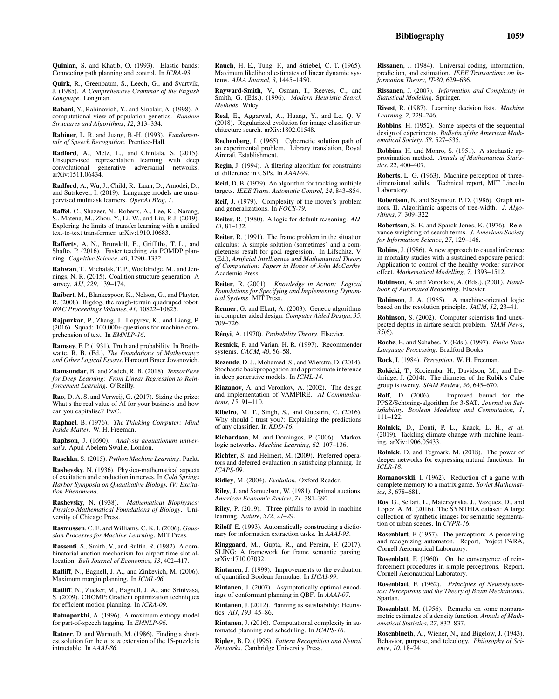Quirk, R., Greenbaum, S., Leech, G., and Svartvik, J. (1985). *A Comprehensive Grammar of the English Language*. Longman.

Rabani, Y., Rabinovich, Y., and Sinclair, A. (1998). A computational view of population genetics. *Random Structures and Algorithms*, *12*, 313–334.

Rabiner, L. R. and Juang, B.-H. (1993). *Fundamentals of Speech Recognition*. Prentice-Hall.

Radford, A., Metz, L., and Chintala, S. (2015). Unsupervised representation learning with deep convolutional generative adversarial networks. arXiv:1511.06434.

Radford, A., Wu, J., Child, R., Luan, D., Amodei, D., and Sutskever, I. (2019). Language models are unsupervised multitask learners. *OpenAI Blog*, *1*.

Raffel, C., Shazeer, N., Roberts, A., Lee, K., Narang, S., Matena, M., Zhou, Y., Li, W., and Liu, P. J. (2019). Exploring the limits of transfer learning with a unified text-to-text transformer. arXiv:1910.10683.

Rafferty, A. N., Brunskill, E., Griffiths, T. L., and Shafto, P. (2016). Faster teaching via POMDP planning. *Cognitive Science*, *40*, 1290–1332.

Rahwan, T., Michalak, T. P., Wooldridge, M., and Jennings, N. R. (2015). Coalition structure generation: A survey. *AIJ*, *229*, 139–174.

Raibert, M., Blankespoor, K., Nelson, G., and Playter, R. (2008). Bigdog, the rough-terrain quadruped robot. *IFAC Proceedings Volumes*, *41*, 10822–10825.

Rajpurkar, P., Zhang, J., Lopyrev, K., and Liang, P. (2016). Squad: 100,000+ questions for machine comprehension of text. In *EMNLP-16*.

Ramsey, F. P. (1931). Truth and probability. In Braithwaite, R. B. (Ed.), *The Foundations of Mathematics and Other Logical Essays*. Harcourt Brace Jovanovich.

Ramsundar, B. and Zadeh, R. B. (2018). *TensorFlow for Deep Learning: From Linear Regression to Reinforcement Learning*. O'Reilly.

Rao, D. A. S. and Verweij, G. (2017). Sizing the prize: What's the real value of AI for your business and how can you capitalise? PwC.

Raphael, B. (1976). *The Thinking Computer: Mind Inside Matter*. W. H. Freeman.

Raphson, J. (1690). *Analysis aequationum universalis*. Apud Abelem Swalle, London.

Raschka, S. (2015). *Python Machine Learning*. Packt.

Rashevsky, N. (1936). Physico-mathematical aspects of excitation and conduction in nerves. In *Cold Springs Harbor Symposia on Quantitative Biology. IV: Excitation Phenomena*.

Rashevsky, N. (1938). *Mathematical Biophysics: Physico-Mathematical Foundations of Biology*. University of Chicago Press.

Rasmussen, C. E. and Williams, C. K. I. (2006). *Gaussian Processes for Machine Learning*. MIT Press.

Rassenti, S., Smith, V., and Bulfin, R. (1982). A combinatorial auction mechanism for airport time slot allocation. *Bell Journal of Economics*, *13*, 402–417.

Ratliff, N., Bagnell, J. A., and Zinkevich, M. (2006). Maximum margin planning. In *ICML-06*.

Ratliff, N., Zucker, M., Bagnell, J. A., and Srinivasa, S. (2009). CHOMP: Gradient optimization techniques for efficient motion planning. In *ICRA-09*.

Ratnaparkhi, A. (1996). A maximum entropy model for part-of-speech tagging. In *EMNLP-96*.

Ratner, D. and Warmuth, M. (1986). Finding a shortest solution for the  $n \times n$  extension of the 15-puzzle is intractable. In *AAAI-86*.

Rauch, H. E., Tung, F., and Striebel, C. T. (1965). Maximum likelihood estimates of linear dynamic systems. *AIAA Journal*, *3*, 1445–1450.

Rayward-Smith, V., Osman, I., Reeves, C., and Smith, G. (Eds.). (1996). *Modern Heuristic Search Methods*. Wiley.

Real, E., Aggarwal, A., Huang, Y., and Le, Q. V. (2018). Regularized evolution for image classifier architecture search. arXiv:1802.01548.

Rechenberg, I. (1965). Cybernetic solution path of an experimental problem. Library translation, Royal Aircraft Establishment.

Regin, J. (1994). A filtering algorithm for constraints of difference in CSPs. In *AAAI-94*.

Reid, D. B. (1979). An algorithm for tracking multiple targets. *IEEE Trans. Automatic Control*, *24*, 843–854.

Reif, J. (1979). Complexity of the mover's problem and generalizations. In *FOCS-79*.

Reiter, R. (1980). A logic for default reasoning. *AIJ*, *13*, 81–132.

Reiter, R. (1991). The frame problem in the situation calculus: A simple solution (sometimes) and a completeness result for goal regression. In Lifschitz, V. (Ed.), *Artificial Intelligence and Mathematical Theory of Computation: Papers in Honor of John McCarthy*. Academic Press.

Reiter, R. (2001). *Knowledge in Action: Logical Foundations for Specifying and Implementing Dynamical Systems*. MIT Press.

Renner, G. and Ekart, A. (2003). Genetic algorithms in computer aided design. *Computer Aided Design*, *35*, 709–726.

Rényi, A. (1970). *Probability Theory*. Elsevier.

Resnick, P. and Varian, H. R. (1997). Recommender systems. *CACM*, *40*, 56–58.

Rezende, D. J., Mohamed, S., and Wierstra, D. (2014). Stochastic backpropagation and approximate inference in deep generative models. In *ICML-14*.

Riazanov, A. and Voronkov, A. (2002). The design and implementation of VAMPIRE. *AI Communications*, *15*, 91–110.

Ribeiro, M. T., Singh, S., and Guestrin, C. (2016). Why should I trust you?: Explaining the predictions of any classifier. In *KDD-16*.

Richardson, M. and Domingos, P. (2006). Markov logic networks. *Machine Learning*, *62*, 107–136.

Richter, S. and Helmert, M. (2009). Preferred operators and deferred evaluation in satisficing planning. In *ICAPS-09*.

Ridley, M. (2004). *Evolution*. Oxford Reader.

Riley, J. and Samuelson, W. (1981). Optimal auctions. *American Economic Review*, *71*, 381–392.

Riley, P. (2019). Three pitfalls to avoid in machine learning. *Nature*, *572*, 27–29.

Riloff, E. (1993). Automatically constructing a dictionary for information extraction tasks. In *AAAI-93*.

Ringgaard, M., Gupta, R., and Pereira, F. (2017). SLING: A framework for frame semantic parsing. arXiv:1710.07032.

Rintanen, J. (1999). Improvements to the evaluation of quantified Boolean formulae. In *IJCAI-99*.

Rintanen, J. (2007). Asymptotically optimal encodings of conformant planning in QBF. In *AAAI-07*.

Rintanen, J. (2012). Planning as satisfiability: Heuristics. *AIJ*, *193*, 45–86.

Rintanen, J. (2016). Computational complexity in automated planning and scheduling. In *ICAPS-16*.

Ripley, B. D. (1996). *Pattern Recognition and Neural Networks*. Cambridge University Press.

Rissanen, J. (1984). Universal coding, information, prediction, and estimation. *IEEE Transactions on Information Theory*, *IT-30*, 629–636.

Rissanen, J. (2007). *Information and Complexity in Statistical Modeling*. Springer.

Rivest, R. (1987). Learning decision lists. *Machine Learning*, *2*, 229–246.

Robbins, H. (1952). Some aspects of the sequential design of experiments. *Bulletin of the American Mathematical Society*, *58*, 527–535.

Robbins, H. and Monro, S. (1951). A stochastic approximation method. *Annals of Mathematical Statistics*, *22*, 400–407.

Roberts, L. G. (1963). Machine perception of threedimensional solids. Technical report, MIT Lincoln Laboratory.

Robertson, N. and Seymour, P. D. (1986). Graph minors. II. Algorithmic aspects of tree-width. *J. Algorithms*, *7*, 309–322.

Robertson, S. E. and Sparck Jones, K. (1976). Relevance weighting of search terms. *J. American Society for Information Science*, *27*, 129–146.

Robins, J. (1986). A new approach to causal inference in mortality studies with a sustained exposure period: Application to control of the healthy worker survivor effect. *Mathematical Modelling*, *7*, 1393–1512.

Robinson, A. and Voronkov, A. (Eds.). (2001). *Handbook of Automated Reasoning*. Elsevier.

Robinson, J. A. (1965). A machine-oriented logic based on the resolution principle. *JACM*, *12*, 23–41.

Robinson, S. (2002). Computer scientists find unexpected depths in airfare search problem. *SIAM News*, *35*(6).

Roche, E. and Schabes, Y. (Eds.). (1997). *Finite-State Language Processing*. Bradford Books.

Rock, I. (1984). *Perception*. W. H. Freeman.

Rokicki, T., Kociemba, H., Davidson, M., and Dethridge, J. (2014). The diameter of the Rubik's Cube group is twenty. *SIAM Review*, *56*, 645–670.

Rolf, D. (2006). Improved bound for the PPSZ/Schöning-algorithm for 3-SAT. *Journal on Satisfiability, Boolean Modeling and Computation*, *1*, 111–122.

Rolnick, D., Donti, P. L., Kaack, L. H., *et al.* (2019). Tackling climate change with machine learning. arXiv:1906.05433.

Rolnick, D. and Tegmark, M. (2018). The power of deeper networks for expressing natural functions. In *ICLR-18*.

Romanovskii, I. (1962). Reduction of a game with complete memory to a matrix game. *Soviet Mathematics*, *3*, 678–681.

Ros, G., Sellart, L., Materzynska, J., Vazquez, D., and Lopez, A. M. (2016). The SYNTHIA dataset: A large collection of synthetic images for semantic segmentation of urban scenes. In *CVPR-16*.

Rosenblatt, F. (1957). The perceptron: A perceiving and recognizing automaton. Report, Project PARA, Cornell Aeronautical Laboratory.

Rosenblatt, F. (1960). On the convergence of reinforcement procedures in simple perceptrons. Report, Cornell Aeronautical Laboratory.

Rosenblatt, F. (1962). *Principles of Neurodynamics: Perceptrons and the Theory of Brain Mechanisms*. Spartan.

Rosenblatt, M. (1956). Remarks on some nonparametric estimates of a density function. *Annals of Mathematical Statistics*, *27*, 832–837.

Rosenblueth, A., Wiener, N., and Bigelow, J. (1943). Behavior, purpose, and teleology. *Philosophy of Sci-ence*, *10*, 18–24.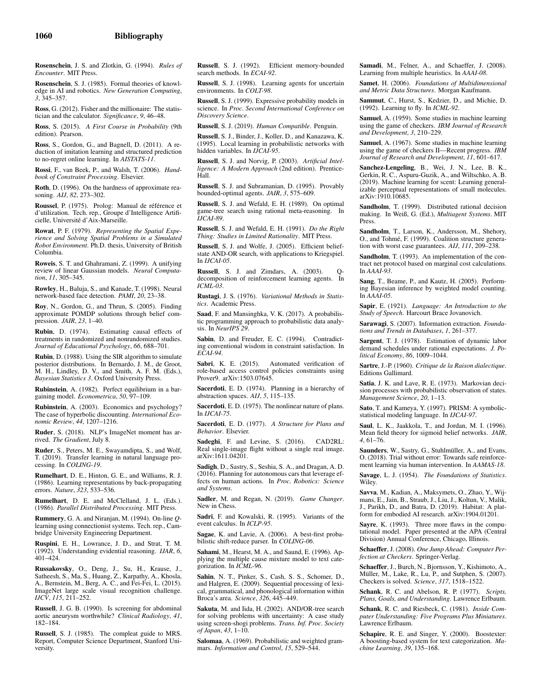Rosenschein, J. S. and Zlotkin, G. (1994). *Rules of Encounter*. MIT Press.

Rosenschein, S. J. (1985). Formal theories of knowledge in AI and robotics. *New Generation Computing*, *3*, 345–357.

Ross, G. (2012). Fisher and the millionaire: The statistician and the calculator. *Significance*, *9*, 46–48.

Ross, S. (2015). *A First Course in Probability* (9th edition). Pearson.

Ross, S., Gordon, G., and Bagnell, D. (2011). A reduction of imitation learning and structured prediction to no-regret online learning. In *AISTATS-11*.

Rossi, F., van Beek, P., and Walsh, T. (2006). *Handbook of Constraint Processing*. Elsevier.

Roth, D. (1996). On the hardness of approximate reasoning. *AIJ*, *82*, 273–302.

Roussel, P. (1975). Prolog: Manual de référence et d'utilization. Tech. rep., Groupe d'Intelligence Artificielle, Université d'Aix-Marseille.

Rowat, P. F. (1979). *Representing the Spatial Experience and Solving Spatial Problems in a Simulated Robot Environment*. Ph.D. thesis, University of British Columbia.

Roweis, S. T. and Ghahramani, Z. (1999). A unifying review of linear Gaussian models. *Neural Computation*, *11*, 305–345.

Rowley, H., Baluja, S., and Kanade, T. (1998). Neural network-based face detection. *PAMI*, *20*, 23–38.

Roy, N., Gordon, G., and Thrun, S. (2005). Finding approximate POMDP solutions through belief compression. *JAIR*, *23*, 1–40.

Rubin, D. (1974). Estimating causal effects of treatments in randomized and nonrandomized studies. *Journal of Educational Psychology*, *66*, 688–701.

Rubin, D. (1988). Using the SIR algorithm to simulate posterior distributions. In Bernardo, J. M., de Groot, M. H., Lindley, D. V., and Smith, A. F. M. (Eds.), *Bayesian Statistics 3*. Oxford University Press.

Rubinstein, A. (1982). Perfect equilibrium in a bargaining model. *Econometrica*, *50*, 97–109.

Rubinstein, A. (2003). Economics and psychology? The case of hyperbolic discounting. *International Economic Review*, *44*, 1207–1216.

Ruder, S. (2018). NLP's ImageNet moment has arrived. *The Gradient*, July 8.

Ruder, S., Peters, M. E., Swayamdipta, S., and Wolf, T. (2019). Transfer learning in natural language processing. In *COLING-19*.

Rumelhart, D. E., Hinton, G. E., and Williams, R. J. (1986). Learning representations by back-propagating errors. *Nature*, *323*, 533–536.

Rumelhart, D. E. and McClelland, J. L. (Eds.). (1986). *Parallel Distributed Processing*. MIT Press.

Rummery, G. A. and Niranjan, M. (1994). On-line *Q*learning using connectionist systems. Tech. rep., Cambridge University Engineering Department.

Ruspini, E. H., Lowrance, J. D., and Strat, T. M. (1992). Understanding evidential reasoning. *IJAR*, *6*, 401–424.

Russakovsky, O., Deng, J., Su, H., Krause, J., Satheesh, S., Ma, S., Huang, Z., Karpathy, A., Khosla, A., Bernstein, M., Berg, A. C., and Fei-Fei, L. (2015). ImageNet large scale visual recognition challenge. *IJCV*, *115*, 211–252.

Russell, J. G. B. (1990). Is screening for abdominal aortic aneurysm worthwhile? *Clinical Radiology*, *41*, 182–184.

Russell, S. J. (1985). The compleat guide to MRS. Report, Computer Science Department, Stanford University.

Russell, S. J. (1992). Efficient memory-bounded search methods. In *ECAI-92*.

Russell, S. J. (1998). Learning agents for uncertain environments. In *COLT-98*.

Russell, S. J. (1999). Expressive probability models in science. In *Proc. Second International Conference on Discovery Science*.

Russell, S. J. (2019). *Human Compatible*. Penguin.

Russell, S. J., Binder, J., Koller, D., and Kanazawa, K. (1995). Local learning in probabilistic networks with hidden variables. In *IJCAI-95*.

Russell, S. J. and Norvig, P. (2003). *Artificial Intelligence: A Modern Approach* (2nd edition). Prentice-Hall.

Russell, S. J. and Subramanian, D. (1995). Provably bounded-optimal agents. *JAIR*, *3*, 575–609.

Russell, S. J. and Wefald, E. H. (1989). On optimal game-tree search using rational meta-reasoning. In *IJCAI-89*.

Russell, S. J. and Wefald, E. H. (1991). *Do the Right Thing: Studies in Limited Rationality*. MIT Press.

Russell, S. J. and Wolfe, J. (2005). Efficient beliefstate AND-OR search, with applications to Kriegspiel. In *IJCAI-05*.

Russell, S. J. and Zimdars, A. (2003). decomposition of reinforcement learning agents. In *ICML-03*.

Rustagi, J. S. (1976). *Variational Methods in Statistics*. Academic Press.

Saad, F. and Mansinghka, V. K. (2017). A probabilistic programming approach to probabilistic data analysis. In *NeurIPS 29*.

Sabin, D. and Freuder, E. C. (1994). Contradicting conventional wisdom in constraint satisfaction. In *ECAI-94*.

Sabri, K. E. (2015). Automated verification of role-based access control policies constraints using Prover9. arXiv:1503.07645.

Sacerdoti, E. D. (1974). Planning in a hierarchy of abstraction spaces. *AIJ*, *5*, 115–135.

Sacerdoti, E.D. (1975). The nonlinear nature of plans. In *IJCAI-75*.

Sacerdoti, E. D. (1977). *A Structure for Plans and Behavior*. Elsevier.

Sadeghi, F. and Levine, S. (2016). CAD2RL: Real single-image flight without a single real image. arXiv:1611.04201.

Sadigh, D., Sastry, S., Seshia, S. A., and Dragan, A. D. (2016). Planning for autonomous cars that leverage effects on human actions. In *Proc. Robotics: Science and Systems*.

Sadler, M. and Regan, N. (2019). *Game Changer*. New in Chess.

Sadri, F. and Kowalski, R. (1995). Variants of the event calculus. In *ICLP-95*.

Sagae, K. and Lavie, A. (2006). A best-first probabilistic shift-reduce parser. In *COLING-06*.

Sahami, M., Hearst, M. A., and Saund, E. (1996). Applying the multiple cause mixture model to text categorization. In *ICML-96*.

Sahin, N. T., Pinker, S., Cash, S. S., Schomer, D., and Halgren, E. (2009). Sequential processing of lexical, grammatical, and phonological information within Broca's area. *Science*, *326*, 445–449.

Sakuta, M. and Iida, H. (2002). AND/OR-tree search for solving problems with uncertainty: A case study using screen-shogi problems. *Trans. Inf. Proc. Society of Japan*, *43*, 1–10.

Salomaa, A. (1969). Probabilistic and weighted grammars. *Information and Control*, *15*, 529–544.

Samadi, M., Felner, A., and Schaeffer, J. (2008). Learning from multiple heuristics. In *AAAI-08*.

Samet, H. (2006). *Foundations of Multidimensional and Metric Data Structures*. Morgan Kaufmann.

Sammut, C., Hurst, S., Kedzier, D., and Michie, D. (1992). Learning to fly. In *ICML-92*.

Samuel, A. (1959). Some studies in machine learning using the game of checkers. *IBM Journal of Research and Development*, *3*, 210–229.

Samuel, A. (1967). Some studies in machine learning using the game of checkers II—Recent progress. *IBM Journal of Research and Development*, *11*, 601–617.

Sanchez-Lengeling, B., Wei, J. N., Lee, B. K., Gerkin, R. C., Aspuru-Guzik, A., and Wiltschko, A. B. (2019). Machine learning for scent: Learning generalizable perceptual representations of small molecules. arXiv:1910.10685.

Sandholm, T. (1999). Distributed rational decision making. In Weiß, G. (Ed.), *Multiagent Systems*. MIT Press.

Sandholm, T., Larson, K., Andersson, M., Shehory, O., and Tohmé, F. (1999). Coalition structure generation with worst case guarantees. *AIJ*, *111*, 209–238.

Sandholm, T. (1993). An implementation of the contract net protocol based on marginal cost calculations. In *AAAI-93*.

Sang, T., Beame, P., and Kautz, H. (2005). Performing Bayesian inference by weighted model counting. In *AAAI-05*.

Sapir, E. (1921). *Language: An Introduction to the Study of Speech*. Harcourt Brace Jovanovich.

Sarawagi, S. (2007). Information extraction. *Foundations and Trends in Databases*, *1*, 261–377.

Sargent, T. J. (1978). Estimation of dynamic labor demand schedules under rational expectations. *J. Political Economy*, *86*, 1009–1044.

Sartre, J.-P. (1960). *Critique de la Raison dialectique*. Editions Gallimard.

Satia, J. K. and Lave, R. E. (1973). Markovian decision processes with probabilistic observation of states. *Management Science*, *20*, 1–13.

Sato, T. and Kameya, Y. (1997). PRISM: A symbolicstatistical modeling language. In *IJCAI-97*.

Saul, L. K., Jaakkola, T., and Jordan, M. I. (1996). Mean field theory for sigmoid belief networks. *JAIR*, *4*, 61–76.

Saunders, W., Sastry, G., Stuhlmüller, A., and Evans, O. (2018). Trial without error: Towards safe reinforcement learning via human intervention. In *AAMAS-18*.

Savage, L. J. (1954). *The Foundations of Statistics*. Wiley.

Savva, M., Kadian, A., Maksymets, O., Zhao, Y., Wijmans, E., Jain, B., Straub, J., Liu, J., Koltun, V., Malik, J., Parikh, D., and Batra, D. (2019). Habitat: A platform for embodied AI research. arXiv:1904.01201.

Sayre, K. (1993). Three more flaws in the computational model. Paper presented at the APA (Central Division) Annual Conference, Chicago, Illinois.

Schaeffer, J. (2008). *One Jump Ahead: Computer Perfection at Checkers*. Springer-Verlag.

Schaeffer, J., Burch, N., Bjornsson, Y., Kishimoto, A., Müller, M., Lake, R., Lu, P., and Sutphen, S.  $(2007)$ . Checkers is solved. *Science*, *317*, 1518–1522.

Schank, R. C. and Abelson, R. P. (1977). *Scripts, Plans, Goals, and Understanding*. Lawrence Erlbaum.

Schank, R. C. and Riesbeck, C. (1981). *Inside Computer Understanding: Five Programs Plus Miniatures*. Lawrence Erlbaum.

Schapire, R. E. and Singer, Y. (2000). Boostexter: A boosting-based system for text categorization. *Machine Learning*, *39*, 135–168.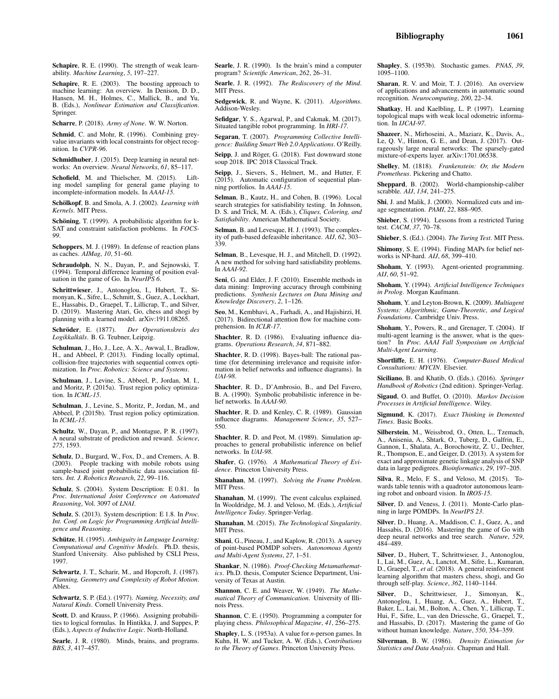Schapire, R. E. (2003). The boosting approach to machine learning: An overview. In Denison, D. D., Hansen, M. H., Holmes, C., Mallick, B., and Yu, B. (Eds.), *Nonlinear Estimation and Classification*. Springer.

Scharre, P. (2018). *Army of None*. W. W. Norton.

Schmid, C. and Mohr, R. (1996). Combining greyvalue invariants with local constraints for object recognition. In *CVPR-96*.

Schmidhuber, J. (2015). Deep learning in neural networks: An overview. *Neural Networks*, *61*, 85–117.

Schofield, M. and Thielscher, M. (2015). Lifting model sampling for general game playing to incomplete-information models. In *AAAI-15*.

Schölkopf, B. and Smola, A. J. (2002). *Learning with Kernels*. MIT Press.

Schöning, T. (1999). A probabilistic algorithm for k-SAT and constraint satisfaction problems. In *FOCS-99*.

Schoppers, M. J. (1989). In defense of reaction plans as caches. *AIMag*, *10*, 51–60.

Schraudolph, N. N., Dayan, P., and Sejnowski, T. (1994). Temporal difference learning of position evaluation in the game of Go. In *NeurIPS 6*.

Schrittwieser, J., Antonoglou, I., Hubert, T., Simonyan, K., Sifre, L., Schmitt, S., Guez, A., Lockhart, E., Hassabis, D., Graepel, T., Lillicrap, T., and Silver, D. (2019). Mastering Atari, Go, chess and shogi by planning with a learned model. arXiv:1911.08265.

Schröder, E. (1877). *Der Operationskreis des Logikkalk ¨uls*. B. G. Teubner, Leipzig.

Schulman, J., Ho, J., Lee, A. X., Awwal, I., Bradlow, H., and Abbeel, P. (2013). Finding locally optimal, collision-free trajectories with sequential convex optimization. In *Proc. Robotics: Science and Systems*.

Schulman, J., Levine, S., Abbeel, P., Jordan, M. I., and Moritz, P. (2015a). Trust region policy optimization. In *ICML-15*.

Schulman, J., Levine, S., Moritz, P., Jordan, M., and Abbeel, P. (2015b). Trust region policy optimization. In *ICML-15*.

Schultz, W., Dayan, P., and Montague, P. R. (1997). A neural substrate of prediction and reward. *Science*, *275*, 1593.

Schulz, D., Burgard, W., Fox, D., and Cremers, A. B. (2003). People tracking with mobile robots using sample-based joint probabilistic data association filters. *Int. J. Robotics Research*, *22*, 99–116.

Schulz, S. (2004). System Description: E 0.81. In *Proc. International Joint Conference on Automated Reasoning*, Vol. 3097 of *LNAI*.

Schulz, S. (2013). System description: E 1.8. In *Proc. Int. Conf. on Logic for Programming Artificial Intelligence and Reasoning*.

Schütze, H. (1995). Ambiguity in Language Learning: *Computational and Cognitive Models*. Ph.D. thesis, Stanford University. Also published by CSLI Press, 1997.

Schwartz, J. T., Scharir, M., and Hopcroft, J. (1987). *Planning, Geometry and Complexity of Robot Motion*. Ablex.

Schwartz, S. P. (Ed.). (1977). *Naming, Necessity, and Natural Kinds*. Cornell University Press.

Scott, D. and Krauss, P. (1966). Assigning probabilities to logical formulas. In Hintikka, J. and Suppes, P. (Eds.), *Aspects of Inductive Logic*. North-Holland.

Searle, J. R. (1980). Minds, brains, and programs. *BBS*, *3*, 417–457.

Searle, J. R. (1990). Is the brain's mind a computer program? *Scientific American*, *262*, 26–31.

Searle, J. R. (1992). *The Rediscovery of the Mind*. MIT Press.

Sedgewick, R. and Wayne, K. (2011). *Algorithms*. Addison-Wesley.

Sefidgar, Y. S., Agarwal, P., and Cakmak, M. (2017). Situated tangible robot programming. In *HRI-17*.

Segaran, T. (2007). *Programming Collective Intelligence: Building Smart Web 2.0 Applications*. O'Reilly.

Seipp, J. and Röger, G. (2018). Fast downward stone soup 2018. IPC 2018 Classical Track.

Seipp, J., Sievers, S., Helmert, M., and Hutter, F. (2015). Automatic configuration of sequential planning portfolios. In *AAAI-15*.

Selman, B., Kautz, H., and Cohen, B. (1996). Local search strategies for satisfiability testing. In Johnson, D. S. and Trick, M. A. (Eds.), *Cliques, Coloring, and Satisfiability*. American Mathematical Society.

Selman, B. and Levesque, H. J. (1993). The complexity of path-based defeasible inheritance. *AIJ*, *62*, 303– 339.

Selman, B., Levesque, H. J., and Mitchell, D. (1992). A new method for solving hard satisfiability problems. In *AAAI-92*.

Seni, G. and Elder, J. F. (2010). Ensemble methods in data mining: Improving accuracy through combining predictions. *Synthesis Lectures on Data Mining and Knowledge Discovery*, *2*, 1–126.

Seo, M., Kembhavi, A., Farhadi, A., and Hajishirzi, H. (2017). Bidirectional attention flow for machine comprehension. In *ICLR-17*.

Shachter, R. D. (1986). Evaluating influence diagrams. *Operations Research*, *34*, 871–882.

Shachter, R. D. (1998). Bayes-ball: The rational pastime (for determining irrelevance and requisite information in belief networks and influence diagrams). In *UAI-98*.

Shachter, R. D., D'Ambrosio, B., and Del Favero, B. A. (1990). Symbolic probabilistic inference in belief networks. In *AAAI-90*.

Shachter, R. D. and Kenley, C. R. (1989). Gaussian influence diagrams. *Management Science*, *35*, 527– 550.

Shachter, R. D. and Peot, M. (1989). Simulation approaches to general probabilistic inference on belief networks. In *UAI-98*.

Shafer, G. (1976). *A Mathematical Theory of Evidence*. Princeton University Press.

Shanahan, M. (1997). *Solving the Frame Problem*. MIT Press.

Shanahan, M. (1999). The event calculus explained. In Wooldridge, M. J. and Veloso, M. (Eds.), *Artificial Intelligence Today*. Springer-Verlag.

Shanahan, M. (2015). *The Technological Singularity*. MIT Press.

Shani, G., Pineau, J., and Kaplow, R. (2013). A survey of point-based POMDP solvers. *Autonomous Agents and Multi-Agent Systems*, *27*, 1–51.

Shankar, N. (1986). *Proof-Checking Metamathematics*. Ph.D. thesis, Computer Science Department, University of Texas at Austin.

Shannon, C. E. and Weaver, W. (1949). *The Mathematical Theory of Communication*. University of Illinois Press.

Shannon, C. E. (1950). Programming a computer for playing chess. *Philosophical Magazine*, *41*, 256–275.

Shapley, L. S. (1953a). A value for *n*-person games. In Kuhn, H. W. and Tucker, A. W. (Eds.), *Contributions to the Theory of Games*. Princeton University Press.

Shapley, S. (1953b). Stochastic games. *PNAS*, *39*, 1095–1100.

Sharan, R. V. and Moir, T. J. (2016). An overview of applications and advancements in automatic sound recognition. *Neurocomputing*, *200*, 22–34.

Shatkay, H. and Kaelbling, L. P. (1997). Learning topological maps with weak local odometric information. In *IJCAI-97*.

Shazeer, N., Mirhoseini, A., Maziarz, K., Davis, A., Le, Q. V., Hinton, G. E., and Dean, J. (2017). Outrageously large neural networks: The sparsely-gated mixture-of-experts layer. arXiv:1701.06538.

Shelley, M. (1818). *Frankenstein: Or, the Modern Prometheus*. Pickering and Chatto.

Sheppard, B. (2002). World-championship-caliber scrabble. *AIJ*, *134*, 241–275.

Shi, J. and Malik, J. (2000). Normalized cuts and image segmentation. *PAMI*, *22*, 888–905.

Shieber, S. (1994). Lessons from a restricted Turing test. *CACM*, *37*, 70–78.

Shieber, S. (Ed.). (2004). *The Turing Test*. MIT Press.

Shimony, S. E. (1994). Finding MAPs for belief networks is NP-hard. *AIJ*, *68*, 399–410.

Shoham, Y. (1993). Agent-oriented programming. *AIJ*, *60*, 51–92.

Shoham, Y. (1994). *Artificial Intelligence Techniques in Prolog*. Morgan Kaufmann.

Shoham, Y. and Leyton-Brown, K. (2009). *Multiagent Systems: Algorithmic, Game-Theoretic, and Logical Foundations*. Cambridge Univ. Press.

Shoham, Y., Powers, R., and Grenager, T. (2004). If multi-agent learning is the answer, what is the question? In *Proc. AAAI Fall Symposium on Artificial Multi-Agent Learning*.

Shortliffe, E. H. (1976). *Computer-Based Medical Consultations: MYCIN*. Elsevier.

Siciliano, B. and Khatib, O. (Eds.). (2016). *Springer Handbook of Robotics* (2nd edition). Springer-Verlag.

Sigaud, O. and Buffet, O. (2010). *Markov Decision Processes in Artificial Intelligence*. Wiley.

Sigmund, K. (2017). *Exact Thinking in Demented Times*. Basic Books.

Silberstein, M., Weissbrod, O., Otten, L., Tzemach, A., Anisenia, A., Shtark, O., Tuberg, D., Galfrin, E., Gannon, I., Shalata, A., Borochowitz, Z. U., Dechter, R., Thompson, E., and Geiger, D. (2013). A system for exact and approximate genetic linkage analysis of SNP data in large pedigrees. *Bioinformatics*, *29*, 197–205.

Silva, R., Melo, F. S., and Veloso, M. (2015). Towards table tennis with a quadrotor autonomous learning robot and onboard vision. In *IROS-15*.

Silver, D. and Veness, J. (2011). Monte-Carlo planning in large POMDPs. In *NeurIPS 23*.

Silver, D., Huang, A., Maddison, C. J., Guez, A., and Hassabis, D. (2016). Mastering the game of Go with deep neural networks and tree search. *Nature*, *529*, 484–489.

Silver, D., Hubert, T., Schrittwieser, J., Antonoglou, I., Lai, M., Guez, A., Lanctot, M., Sifre, L., Kumaran, D., Graepel, T., *et al.* (2018). A general reinforcement learning algorithm that masters chess, shogi, and Go through self-play. *Science*, *362*, 1140–1144.

Silver, D., Schrittwieser, J., Simonyan, K., Antonoglou, I., Huang, A., Guez, A., Hubert, T., Baker, L., Lai, M., Bolton, A., Chen, Y., Lillicrap, T., Hui, F., Sifre, L., van den Driessche, G., Graepel, T., and Hassabis, D. (2017). Mastering the game of Go without human knowledge. *Nature*, *550*, 354–359.

Silverman, B. W. (1986). *Density Estimation for Statistics and Data Analysis*. Chapman and Hall.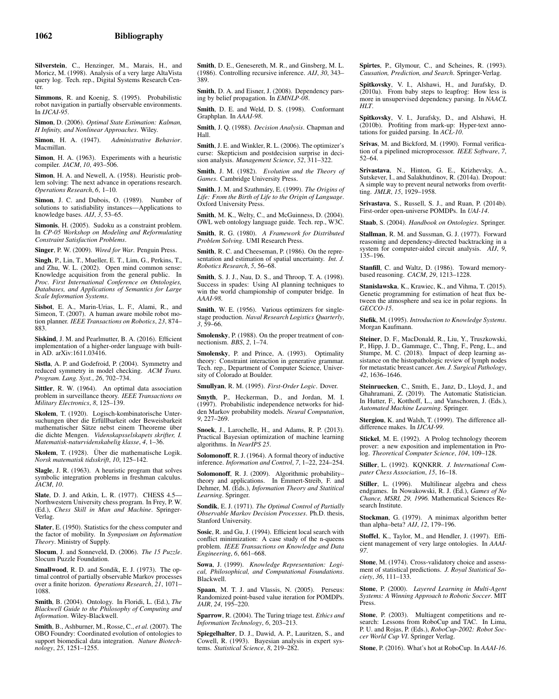Silverstein, C., Henzinger, M., Marais, H., and Moricz, M. (1998). Analysis of a very large AltaVista query log. Tech. rep., Digital Systems Research Center.

Simmons, R. and Koenig, S. (1995). Probabilistic robot navigation in partially observable environments. In *IJCAI-95*.

Simon, D. (2006). *Optimal State Estimation: Kalman, H Infinity, and Nonlinear Approaches*. Wiley.

Simon, H. A. (1947). *Administrative Behavior*. Macmillan.

Simon, H. A. (1963). Experiments with a heuristic compiler. *JACM*, *10*, 493–506.

Simon, H. A. and Newell, A. (1958). Heuristic problem solving: The next advance in operations research. *Operations Research*, *6*, 1–10.

Simon, J. C. and Dubois, O. (1989). Number of solutions to satisfiability instances—Applications to knowledge bases. *AIJ*, *3*, 53–65.

Simonis, H. (2005). Sudoku as a constraint problem. In *CP-05 Workshop on Modeling and Reformulating Constraint Satisfaction Problems*.

Singer, P. W. (2009). *Wired for War*. Penguin Press.

Singh, P., Lin, T., Mueller, E. T., Lim, G., Perkins, T., and Zhu, W. L. (2002). Open mind common sense: Knowledge acquisition from the general public. In *Proc. First International Conference on Ontologies, Databases, and Applications of Semantics for Large Scale Information Systems*.

Sisbot, E. A., Marin-Urias, L. F., Alami, R., and Simeon, T. (2007). A human aware mobile robot motion planner. *IEEE Transactions on Robotics*, *23*, 874– 883.

Siskind, J. M. and Pearlmutter, B. A. (2016). Efficient implementation of a higher-order language with builtin AD. arXiv:1611.03416.

Sistla, A. P. and Godefroid, P. (2004). Symmetry and reduced symmetry in model checking. *ACM Trans. Program. Lang. Syst.*, *26*, 702–734.

Sittler, R. W. (1964). An optimal data association problem in surveillance theory. *IEEE Transactions on Military Electronics*, *8*, 125–139.

Skolem, T. (1920). Logisch-kombinatorische Untersuchungen über die Erfüllbarkeit oder Beweisbarkeit mathematischer Sätze nebst einem Theoreme über die dichte Mengen. *Videnskapsselskapets skrifter, I. Matematisk-naturvidenskabelig klasse*, *4*, 1–36.

Skolem, T. (1928). Über die mathematische Logik. *Norsk matematisk tidsskrift*, *10*, 125–142.

Slagle, J. R. (1963). A heuristic program that solves symbolic integration problems in freshman calculus. *JACM*, *10*.

Slate, D. J. and Atkin, L. R. (1977). CHESS 4.5— Northwestern University chess program. In Frey, P. W. (Ed.), *Chess Skill in Man and Machine*. Springer-Verlag.

Slater, E. (1950). Statistics for the chess computer and the factor of mobility. In *Symposium on Information Theory*. Ministry of Supply.

Slocum, J. and Sonneveld, D. (2006). *The 15 Puzzle*. Slocum Puzzle Foundation.

Smallwood, R. D. and Sondik, E. J. (1973). The optimal control of partially observable Markov processes over a finite horizon. *Operations Research*, *21*, 1071– 1088.

Smith, B. (2004). Ontology. In Floridi, L. (Ed.), *The Blackwell Guide to the Philosophy of Computing and Information*. Wiley-Blackwell.

Smith, B., Ashburner, M., Rosse, C., *et al.* (2007). The OBO Foundry: Coordinated evolution of ontologies to support biomedical data integration. *Nature Biotechnology*, *25*, 1251–1255.

Smith, D. E., Genesereth, M. R., and Ginsberg, M. L. (1986). Controlling recursive inference. *AIJ*, *30*, 343– 389.

Smith, D. A. and Eisner, J. (2008). Dependency parsing by belief propagation. In *EMNLP-08*.

Smith, D. E. and Weld, D. S. (1998). Conformant Graphplan. In *AAAI-98*.

Smith, J. Q. (1988). *Decision Analysis*. Chapman and Hall.

Smith, J. E. and Winkler, R. L. (2006). The optimizer's curse: Skepticism and postdecision surprise in decision analysis. *Management Science*, *52*, 311–322.

Smith, J. M. (1982). *Evolution and the Theory of Games*. Cambridge University Press.

Smith, J. M. and Szathmáry, E. (1999). *The Origins of Life: From the Birth of Life to the Origin of Language*. Oxford University Press.

Smith, M. K., Welty, C., and McGuinness, D. (2004). OWL web ontology language guide. Tech. rep., W3C.

Smith, R. G. (1980). *A Framework for Distributed Problem Solving*. UMI Research Press.

Smith, R. C. and Cheeseman, P. (1986). On the representation and estimation of spatial uncertainty. *Int. J. Robotics Research*, *5*, 56–68.

Smith, S. J. J., Nau, D. S., and Throop, T. A. (1998). Success in spades: Using AI planning techniques to win the world championship of computer bridge. In *AAAI-98*.

Smith, W. E. (1956). Various optimizers for singlestage production. *Naval Research Logistics Quarterly*, *3*, 59–66.

Smolensky, P. (1988). On the proper treatment of connectionism. *BBS*, *2*, 1–74.

Smolensky, P. and Prince, A. (1993). Optimality theory: Constraint interaction in generative grammar. Tech. rep., Department of Computer Science, University of Colorado at Boulder.

Smullyan, R. M. (1995). *First-Order Logic*. Dover.

Smyth, P., Heckerman, D., and Jordan, M. I. (1997). Probabilistic independence networks for hidden Markov probability models. *Neural Computation*, *9*, 227–269.

Snoek, J., Larochelle, H., and Adams, R. P. (2013). Practical Bayesian optimization of machine learning algorithms. In *NeurIPS 25*.

Solomonoff, R. J. (1964). A formal theory of inductive inference. *Information and Control*, *7*, 1–22, 224–254.

Solomonoff, R. J. (2009). Algorithmic probability– theory and applications. In Emmert-Streib, F. and Dehmer, M. (Eds.), *Information Theory and Statitical Learning*. Springer.

Sondik, E. J. (1971). *The Optimal Control of Partially Observable Markov Decision Processes*. Ph.D. thesis, Stanford University.

Sosic, R. and Gu, J. (1994). Efficient local search with conflict minimization: A case study of the n-queens problem. *IEEE Transactions on Knowledge and Data Engineering*, *6*, 661–668.

Sowa, J. (1999). *Knowledge Representation: Logical, Philosophical, and Computational Foundations*. Blackwell.

Spaan, M. T. J. and Vlassis, N. (2005). Perseus: Randomized point-based value iteration for POMDPs. *JAIR*, *24*, 195–220.

Sparrow, R. (2004). The Turing triage test. *Ethics and Information Technology*, *6*, 203–213.

Spiegelhalter, D. J., Dawid, A. P., Lauritzen, S., and Cowell, R. (1993). Bayesian analysis in expert systems. *Statistical Science*, *8*, 219–282.

Spirtes, P., Glymour, C., and Scheines, R. (1993). *Causation, Prediction, and Search*. Springer-Verlag.

Spitkovsky, V. I., Alshawi, H., and Jurafsky, D. (2010a). From baby steps to leapfrog: How less is more in unsupervised dependency parsing. In *NAACL HLT*.

Spitkovsky, V. I., Jurafsky, D., and Alshawi, H. (2010b). Profiting from mark-up: Hyper-text annotations for guided parsing. In *ACL-10*.

Srivas, M. and Bickford, M. (1990). Formal verification of a pipelined microprocessor. *IEEE Software*, *7*, 52–64.

Srivastava, N., Hinton, G. E., Krizhevsky, A., Sutskever, I., and Salakhutdinov, R. (2014a). Dropout: A simple way to prevent neural networks from overfitting. *JMLR*, *15*, 1929–1958.

Srivastava, S., Russell, S. J., and Ruan, P. (2014b). First-order open-universe POMDPs. In *UAI-14*.

Staab, S. (2004). *Handbook on Ontologies*. Springer.

Stallman, R. M. and Sussman, G. J. (1977). Forward reasoning and dependency-directed backtracking in a system for computer-aided circuit analysis. *AIJ*, *9*, 135–196.

Stanfill, C. and Waltz, D. (1986). Toward memorybased reasoning. *CACM*, *29*, 1213–1228.

Stanislawska, K., Krawiec, K., and Vihma, T. (2015). Genetic programming for estimation of heat flux between the atmosphere and sea ice in polar regions. In *GECCO-15*.

Stefik, M. (1995). *Introduction to Knowledge Systems*. Morgan Kaufmann.

Steiner, D. F., MacDonald, R., Liu, Y., Truszkowski, P., Hipp, J. D., Gammage, C., Thng, F., Peng, L., and Stumpe, M. C. (2018). Impact of deep learning assistance on the histopathologic review of lymph nodes for metastatic breast cancer. *Am. J. Surgical Pathology*, *42*, 1636–1646.

Steinruecken, C., Smith, E., Janz, D., Lloyd, J., and Ghahramani, Z. (2019). The Automatic Statistician. In Hutter, F., Kotthoff, L., and Vanschoren, J. (Eds.), *Automated Machine Learning*. Springer.

Stergiou, K. and Walsh, T. (1999). The difference alldifference makes. In *IJCAI-99*.

Stickel, M. E. (1992). A Prolog technology theorem prover: a new exposition and implementation in Prolog. *Theoretical Computer Science*, *104*, 109–128.

Stiller, L. (1992). KQNKRR. *J. International Computer Chess Association*, *15*, 16–18.

Stiller, L. (1996). Multilinear algebra and chess endgames. In Nowakowski, R. J. (Ed.), *Games of No Chance, MSRI, 29, 1996.* Mathematical Sciences Research Institute.

Stockman, G. (1979). A minimax algorithm better than alpha–beta? *AIJ*, *12*, 179–196.

Stoffel, K., Taylor, M., and Hendler, J. (1997). Efficient management of very large ontologies. In *AAAI-97*.

Stone, M. (1974). Cross-validatory choice and assessment of statistical predictions. *J. Royal Statistical Society*, *36*, 111–133.

Stone, P. (2000). *Layered Learning in Multi-Agent Systems: A Winning Approach to Robotic Soccer*. MIT Press.

Stone, P. (2003). Multiagent competitions and research: Lessons from RoboCup and TAC. In Lima, P. U. and Rojas, P. (Eds.), *RoboCup-2002: Robot Soccer World Cup VI*. Springer Verlag.

Stone, P. (2016). What's hot at RoboCup. In *AAAI-16*.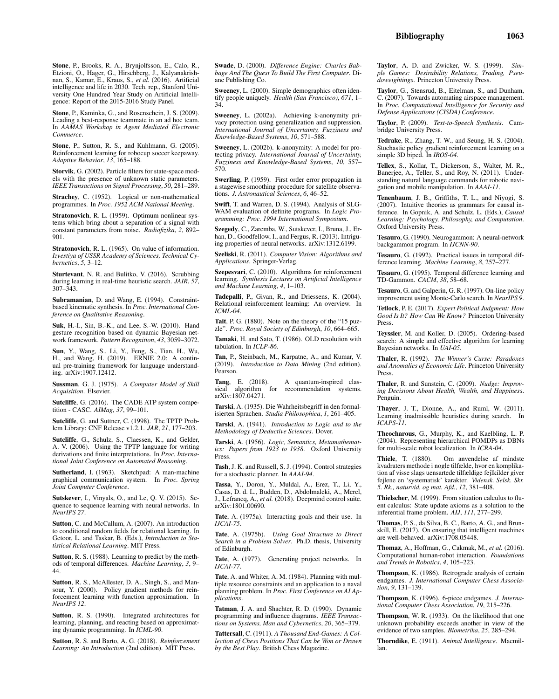Stone, P., Brooks, R. A., Brynjolfsson, E., Calo, R., Etzioni, O., Hager, G., Hirschberg, J., Kalyanakrishnan, S., Kamar, E., Kraus, S., *et al.* (2016). Artificial intelligence and life in 2030. Tech. rep., Stanford University One Hundred Year Study on Artificial Intelligence: Report of the 2015-2016 Study Panel.

Stone, P., Kaminka, G., and Rosenschein, J. S. (2009). Leading a best-response teammate in an ad hoc team. In *AAMAS Workshop in Agent Mediated Electronic Commerce*.

Stone, P., Sutton, R. S., and Kuhlmann, G. (2005). Reinforcement learning for robocup soccer keepaway. *Adaptive Behavior*, *13*, 165–188.

Storvik, G. (2002). Particle filters for state-space models with the presence of unknown static parameters. *IEEE Transactions on Signal Processing*, *50*, 281–289.

Strachey, C. (1952). Logical or non-mathematical programmes. In *Proc. 1952 ACM National Meeting*.

Stratonovich, R. L. (1959). Optimum nonlinear systems which bring about a separation of a signal with constant parameters from noise. *Radiofizika*, *2*, 892– 901.

Stratonovich, R. L. (1965). On value of information. *Izvestiya of USSR Academy of Sciences, Technical Cybernetics*, *5*, 3–12.

Sturtevant, N. R. and Bulitko, V. (2016). Scrubbing during learning in real-time heuristic search. *JAIR*, *57*, 307–343.

Subramanian, D. and Wang, E. (1994). Constraintbased kinematic synthesis. In *Proc. International Conference on Qualitative Reasoning*.

Suk, H.-I., Sin, B.-K., and Lee, S.-W. (2010). Hand gesture recognition based on dynamic Bayesian network framework. *Pattern Recognition*, *43*, 3059–3072.

Sun, Y., Wang, S., Li, Y., Feng, S., Tian, H., Wu, H., and Wang, H. (2019). ERNIE 2.0: A continual pre-training framework for language understanding. arXiv:1907.12412.

Sussman, G. J. (1975). *A Computer Model of Skill Acquisition*. Elsevier.

Sutcliffe, G. (2016). The CADE ATP system competition - CASC. *AIMag*, *37*, 99–101.

Sutcliffe, G. and Suttner, C. (1998). The TPTP Problem Library: CNF Release v1.2.1. *JAR*, *21*, 177–203.

Sutcliffe, G., Schulz, S., Claessen, K., and Gelder, A. V. (2006). Using the TPTP language for writing derivations and finite interpretations. In *Proc. International Joint Conference on Automated Reasoning*.

Sutherland, I. (1963). Sketchpad: A man-machine graphical communication system. In *Proc. Spring Joint Computer Conference*.

Sutskever, I., Vinyals, O., and Le, Q. V. (2015). Sequence to sequence learning with neural networks. In *NeurIPS 27*.

Sutton, C. and McCallum, A. (2007). An introduction to conditional random fields for relational learning. In Getoor, L. and Taskar, B. (Eds.), *Introduction to Statistical Relational Learning*. MIT Press.

Sutton, R. S. (1988). Learning to predict by the methods of temporal differences. *Machine Learning*, *3*, 9– 44.

Sutton, R. S., McAllester, D. A., Singh, S., and Mansour, Y. (2000). Policy gradient methods for reinforcement learning with function approximation. In *NeurIPS 12*.

Sutton, R. S. (1990). Integrated architectures for learning, planning, and reacting based on approximating dynamic programming. In *ICML-90*.

Sutton, R. S. and Barto, A. G. (2018). *Reinforcement Learning: An Introduction* (2nd edition). MIT Press.

Swade, D. (2000). *Difference Engine: Charles Babbage And The Quest To Build The First Computer*. Diane Publishing Co.

Sweeney, L. (2000). Simple demographics often identify people uniquely. *Health (San Francisco)*, *671*, 1– 34.

Sweeney, L. (2002a). Achieving k-anonymity privacy protection using generalization and suppression. *International Journal of Uncertainty, Fuzziness and Knowledge-Based Systems*, *10*, 571–588.

Sweeney, L. (2002b). k-anonymity: A model for protecting privacy. *International Journal of Uncertainty, Fuzziness and Knowledge-Based Systems*, *10*, 557– 570.

Swerling, P. (1959). First order error propagation in a stagewise smoothing procedure for satellite observa-tions. *J. Astronautical Sciences*, *6*, 46–52.

Swift, T. and Warren, D. S. (1994). Analysis of SLG-WAM evaluation of definite programs. In *Logic Programming: Proc. 1994 International Symposium*.

Szegedy, C., Zaremba, W., Sutskever, I., Bruna, J., Erhan, D., Goodfellow, I., and Fergus, R. (2013). Intriguing properties of neural networks. arXiv:1312.6199.

Szeliski, R. (2011). *Computer Vision: Algorithms and Applications*. Springer-Verlag.

Szepesvari, C. (2010). Algorithms for reinforcement learning. *Synthesis Lectures on Artificial Intelligence and Machine Learning*, *4*, 1–103.

Tadepalli, P., Givan, R., and Driessens, K. (2004). Relational reinforcement learning: An overview. In *ICML-04*.

Tait, P. G. (1880). Note on the theory of the "15 puzzle". *Proc. Royal Society of Edinburgh*, *10*, 664–665.

Tamaki, H. and Sato, T. (1986). OLD resolution with tabulation. In *ICLP-86*.

Tan, P., Steinbach, M., Karpatne, A., and Kumar, V. (2019). *Introduction to Data Mining* (2nd edition). Pearson.

Tang, E. (2018). A quantum-inspired clas-sical algorithm for recommendation systems. arXiv:1807.04271.

Tarski, A. (1935). Die Wahrheitsbegriff in den formalisierten Sprachen. *Studia Philosophica*, *1*, 261–405.

Tarski, A. (1941). *Introduction to Logic and to the Methodology of Deductive Sciences*. Dover.

Tarski, A. (1956). *Logic, Semantics, Metamathematics: Papers from 1923 to 1938*. Oxford University Press.

Tash, J. K. and Russell, S. J. (1994). Control strategies for a stochastic planner. In *AAAI-94*.

Tassa, Y., Doron, Y., Muldal, A., Erez, T., Li, Y., Casas, D. d. L., Budden, D., Abdolmaleki, A., Merel, J., Lefrancq, A., *et al.* (2018). Deepmind control suite. arXiv:1801.00690.

Tate, A. (1975a). Interacting goals and their use. In *IJCAI-75*.

Tate, A. (1975b). *Using Goal Structure to Direct Search in a Problem Solver*. Ph.D. thesis, University of Edinburgh.

Tate, A. (1977). Generating project networks. In *IJCAI-77*.

Tate, A. and Whiter, A. M. (1984). Planning with multiple resource constraints and an application to a naval planning problem. In *Proc. First Conference on AI Applications*.

Tatman, J. A. and Shachter, R. D. (1990). Dynamic programming and influence diagrams. *IEEE Transactions on Systems, Man and Cybernetics*, *20*, 365–379.

Tattersall, C. (1911). *A Thousand End-Games: A Collection of Chess Positions That Can be Won or Drawn by the Best Play*. British Chess Magazine.

Taylor, A. D. and Zwicker, W. S. (1999). *Simple Games: Desirability Relations, Trading, Pseudoweightings*. Princeton University Press.

Taylor, G., Stensrud, B., Eitelman, S., and Dunham, C. (2007). Towards automating airspace management. In *Proc. Computational Intelligence for Security and Defense Applications (CISDA) Conference*.

Taylor, P. (2009). *Text-to-Speech Synthesis*. Cambridge University Press.

Tedrake, R., Zhang, T. W., and Seung, H. S. (2004). Stochastic policy gradient reinforcement learning on a simple 3D biped. In *IROS-04*.

Tellex, S., Kollar, T., Dickerson, S., Walter, M. R., Banerjee, A., Teller, S., and Roy, N. (2011). Understanding natural language commands for robotic navigation and mobile manipulation. In *AAAI-11*.

Tenenbaum, J. B., Griffiths, T. L., and Niyogi, S. (2007). Intuitive theories as grammars for causal inference. In Gopnik, A. and Schulz, L. (Eds.), *Causal Learning: Psychology, Philosophy, and Computation*. Oxford University Press.

Tesauro, G. (1990). Neurogammon: A neural-network backgammon program. In *IJCNN-90*.

Tesauro, G. (1992). Practical issues in temporal difference learning. *Machine Learning*, *8*, 257–277.

Tesauro, G. (1995). Temporal difference learning and TD-Gammon. *CACM*, *38*, 58–68.

Tesauro, G. and Galperin, G. R. (1997). On-line policy improvement using Monte-Carlo search. In *NeurIPS 9*.

Tetlock, P. E. (2017). *Expert Political Judgment: How Good Is It? How Can We Know?* Princeton University Press.

Teyssier, M. and Koller, D. (2005). Ordering-based search: A simple and effective algorithm for learning Bayesian networks. In *UAI-05*.

Thaler, R. (1992). *The Winner's Curse: Paradoxes and Anomalies of Economic Life*. Princeton University Press.

Thaler, R. and Sunstein, C. (2009). *Nudge: Improving Decisions About Health, Wealth, and Happiness*. Penguin.

Thayer, J. T., Dionne, A., and Ruml, W. (2011). Learning inadmissible heuristics during search. In *ICAPS-11*.

Theocharous, G., Murphy, K., and Kaelbling, L. P. (2004). Representing hierarchical POMDPs as DBNs for multi-scale robot localization. In *ICRA-04*.

Thiele, T. (1880). Om anvendelse af mindste kvadraters methode i nogle tilfælde, hvor en komplikation af visse slags uensartede tilfældige fejlkilder giver fejlene en 'systematisk' karakter. *Vidensk. Selsk. Skr. 5. Rk., naturvid. og mat. Afd.*, *12*, 381–408.

Thielscher, M. (1999). From situation calculus to fluent calculus: State update axioms as a solution to the inferential frame problem. *AIJ*, *111*, 277–299.

Thomas, P. S., da Silva, B. C., Barto, A. G., and Brunskill, E. (2017). On ensuring that intelligent machines are well-behaved. arXiv:1708.05448.

Thomaz, A., Hoffman, G., Cakmak, M., *et al.* (2016). Computational human-robot interaction. *Foundations and Trends in Robotics*, *4*, 105–223.

Thompson, K. (1986). Retrograde analysis of certain endgames. *J. International Computer Chess Association*, *9*, 131–139.

Thompson, K. (1996). 6-piece endgames. *J. International Computer Chess Association*, *19*, 215–226.

Thompson, W. R. (1933). On the likelihood that one unknown probability exceeds another in view of the evidence of two samples. *Biometrika*, *25*, 285–294.

Thorndike, E. (1911). *Animal Intelligence*. Macmillan.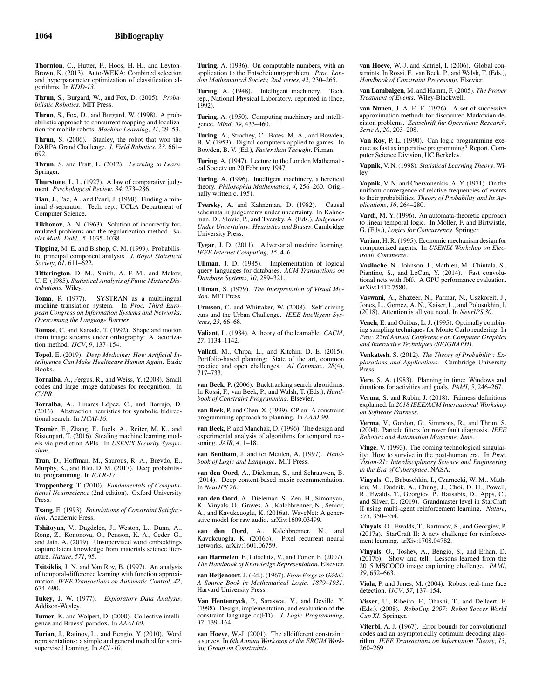Thornton, C., Hutter, F., Hoos, H. H., and Leyton-Brown, K. (2013). Auto-WEKA: Combined selection and hyperparameter optimization of classification algorithms. In *KDD-13*.

Thrun, S., Burgard, W., and Fox, D. (2005). *Probabilistic Robotics*. MIT Press.

Thrun, S., Fox, D., and Burgard, W. (1998). A probabilistic approach to concurrent mapping and localization for mobile robots. *Machine Learning*, *31*, 29–53.

Thrun, S. (2006). Stanley, the robot that won the DARPA Grand Challenge. *J. Field Robotics*, *23*, 661– 692.

Thrun, S. and Pratt, L. (2012). *Learning to Learn*. Springer.

Thurstone, L. L. (1927). A law of comparative judgment. *Psychological Review*, *34*, 273–286.

Tian, J., Paz, A., and Pearl, J. (1998). Finding a minimal *d*-separator. Tech. rep., UCLA Department of Computer Science.

Tikhonov, A. N. (1963). Solution of incorrectly formulated problems and the regularization method. *Soviet Math. Dokl.*, *5*, 1035–1038.

Tipping, M. E. and Bishop, C. M. (1999). Probabilistic principal component analysis. *J. Royal Statistical Society*, *61*, 611–622.

Titterington, D. M., Smith, A. F. M., and Makov, U. E. (1985). *Statistical Analysis of Finite Mixture Distributions*. Wiley.

Toma, P. (1977). SYSTRAN as a multilingual machine translation system. In *Proc. Third European Congress on Information Systems and Networks: Overcoming the Language Barrier*.

Tomasi, C. and Kanade, T. (1992). Shape and motion from image streams under orthography: A factorization method. *IJCV*, *9*, 137–154.

Topol, E. (2019). *Deep Medicine: How Artificial In-telligence Can Make Healthcare Human Again*. Basic Books.

Torralba, A., Fergus, R., and Weiss, Y. (2008). Small codes and large image databases for recognition. In *CVPR*.

Torralba, A., Linares López, C., and Borrajo, D. (2016). Abstraction heuristics for symbolic bidirectional search. In *IJCAI-16*.

Tramèr, F., Zhang, F., Juels, A., Reiter, M. K., and Ristenpart, T. (2016). Stealing machine learning models via prediction APIs. In *USENIX Security Symposium*.

Tran, D., Hoffman, M., Saurous, R. A., Brevdo, E., Murphy, K., and Blei, D. M. (2017). Deep probabilistic programming. In *ICLR-17*.

Trappenberg, T. (2010). *Fundamentals of Computational Neuroscience* (2nd edition). Oxford University Press.

Tsang, E. (1993). *Foundations of Constraint Satisfaction*. Academic Press.

Tshitoyan, V., Dagdelen, J., Weston, L., Dunn, A., Rong, Z., Kononova, O., Persson, K. A., Ceder, G., and Jain, A. (2019). Unsupervised word embeddings capture latent knowledge from materials science literature. *Nature*, *571*, 95.

Tsitsiklis, J. N. and Van Roy, B. (1997). An analysis of temporal-difference learning with function approximation. *IEEE Transactions on Automatic Control*, *42*, 674–690.

Tukey, J. W. (1977). *Exploratory Data Analysis*. Addison-Wesley.

Tumer, K. and Wolpert, D. (2000). Collective intelligence and Braess' paradox. In *AAAI-00*.

Turian, J., Ratinov, L., and Bengio, Y. (2010). Word representations: a simple and general method for semisupervised learning. In *ACL-10*.

Turing, A. (1936). On computable numbers, with an application to the Entscheidungsproblem. *Proc. London Mathematical Society, 2nd series*, *42*, 230–265.

Turing, A. (1948). Intelligent machinery. Tech. rep., National Physical Laboratory. reprinted in (Ince, 1992).

Turing, A. (1950). Computing machinery and intelligence. *Mind*, *59*, 433–460.

Turing, A., Strachey, C., Bates, M. A., and Bowden, B. V. (1953). Digital computers applied to games. In Bowden, B. V. (Ed.), *Faster than Thought*. Pitman.

Turing, A. (1947). Lecture to the London Mathematical Society on 20 February 1947.

Turing, A. (1996). Intelligent machinery, a heretical theory. *Philosophia Mathematica*, *4*, 256–260. Originally written c. 1951.

Tversky, A. and Kahneman, D. (1982). Causal schemata in judgements under uncertainty. In Kahneman, D., Slovic, P., and Tversky, A. (Eds.), *Judgement Under Uncertainty: Heuristics and Biases*. Cambridge University Press.

Tygar, J. D. (2011). Adversarial machine learning. *IEEE Internet Computing*, *15*, 4–6.

Ullman, J. D. (1985). Implementation of logical query languages for databases. *ACM Transactions on Database Systems*, *10*, 289–321.

Ullman, S. (1979). *The Interpretation of Visual Motion*. MIT Press.

Urmson, C. and Whittaker, W. (2008). Self-driving cars and the Urban Challenge. *IEEE Intelligent Systems*, *23*, 66–68.

Valiant, L. (1984). A theory of the learnable. *CACM*, *27*, 1134–1142.

Vallati, M., Chrpa, L., and Kitchin, D. E. (2015). Portfolio-based planning: State of the art, common practice and open challenges. *AI Commun.*, *28*(4), 717–733.

van Beek, P. (2006). Backtracking search algorithms. In Rossi, F., van Beek, P., and Walsh, T. (Eds.), *Handbook of Constraint Programming*. Elsevier.

van Beek, P. and Chen, X. (1999). CPlan: A constraint programming approach to planning. In *AAAI-99*.

van Beek, P. and Manchak, D. (1996). The design and experimental analysis of algorithms for temporal reasoning. *JAIR*, *4*, 1–18.

van Bentham, J. and ter Meulen, A. (1997). *Handbook of Logic and Language*. MIT Press.

van den Oord, A., Dieleman, S., and Schrauwen, B. (2014). Deep content-based music recommendation. In *NeurIPS 26*.

van den Oord, A., Dieleman, S., Zen, H., Simonyan, K., Vinyals, O., Graves, A., Kalchbrenner, N., Senior, A., and Kavukcuoglu, K. (2016a). WaveNet: A generative model for raw audio. arXiv:1609.03499.

van den Oord, A., Kalchbrenner, N., and Kavukcuoglu, K. (2016b). Pixel recurrent neural networks. arXiv:1601.06759.

van Harmelen, F., Lifschitz, V., and Porter, B. (2007). *The Handbook of Knowledge Representation*. Elsevier.

van Heijenoort, J. (Ed.). (1967). *From Frege to Gödel: A Source Book in Mathematical Logic, 1879–1931*. Harvard University Press.

Van Hentenryck, P., Saraswat, V., and Deville, Y. (1998). Design, implementation, and evaluation of the constraint language cc(FD). *J. Logic Programming*, *37*, 139–164.

van Hoeve, W.-J. (2001). The alldifferent constraint: a survey. In *6th Annual Workshop of the ERCIM Working Group on Constraints*.

van Hoeve, W.-J. and Katriel, I. (2006). Global constraints. In Rossi, F., van Beek, P., and Walsh, T. (Eds.), *Handbook of Constraint Processing*. Elsevier.

van Lambalgen, M. and Hamm, F. (2005). *The Proper Treatment of Events*. Wiley-Blackwell.

van Nunen, J. A. E. E. (1976). A set of successive approximation methods for discounted Markovian decision problems. *Zeitschrift fur Operations Research, Serie A*, *20*, 203–208.

Van Roy, P. L. (1990). Can logic programming execute as fast as imperative programming? Report, Computer Science Division, UC Berkeley.

Vapnik, V. N. (1998). *Statistical Learning Theory*. Wiley.

Vapnik, V. N. and Chervonenkis, A. Y. (1971). On the uniform convergence of relative frequencies of events to their probabilities. *Theory of Probability and Its Applications*, *16*, 264–280.

Vardi, M. Y. (1996). An automata-theoretic approach to linear temporal logic. In Moller, F. and Birtwistle, G. (Eds.), *Logics for Concurrency*. Springer.

Varian, H. R. (1995). Economic mechanism design for computerized agents. In *USENIX Workshop on Electronic Commerce*.

Vasilache, N., Johnson, J., Mathieu, M., Chintala, S., Piantino, S., and LeCun, Y. (2014). Fast convolutional nets with fbfft: A GPU performance evaluation. arXiv:1412.7580.

Vaswani, A., Shazeer, N., Parmar, N., Uszkoreit, J., Jones, L., Gomez, A. N., Kaiser, L., and Polosukhin, I. (2018). Attention is all you need. In *NeurIPS 30*.

Veach, E. and Guibas, L. J. (1995). Optimally combining sampling techniques for Monte Carlo rendering. In *Proc. 22rd Annual Conference on Computer Graphics and Interactive Techniques (SIGGRAPH)*.

Venkatesh, S. (2012). *The Theory of Probability: Explorations and Applications*. Cambridge University Press.

Vere, S. A. (1983). Planning in time: Windows and durations for activities and goals. *PAMI*, *5*, 246–267.

Verma, S. and Rubin, J. (2018). Fairness definitions explained. In *2018 IEEE/ACM International Workshop on Software Fairness*.

Verma, V., Gordon, G., Simmons, R., and Thrun, S. (2004). Particle filters for rover fault diagnosis. *IEEE Robotics and Automation Magazine*, *June*.

Vinge, V. (1993). The coming technological singularity: How to survive in the post-human era. In *Proc. Vision-21: Interdisciplinary Science and Engineering in the Era of Cyberspace*. NASA.

Vinyals, O., Babuschkin, I., Czarnecki, W. M., Mathieu, M., Dudzik, A., Chung, J., Choi, D. H., Powell, R., Ewalds, T., Georgiev, P., Hassabis, D., Apps, C., and Silver, D. (2019). Grandmaster level in StarCraft II using multi-agent reinforcement learning. *Nature*, *575*, 350–354.

Vinyals, O., Ewalds, T., Bartunov, S., and Georgiev, P. (2017a). StarCraft II: A new challenge for reinforcement learning. arXiv:1708.04782.

Vinyals, O., Toshev, A., Bengio, S., and Erhan, D. (2017b). Show and tell: Lessons learned from the 2015 MSCOCO image captioning challenge. *PAMI*, *39*, 652–663.

Viola, P. and Jones, M. (2004). Robust real-time face detection. *IJCV*, *57*, 137–154.

Visser, U., Ribeiro, F., Ohashi, T., and Dellaert, F. (Eds.). (2008). *RoboCup 2007: Robot Soccer World Cup XI*. Springer.

Viterbi, A. J. (1967). Error bounds for convolutional codes and an asymptotically optimum decoding algorithm. *IEEE Transactions on Information Theory*, *13*, 260–269.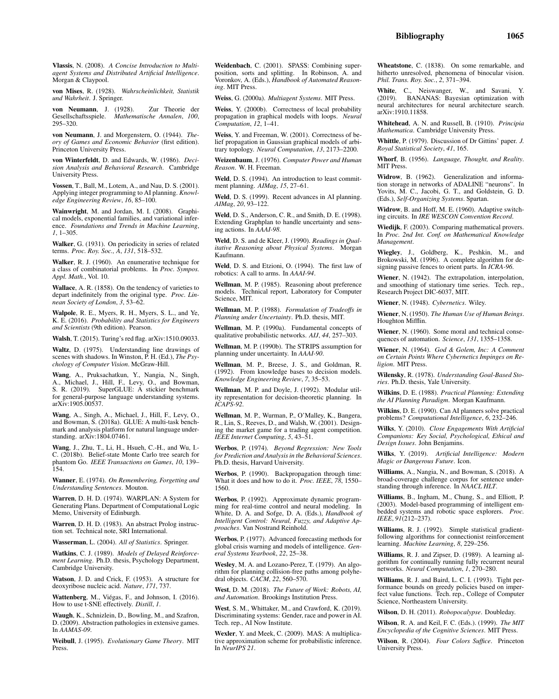Vlassis, N. (2008). *A Concise Introduction to Multiagent Systems and Distributed Artificial Intelligence*. Morgan & Claypool.

von Mises, R. (1928). *Wahrscheinlichkeit, Statistik und Wahrheit*. J. Springer.

von Neumann, J. (1928). Zur Theorie der Gesellschaftsspiele. *Mathematische Annalen*, *100*, 295–320.

von Neumann, J. and Morgenstern, O. (1944). *Theory of Games and Economic Behavior* (first edition). Princeton University Press.

von Winterfeldt, D. and Edwards, W. (1986). *Decision Analysis and Behavioral Research*. Cambridge University Press.

Vossen, T., Ball, M., Lotem, A., and Nau, D. S. (2001). Applying integer programming to AI planning. *Knowledge Engineering Review*, *16*, 85–100.

Wainwright, M. and Jordan, M. I. (2008). Graphical models, exponential families, and variational inference. *Foundations and Trends in Machine Learning*, *1*, 1–305.

Walker, G. (1931). On periodicity in series of related terms. *Proc. Roy. Soc., A*, *131*, 518–532.

Walker, R. J. (1960). An enumerative technique for a class of combinatorial problems. In *Proc. Sympos. Appl. Math.*, Vol. 10.

Wallace, A. R. (1858). On the tendency of varieties to depart indefinitely from the original type. *Proc. Linnean Society of London*, *3*, 53–62.

Walpole, R. E., Myers, R. H., Myers, S. L., and Ye, K. E. (2016). *Probability and Statistics for Engineers and Scientists* (9th edition). Pearson.

Walsh, T. (2015). Turing's red flag. arXiv:1510.09033.

Waltz, D. (1975). Understanding line drawings of scenes with shadows. In Winston, P. H. (Ed.), *The Psychology of Computer Vision*. McGraw-Hill.

Wang, A., Pruksachatkun, Y., Nangia, N., Singh, A., Michael, J., Hill, F., Levy, O., and Bowman, S. R. (2019). SuperGLUE: A stickier benchmark for general-purpose language understanding systems. arXiv:1905.00537.

Wang, A., Singh, A., Michael, J., Hill, F., Levy, O., and Bowman, S. (2018a). GLUE: A multi-task benchmark and analysis platform for natural language understanding. arXiv:1804.07461.

Wang, J., Zhu, T., Li, H., Hsueh, C.-H., and Wu, I.- C. (2018b). Belief-state Monte Carlo tree search for phantom Go. *IEEE Transactions on Games*, *10*, 139– 154.

Wanner, E. (1974). *On Remembering, Forgetting and Understanding Sentences*. Mouton.

Warren, D. H. D. (1974). WARPLAN: A System for Generating Plans. Department of Computational Logic Memo, University of Edinburgh.

Warren, D. H. D. (1983). An abstract Prolog instruction set. Technical note, SRI International.

Wasserman, L. (2004). *All of Statistics*. Springer.

Watkins, C. J. (1989). *Models of Delayed Reinforcement Learning*. Ph.D. thesis, Psychology Department, Cambridge University.

Watson, J. D. and Crick, F. (1953). A structure for deoxyribose nucleic acid. *Nature*, *171*, 737.

Wattenberg, M., Viégas, F., and Johnson, I. (2016). How to use t-SNE effectively. *Distill*, *1*.

Waugh, K., Schnizlein, D., Bowling, M., and Szafron, D. (2009). Abstraction pathologies in extensive games. In *AAMAS-09*.

Weibull, J. (1995). *Evolutionary Game Theory*. MIT Press.

Weidenbach, C. (2001). SPASS: Combining superposition, sorts and splitting. In Robinson, A. and Voronkov, A. (Eds.), *Handbook of Automated Reasoning*. MIT Press.

Weiss, G. (2000a). *Multiagent Systems*. MIT Press.

Weiss, Y. (2000b). Correctness of local probability propagation in graphical models with loops. *Neural Computation*, *12*, 1–41.

Weiss, Y. and Freeman, W. (2001). Correctness of belief propagation in Gaussian graphical models of arbitrary topology. *Neural Computation*, *13*, 2173–2200.

Weizenbaum, J. (1976). *Computer Power and Human Reason*. W. H. Freeman.

Weld, D. S. (1994). An introduction to least commitment planning. *AIMag*, *15*, 27–61.

Weld, D. S. (1999). Recent advances in AI planning. *AIMag*, *20*, 93–122.

Weld, D. S., Anderson, C. R., and Smith, D. E. (1998).<br>Extending Graphplan to handle uncertainty and sensing actions. In *AAAI-98*.

Weld, D. S. and de Kleer, J. (1990). *Readings in Qualitative Reasoning about Physical Systems*. Morgan Kaufmann.

Weld, D. S. and Etzioni, O. (1994). The first law of robotics: A call to arms. In *AAAI-94*.

Wellman, M. P. (1985). Reasoning about preference models. Technical report, Laboratory for Computer Science, MIT.

Wellman, M. P. (1988). *Formulation of Tradeoffs in Planning under Uncertainty*. Ph.D. thesis, MIT.

Wellman, M. P. (1990a). Fundamental concepts of qualitative probabilistic networks. *AIJ*, *44*, 257–303.

Wellman, M. P. (1990b). The STRIPS assumption for planning under uncertainty. In *AAAI-90*.

Wellman, M. P., Breese, J. S., and Goldman, R. (1992). From knowledge bases to decision models. *Knowledge Engineering Review*, *7*, 35–53.

Wellman, M. P. and Doyle, J. (1992). Modular utility representation for decision-theoretic planning. In *ICAPS-92*.

Wellman, M. P., Wurman, P., O'Malley, K., Bangera, R., Lin, S., Reeves, D., and Walsh, W. (2001). Designing the market game for a trading agent competition. *IEEE Internet Computing*, *5*, 43–51.

Werbos, P. (1974). *Beyond Regression: New Tools for Prediction and Analysis in the Behavioral Sciences*. Ph.D. thesis, Harvard University.

Werbos, P. (1990). Backpropagation through time: What it does and how to do it. *Proc. IEEE*, *78*, 1550– 1560.

Werbos, P. (1992). Approximate dynamic programming for real-time control and neural modeling. In White, D. A. and Sofge, D. A. (Eds.), *Handbook of Intelligent Control: Neural, Fuzzy, and Adaptive Approaches*. Van Nostrand Reinhold.

Werbos, P. (1977). Advanced forecasting methods for global crisis warning and models of intelligence. *General Systems Yearbook*, *22*, 25–38.

Wesley, M. A. and Lozano-Perez, T. (1979). An algorithm for planning collision-free paths among polyhedral objects. *CACM*, *22*, 560–570.

West, D. M. (2018). *The Future of Work: Robots, AI, and Automation*. Brookings Institution Press.

West, S. M., Whittaker, M., and Crawford, K. (2019). Discriminating systems: Gender, race and power in AI. Tech. rep., AI Now Institute.

Wexler, Y. and Meek, C. (2009). MAS: A multiplicative approximation scheme for probabilistic inference. In *NeurIPS 21*.

Wheatstone, C. (1838). On some remarkable, and hitherto unresolved, phenomena of binocular vision. *Phil. Trans. Roy. Soc.*, *2*, 371–394.

White, C., Neiswanger, W., and Savani, Y.<br>(2019) BANANAS: Bayesian optimization with BANANAS: Bayesian optimization with neural architectures for neural architecture search. arXiv:1910.11858.

Whitehead, A. N. and Russell, B. (1910). *Principia Mathematica*. Cambridge University Press.

Whittle, P. (1979). Discussion of Dr Gittins' paper. *J. Royal Statistical Society*, *41*, 165.

Whorf, B. (1956). *Language, Thought, and Reality*. MIT Press.

Widrow, B. (1962). Generalization and information storage in networks of ADALINE "neurons". In Yovits, M. C., Jacobi, G. T., and Goldstein, G. D. (Eds.), *Self-Organizing Systems*. Spartan.

Widrow, B. and Hoff, M. E. (1960). Adaptive switching circuits. In *IRE WESCON Convention Record*.

Wiedijk, F. (2003). Comparing mathematical provers. In *Proc. 2nd Int. Conf. on Mathematical Knowledge Management*.

Wiegley, J., Goldberg, K., Peshkin, M., and Brokowski, M. (1996). A complete algorithm for designing passive fences to orient parts. In *ICRA-96*.

Wiener, N. (1942). The extrapolation, interpolation, and smoothing of stationary time series. Tech. rep., Research Project DIC-6037, MIT.

Wiener, N. (1948). *Cybernetics*. Wiley.

Wiener, N. (1950). *The Human Use of Human Beings*. Houghton Mifflin.

Wiener, N. (1960). Some moral and technical consequences of automation. *Science*, *131*, 1355–1358.

Wiener, N. (1964). *God & Golem, Inc: A Comment on Certain Points Where Cybernetics Impinges on Religion*. MIT Press.

Wilensky, R. (1978). *Understanding Goal-Based Stories*. Ph.D. thesis, Yale University.

Wilkins, D. E. (1988). *Practical Planning: Extending the AI Planning Paradigm*. Morgan Kaufmann.

Wilkins, D. E. (1990). Can AI planners solve practical problems? *Computational Intelligence*, *6*, 232–246.

Wilks, Y. (2010). *Close Engagements With Artificial Companions: Key Social, Psychological, Ethical and Design Issues*. John Benjamins.

Wilks, Y. (2019). *Artificial Intelligence: Modern Magic or Dangerous Future*. Icon.

Williams, A., Nangia, N., and Bowman, S. (2018). A broad-coverage challenge corpus for sentence understanding through inference. In *NAACL HLT*.

Williams, B., Ingham, M., Chung, S., and Elliott, P. (2003). Model-based programming of intelligent embedded systems and robotic space explorers. *Proc. IEEE*, *91*(212–237).

Williams, R. J. (1992). Simple statistical gradientfollowing algorithms for connectionist reinforcement learning. *Machine Learning*, *8*, 229–256.

Williams, R. J. and Zipser, D. (1989). A learning algorithm for continually running fully recurrent neural networks. *Neural Computation*, *1*, 270–280.

Williams, R. J. and Baird, L. C. I. (1993). Tight performance bounds on greedy policies based on imperfect value functions. Tech. rep., College of Computer Science, Northeastern University.

Wilson, D. H. (2011). *Robopocalypse*. Doubleday.

Wilson, R. A. and Keil, F. C. (Eds.). (1999). *The MIT Encyclopedia of the Cognitive Sciences*. MIT Press.

Wilson, R. (2004). *Four Colors Suffice*. Princeton University Press.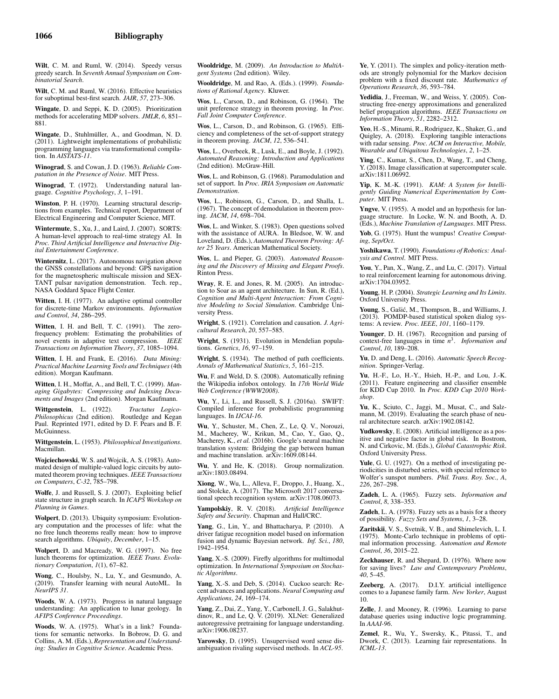Wilt, C. M. and Ruml, W. (2014). Speedy versus greedy search. In *Seventh Annual Symposium on Combinatorial Search*.

Wilt, C. M. and Ruml, W. (2016). Effective heuristics for suboptimal best-first search. *JAIR*, *57*, 273–306.

Wingate, D. and Seppi, K. D. (2005). Prioritization methods for accelerating MDP solvers. *JMLR*, *6*, 851– 881.

Wingate, D., Stuhlmüller, A., and Goodman, N. D. (2011). Lightweight implementations of probabilistic programming languages via transformational compilation. In *AISTATS-11*.

Winograd, S. and Cowan, J. D. (1963). *Reliable Computation in the Presence of Noise*. MIT Press.

Winograd, T. (1972). Understanding natural language. *Cognitive Psychology*, *3*, 1–191.

Winston, P. H. (1970). Learning structural descriptions from examples. Technical report, Department of Electrical Engineering and Computer Science, MIT.

Wintermute, S., Xu, J., and Laird, J. (2007). SORTS: A human-level approach to real-time strategy AI. In *Proc. Third Artificial Intelligence and Interactive Digital Entertainment Conference*.

Winternitz, L. (2017). Autonomous navigation above the GNSS constellations and beyond: GPS navigation for the magnetospheric multiscale mission and SEX-TANT pulsar navigation demonstration. Tech. rep., NASA Goddard Space Flight Center.

Witten, I. H. (1977). An adaptive optimal controller for discrete-time Markov environments. *Information and Control*, *34*, 286–295.

Witten, I. H. and Bell, T. C. (1991). The zerofrequency problem: Estimating the probabilities of novel events in adaptive text compression. *IEEE Transactions on Information Theory*, *37*, 1085–1094.

Witten, I. H. and Frank, E. (2016). *Data Mining: Practical Machine Learning Tools and Techniques* (4th edition). Morgan Kaufmann.

Witten, I. H., Moffat, A., and Bell, T. C. (1999). *Managing Gigabytes: Compressing and Indexing Documents and Images* (2nd edition). Morgan Kaufmann.

Wittgenstein, L. (1922). *Tractatus Logico-Philosophicus* (2nd edition). Routledge and Kegan Paul. Reprinted 1971, edited by D. F. Pears and B. F. McGuinness.

Wittgenstein, L. (1953). *Philosophical Investigations*. **Macmillan** 

Wojciechowski, W. S. and Wojcik, A. S. (1983). Automated design of multiple-valued logic circuits by automated theorem proving techniques. *IEEE Transactions on Computers*, *C-32*, 785–798.

Wolfe, J. and Russell, S. J. (2007). Exploiting belief state structure in graph search. In *ICAPS Workshop on Planning in Games*.

Wolpert, D. (2013). Ubiquity symposium: Evolutionary computation and the processes of life: what the no free lunch theorems really mean: how to improve search algorithms. *Ubiquity*, *December*, 1–15.

Wolpert, D. and Macready, W. G. (1997). No free lunch theorems for optimization. *IEEE Trans. Evolutionary Computation*, *1*(1), 67–82.

Wong, C., Houlsby, N., Lu, Y., and Gesmundo, A. (2019). Transfer learning with neural AutoML. In *NeurIPS 31*.

Woods, W. A. (1973). Progress in natural language understanding: An application to lunar geology. In *AFIPS Conference Proceedings*.

Woods, W. A. (1975). What's in a link? Foundations for semantic networks. In Bobrow, D. G. and Collins, A. M. (Eds.), *Representation and Understanding: Studies in Cognitive Science*. Academic Press.

Wooldridge, M. (2009). *An Introduction to MultiAgent Systems* (2nd edition). Wiley.

Wooldridge, M. and Rao, A. (Eds.). (1999). *Foundations of Rational Agency*. Kluwer.

Wos, L., Carson, D., and Robinson, G. (1964). The unit preference strategy in theorem proving. In *Proc. Fall Joint Computer Conference*.

Wos, L., Carson, D., and Robinson, G. (1965). Efficiency and completeness of the set-of-support strategy in theorem proving. *JACM*, *12*, 536–541.

Wos, L., Overbeek, R., Lusk, E., and Boyle, J. (1992). *Automated Reasoning: Introduction and Applications* (2nd edition). McGraw-Hill.

Wos, L. and Robinson, G. (1968). Paramodulation and set of support. In *Proc. IRIA Symposium on Automatic Demonstration*.

Wos, L., Robinson, G., Carson, D., and Shalla, L. (1967). The concept of demodulation in theorem proving. *JACM*, *14*, 698–704.

Wos, L. and Winker, S. (1983). Open questions solved with the assistance of AURA. In Bledsoe, W. W. and Loveland, D. (Eds.), *Automated Theorem Proving: After 25 Years*. American Mathematical Society.

Wos, L. and Pieper, G. (2003). *Automated Reasoning and the Discovery of Missing and Elegant Proofs*. Rinton Press.

Wray, R. E. and Jones, R. M. (2005). An introduction to Soar as an agent architecture. In Sun, R. (Ed.), *Cognition and Multi-Agent Interaction: From Cognitive Modeling to Social Simulation*. Cambridge University Press.

Wright, S. (1921). Correlation and causation. *J. Agricultural Research*, *20*, 557–585.

Wright, S. (1931). Evolution in Mendelian populations. *Genetics*, *16*, 97–159.

Wright, S. (1934). The method of path coefficients. *Annals of Mathematical Statistics*, *5*, 161–215.

Wu, F. and Weld, D. S. (2008). Automatically refining the Wikipedia infobox ontology. In *17th World Wide Web Conference (WWW2008)*.

Wu, Y., Li, L., and Russell, S. J. (2016a). SWIFT: Compiled inference for probabilistic programming languages. In *IJCAI-16*.

Wu, Y., Schuster, M., Chen, Z., Le, Q. V., Norouzi, M., Macherey, W., Krikun, M., Cao, Y., Gao, Q., Macherey, K., *et al.* (2016b). Google's neural machine translation system: Bridging the gap between human and machine translation. arXiv:1609.08144.

Wu, Y. and He, K. (2018). Group normalization. arXiv:1803.08494.

Xiong, W., Wu, L., Alleva, F., Droppo, J., Huang, X., and Stolcke, A. (2017). The Microsoft 2017 conversational speech recognition system. arXiv:1708.06073.

Yampolskiy, R. V. (2018). *Artificial Intelligence Safety and Security*. Chapman and Hall/CRC.

Yang, G., Lin, Y., and Bhattacharya, P. (2010). A driver fatigue recognition model based on information fusion and dynamic Bayesian network. *Inf. Sci.*, *180*, 1942–1954.

Yang, X.-S. (2009). Firefly algorithms for multimodal optimization. In *International Symposium on Stochastic Algorithms*.

Yang, X.-S. and Deb, S. (2014). Cuckoo search: Recent advances and applications. *Neural Computing and Applications*, *24*, 169–174.

Yang, Z., Dai, Z., Yang, Y., Carbonell, J. G., Salakhut-dinov, R., and Le, Q. V. (2019). XLNet: Generalized autoregressive pretraining for language understanding. arXiv:1906.08237.

Yarowsky, D. (1995). Unsupervised word sense disambiguation rivaling supervised methods. In *ACL-95*.

Ye, Y. (2011). The simplex and policy-iteration methods are strongly polynomial for the Markov decision problem with a fixed discount rate. *Mathematics of Operations Research*, *36*, 593–784.

Yedidia, J., Freeman, W., and Weiss, Y. (2005). Constructing free-energy approximations and generalized belief propagation algorithms. *IEEE Transactions on Information Theory*, *51*, 2282–2312.

Yeo, H.-S., Minami, R., Rodriguez, K., Shaker, G., and Quigley, A. (2018). Exploring tangible interactions with radar sensing. *Proc. ACM on Interactive, Mobile, Wearable and Ubiquitous Technologies*, *2*, 1–25.

Ying, C., Kumar, S., Chen, D., Wang, T., and Cheng, Y. (2018). Image classification at supercomputer scale. arXiv:1811.06992.

Yip, K. M.-K. (1991). *KAM: A System for Intelligently Guiding Numerical Experimentation by Computer*. MIT Press.

Yngve, V. (1955). A model and an hypothesis for language structure. In Locke, W. N. and Booth, A. D. (Eds.), *Machine Translation of Languages*. MIT Press.

Yob, G. (1975). Hunt the wumpus! *Creative Computing*, *Sep/Oct*.

Yoshikawa, T. (1990). *Foundations of Robotics: Analysis and Control*. MIT Press.

You, Y., Pan, X., Wang, Z., and Lu, C. (2017). Virtual to real reinforcement learning for autonomous driving. arXiv:1704.03952.

Young, H. P. (2004). *Strategic Learning and Its Limits*. Oxford University Press.

Young, S., Gašić, M., Thompson, B., and Williams, J. (2013). POMDP-based statistical spoken dialog systems: A review. *Proc. IEEE*, *101*, 1160–1179.

Younger, D. H. (1967). Recognition and parsing of context-free languages in time *n* 3 . *Information and Control*, *10*, 189–208.

Yu, D. and Deng, L. (2016). *Automatic Speech Recognition*. Springer-Verlag.

Yu, H.-F., Lo, H.-Y., Hsieh, H.-P., and Lou, J.-K. (2011). Feature engineering and classifier ensemble for KDD Cup 2010. In *Proc. KDD Cup 2010 Workshop*.

Yu, K., Sciuto, C., Jaggi, M., Musat, C., and Salzmann, M. (2019). Evaluating the search phase of neural architecture search. arXiv:1902.08142.

Yudkowsky, E. (2008). Artificial intelligence as a positive and negative factor in global risk. In Bostrom, N. and Cirkovic, M. (Eds.), *Global Catastrophic Risk*. Oxford University Press.

Yule, G. U. (1927). On a method of investigating periodicities in disturbed series, with special reference to Wolfer's sunspot numbers. *Phil. Trans. Roy. Soc., A*, *226*, 267–298.

Zadeh, L. A. (1965). Fuzzy sets. *Information and Control*, *8*, 338–353.

Zadeh, L. A. (1978). Fuzzy sets as a basis for a theory of possibility. *Fuzzy Sets and Systems*, *1*, 3–28.

Zaritskii, V. S., Svetnik, V. B., and Shimelevich, L. I. (1975). Monte-Carlo technique in problems of optimal information processing. *Automation and Remote Control*, *36*, 2015–22.

Zeckhauser, R. and Shepard, D. (1976). Where now for saving lives? *Law and Contemporary Problems*, *40*, 5–45.

Zeeberg, A. (2017). D.I.Y. artificial intelligence comes to a Japanese family farm. *New Yorker*, August 10.

Zelle, J. and Mooney, R. (1996). Learning to parse database queries using inductive logic programming. In *AAAI-96*.

Zemel, R., Wu, Y., Swersky, K., Pitassi, T., and Dwork, C. (2013). Learning fair representations. In *ICML-13*.